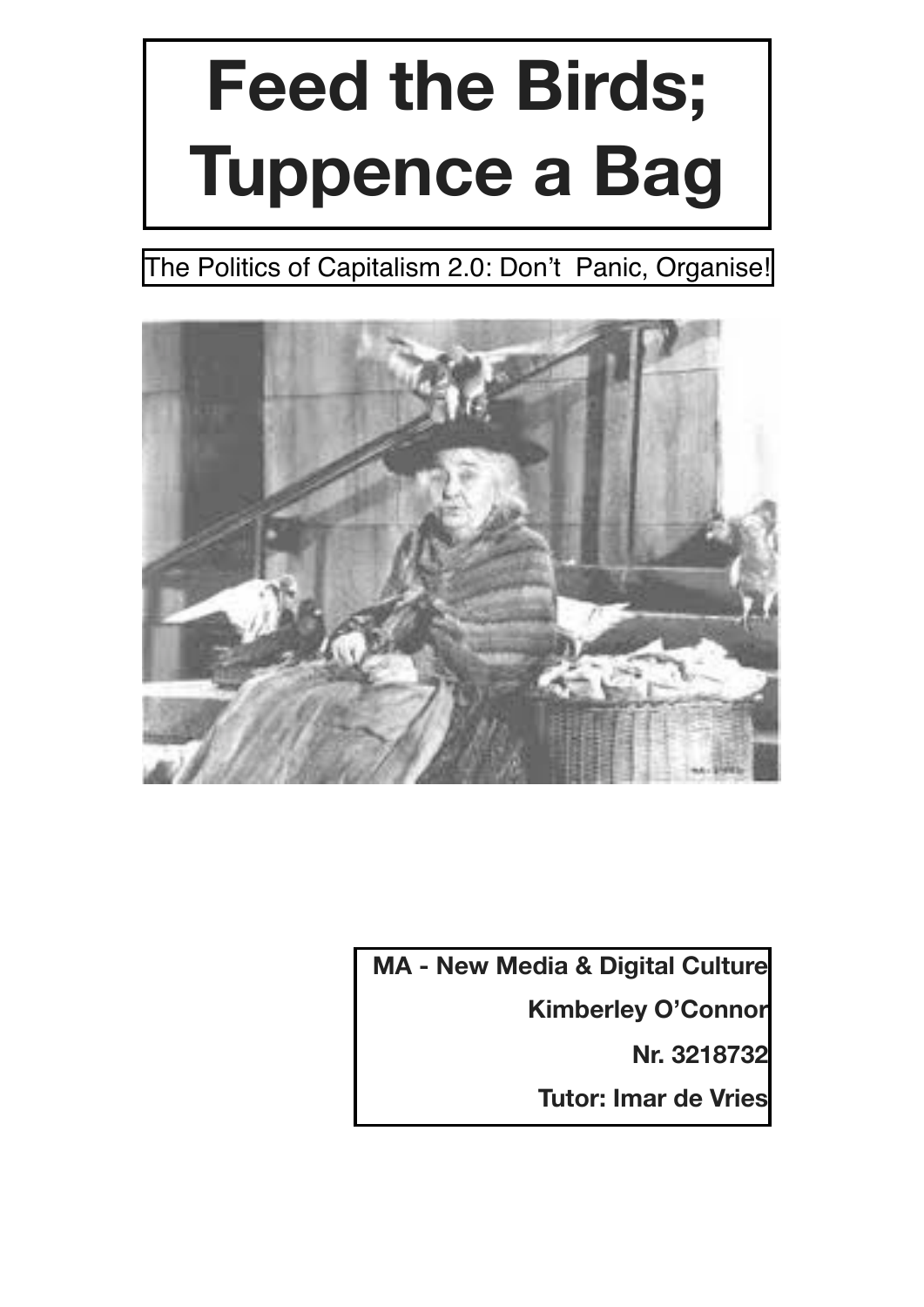# **Feed the Birds; Tuppence a Bag**

The Politics of Capitalism 2.0: Don't Panic, Organise!



**MA - New Media & Digital Culture**

**Kimberley O'Connor**

**Nr. 3218732**

**Tutor: Imar de Vries**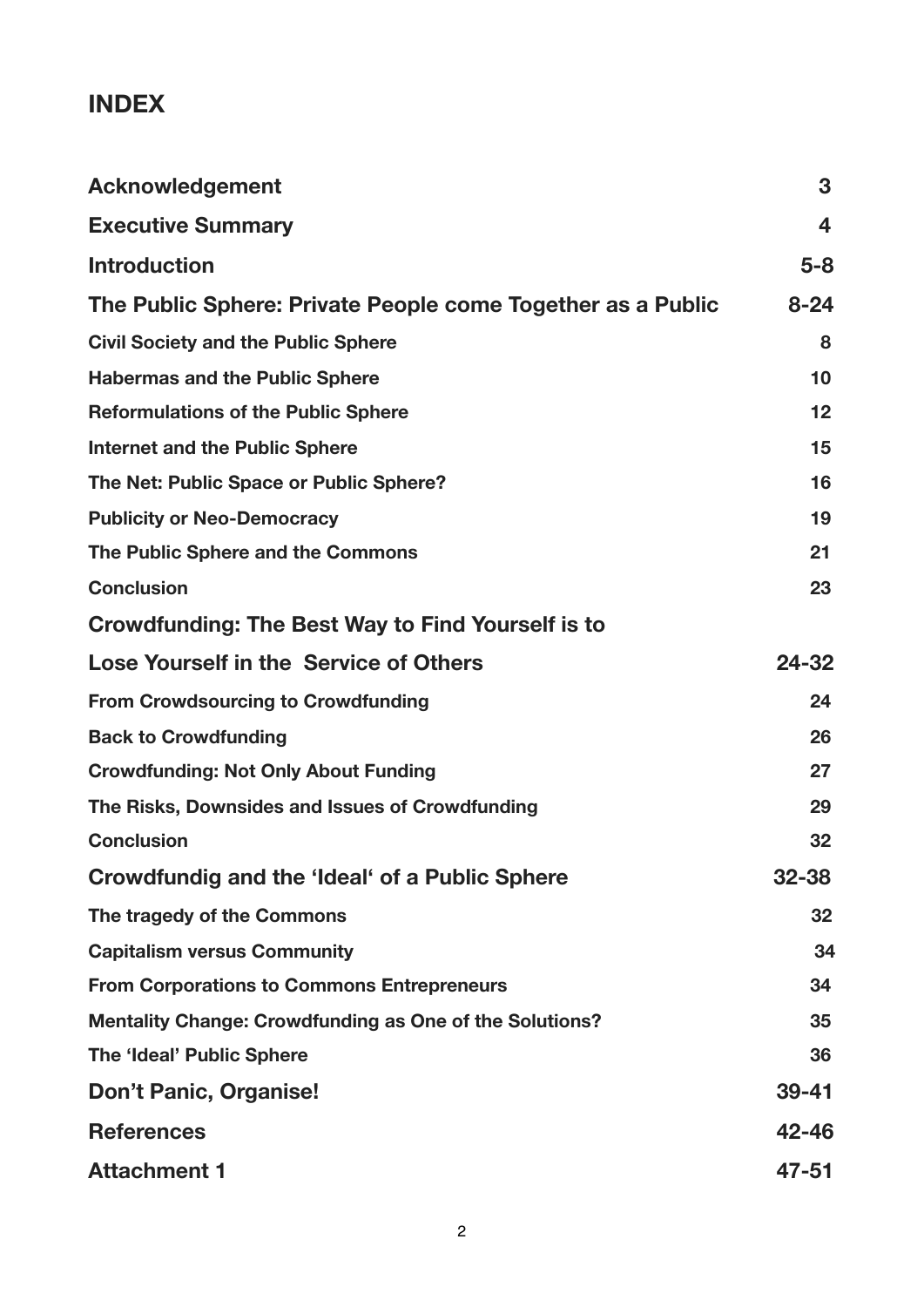# **INDEX**

| <b>Acknowledgement</b>                                         | 3         |
|----------------------------------------------------------------|-----------|
| <b>Executive Summary</b>                                       | 4         |
| <b>Introduction</b>                                            | $5 - 8$   |
| The Public Sphere: Private People come Together as a Public    | $8 - 24$  |
| <b>Civil Society and the Public Sphere</b>                     | 8         |
| <b>Habermas and the Public Sphere</b>                          | 10        |
| <b>Reformulations of the Public Sphere</b>                     | 12        |
| <b>Internet and the Public Sphere</b>                          | 15        |
| The Net: Public Space or Public Sphere?                        | 16        |
| <b>Publicity or Neo-Democracy</b>                              | 19        |
| The Public Sphere and the Commons                              | 21        |
| <b>Conclusion</b>                                              | 23        |
| Crowdfunding: The Best Way to Find Yourself is to              |           |
| <b>Lose Yourself in the Service of Others</b>                  | $24 - 32$ |
| <b>From Crowdsourcing to Crowdfunding</b>                      | 24        |
| <b>Back to Crowdfunding</b>                                    | 26        |
| <b>Crowdfunding: Not Only About Funding</b>                    | 27        |
| The Risks, Downsides and Issues of Crowdfunding                | 29        |
| <b>Conclusion</b>                                              | 32        |
| Crowdfundig and the 'Ideal' of a Public Sphere                 | $32 - 38$ |
| The tragedy of the Commons                                     | 32        |
| <b>Capitalism versus Community</b>                             | 34        |
| <b>From Corporations to Commons Entrepreneurs</b>              | 34        |
| <b>Mentality Change: Crowdfunding as One of the Solutions?</b> | 35        |
| <b>The 'Ideal' Public Sphere</b>                               | 36        |
| Don't Panic, Organise!                                         | $39 - 41$ |
| <b>References</b>                                              | 42-46     |
| <b>Attachment 1</b>                                            | $47 - 51$ |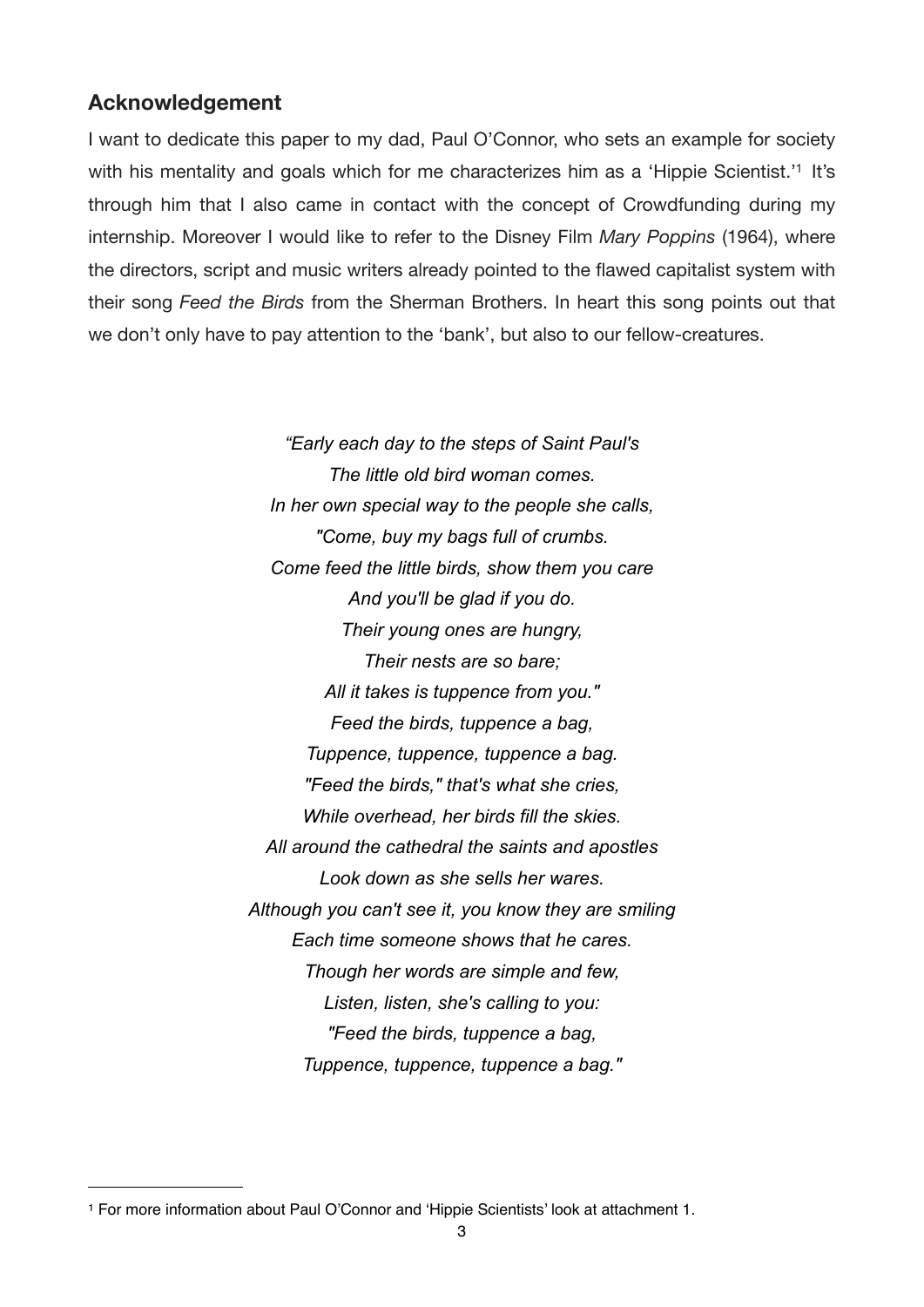# **Acknowledgement**

I want to dedicate this paper to my dad, Paul O'Connor, who sets an example for society with his mentality and goals which for me characterizes him as a 'Hippie Scientist.'<sup>1</sup> It's through him that I also came in contact with the concept of Crowdfunding during my internship. Moreover I would like to refer to the Disney Film *Mary Poppins* (1964), where the directors, script and music writers already pointed to the flawed capitalist system with their song *Feed the Birds* from the Sherman Brothers. In heart this song points out that we don't only have to pay attention to the 'bank', but also to our fellow-creatures.

> *"Early each day to the steps of Saint Paul's The little old bird woman comes. In her own special way to the people she calls, "Come, buy my bags full of crumbs. Come feed the little birds, show them you care And you'll be glad if you do. Their young ones are hungry, Their nests are so bare; All it takes is tuppence from you." Feed the birds, tuppence a bag, Tuppence, tuppence, tuppence a bag. "Feed the birds," that's what she cries, While overhead, her birds fill the skies. All around the cathedral the saints and apostles Look down as she sells her wares. Although you can't see it, you know they are smiling Each time someone shows that he cares. Though her words are simple and few, Listen, listen, she's calling to you: "Feed the birds, tuppence a bag, Tuppence, tuppence, tuppence a bag."*

<span id="page-2-0"></span><sup>1</sup> For more information about Paul O'Connor and 'Hippie Scientists' look at attachment 1.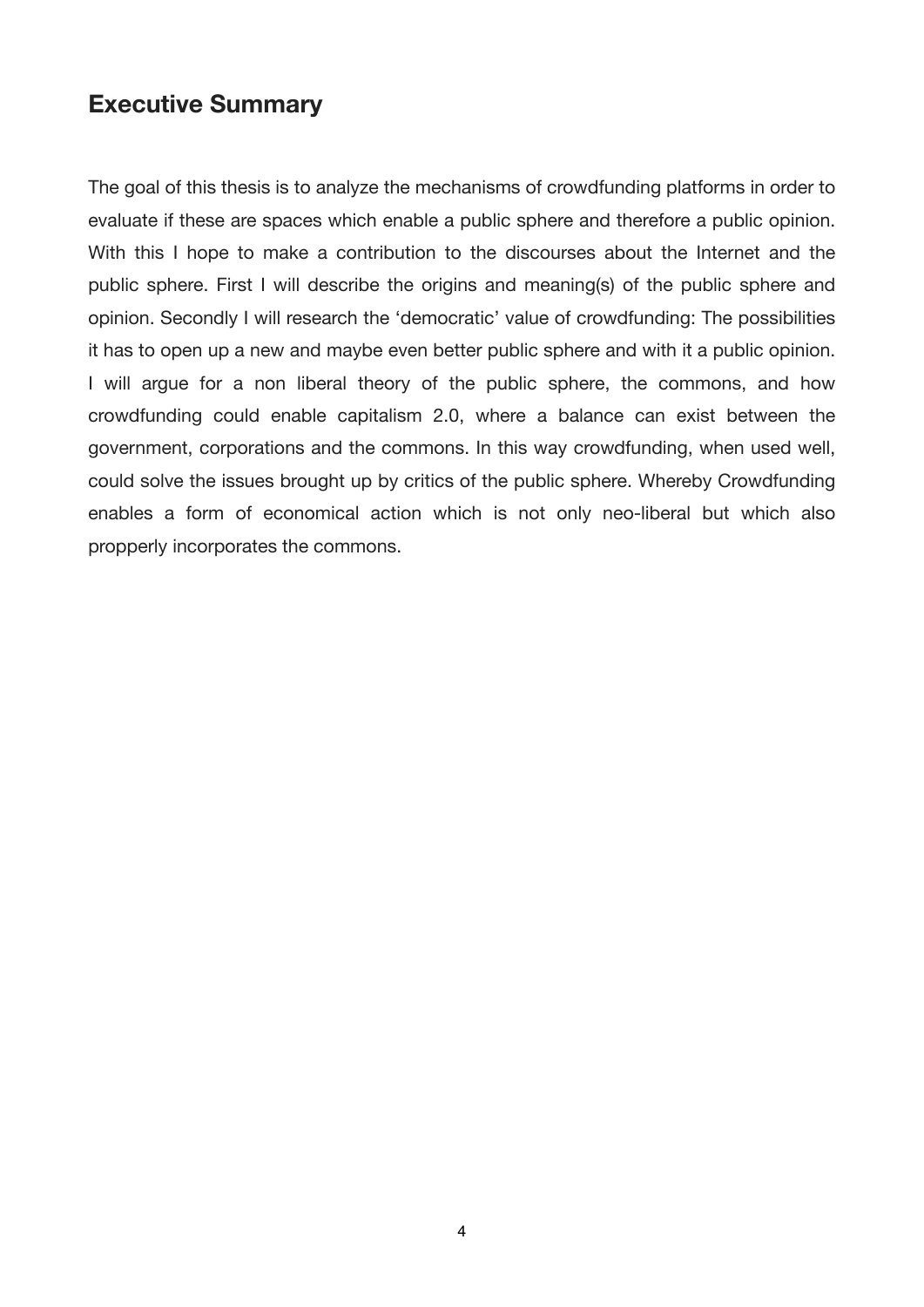# **Executive Summary**

The goal of this thesis is to analyze the mechanisms of crowdfunding platforms in order to evaluate if these are spaces which enable a public sphere and therefore a public opinion. With this I hope to make a contribution to the discourses about the Internet and the public sphere. First I will describe the origins and meaning(s) of the public sphere and opinion. Secondly I will research the 'democratic' value of crowdfunding: The possibilities it has to open up a new and maybe even better public sphere and with it a public opinion. I will argue for a non liberal theory of the public sphere, the commons, and how crowdfunding could enable capitalism 2.0, where a balance can exist between the government, corporations and the commons. In this way crowdfunding, when used well, could solve the issues brought up by critics of the public sphere. Whereby Crowdfunding enables a form of economical action which is not only neo-liberal but which also propperly incorporates the commons.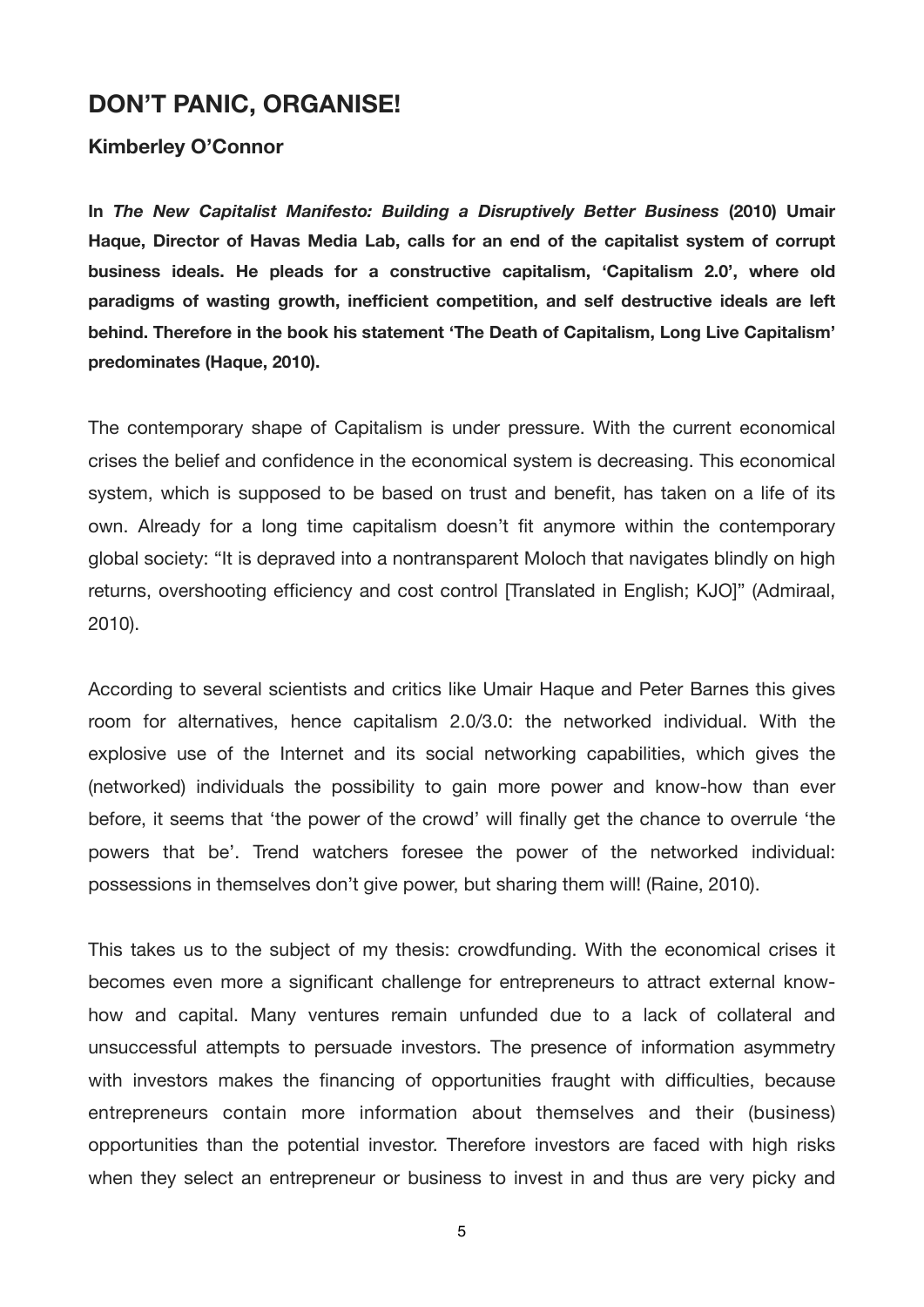# **DON'T PANIC, ORGANISE!**

## **Kimberley O'Connor**

**In** *The New Capitalist Manifesto: Building a Disruptively Better Business* **(2010) Umair Haque, Director of Havas Media Lab, calls for an end of the capitalist system of corrupt business ideals. He pleads for a constructive capitalism, 'Capitalism 2.0', where old paradigms of wasting growth, inefficient competition, and self destructive ideals are left behind. Therefore in the book his statement 'The Death of Capitalism, Long Live Capitalism' predominates (Haque, 2010).** 

The contemporary shape of Capitalism is under pressure. With the current economical crises the belief and confidence in the economical system is decreasing. This economical system, which is supposed to be based on trust and benefit, has taken on a life of its own. Already for a long time capitalism doesn't fit anymore within the contemporary global society: "It is depraved into a nontransparent Moloch that navigates blindly on high returns, overshooting efficiency and cost control [Translated in English: KJO]" (Admiraal, 2010).

According to several scientists and critics like Umair Haque and Peter Barnes this gives room for alternatives, hence capitalism 2.0/3.0: the networked individual. With the explosive use of the Internet and its social networking capabilities, which gives the (networked) individuals the possibility to gain more power and know-how than ever before, it seems that 'the power of the crowd' will finally get the chance to overrule 'the powers that be'. Trend watchers foresee the power of the networked individual: possessions in themselves don't give power, but sharing them will! (Raine, 2010).

This takes us to the subject of my thesis: crowdfunding. With the economical crises it becomes even more a significant challenge for entrepreneurs to attract external knowhow and capital. Many ventures remain unfunded due to a lack of collateral and unsuccessful attempts to persuade investors. The presence of information asymmetry with investors makes the financing of opportunities fraught with difficulties, because entrepreneurs contain more information about themselves and their (business) opportunities than the potential investor. Therefore investors are faced with high risks when they select an entrepreneur or business to invest in and thus are very picky and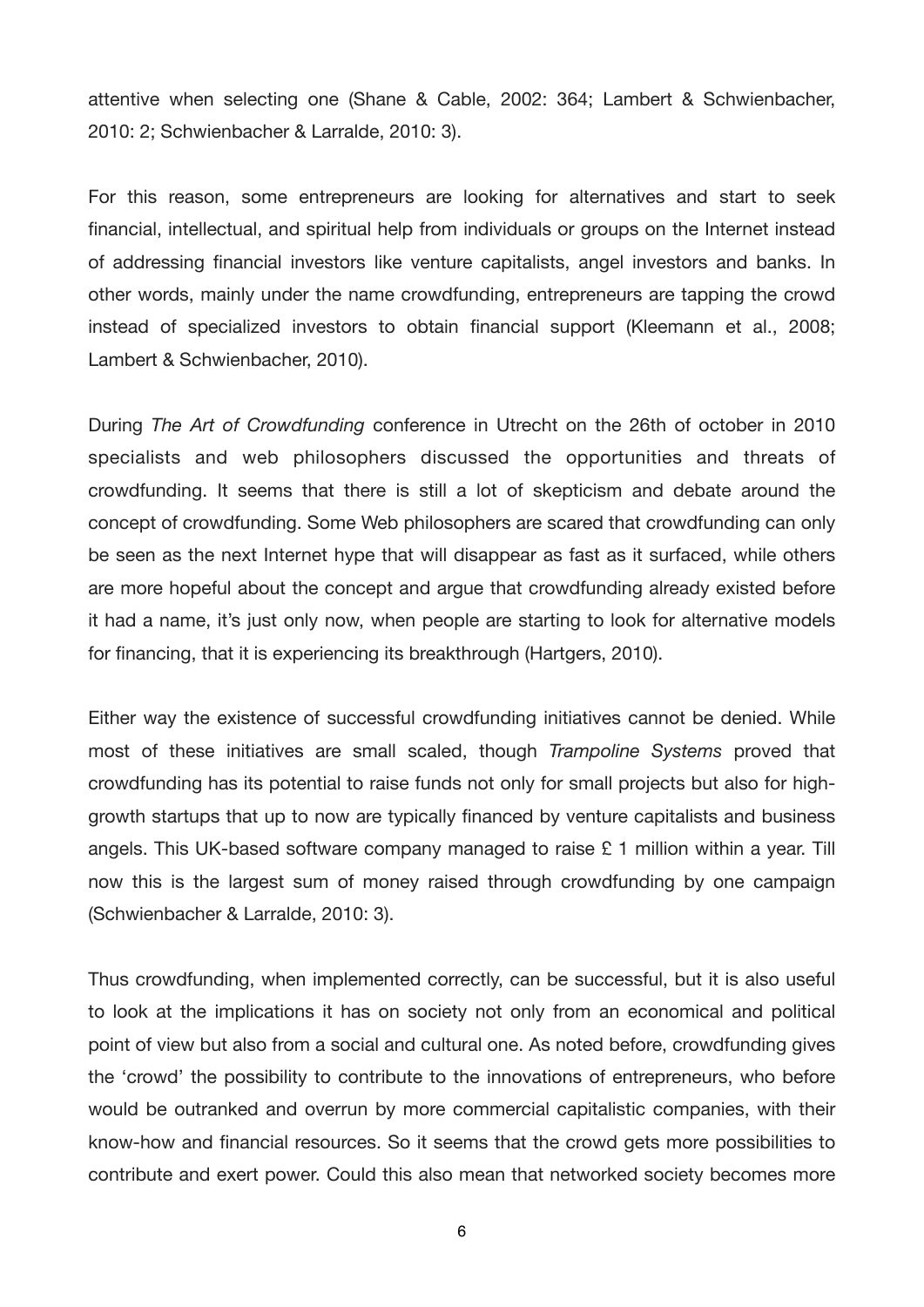attentive when selecting one (Shane & Cable, 2002: 364; Lambert & Schwienbacher, 2010: 2; Schwienbacher & Larralde, 2010: 3).

For this reason, some entrepreneurs are looking for alternatives and start to seek financial, intellectual, and spiritual help from individuals or groups on the Internet instead of addressing financial investors like venture capitalists, angel investors and banks. In other words, mainly under the name crowdfunding, entrepreneurs are tapping the crowd instead of specialized investors to obtain financial support (Kleemann et al., 2008; Lambert & Schwienbacher, 2010).

During *The Art of Crowdfunding* conference in Utrecht on the 26th of october in 2010 specialists and web philosophers discussed the opportunities and threats of crowdfunding. It seems that there is still a lot of skepticism and debate around the concept of crowdfunding. Some Web philosophers are scared that crowdfunding can only be seen as the next Internet hype that will disappear as fast as it surfaced, while others are more hopeful about the concept and argue that crowdfunding already existed before it had a name, it's just only now, when people are starting to look for alternative models for financing, that it is experiencing its breakthrough (Hartgers, 2010).

Either way the existence of successful crowdfunding initiatives cannot be denied. While most of these initiatives are small scaled, though *Trampoline Systems* proved that crowdfunding has its potential to raise funds not only for small projects but also for highgrowth startups that up to now are typically financed by venture capitalists and business angels. This UK-based software company managed to raise  $\epsilon$  1 million within a year. Till now this is the largest sum of money raised through crowdfunding by one campaign (Schwienbacher & Larralde, 2010: 3).

Thus crowdfunding, when implemented correctly, can be successful, but it is also useful to look at the implications it has on society not only from an economical and political point of view but also from a social and cultural one. As noted before, crowdfunding gives the 'crowd' the possibility to contribute to the innovations of entrepreneurs, who before would be outranked and overrun by more commercial capitalistic companies, with their know-how and financial resources. So it seems that the crowd gets more possibilities to contribute and exert power. Could this also mean that networked society becomes more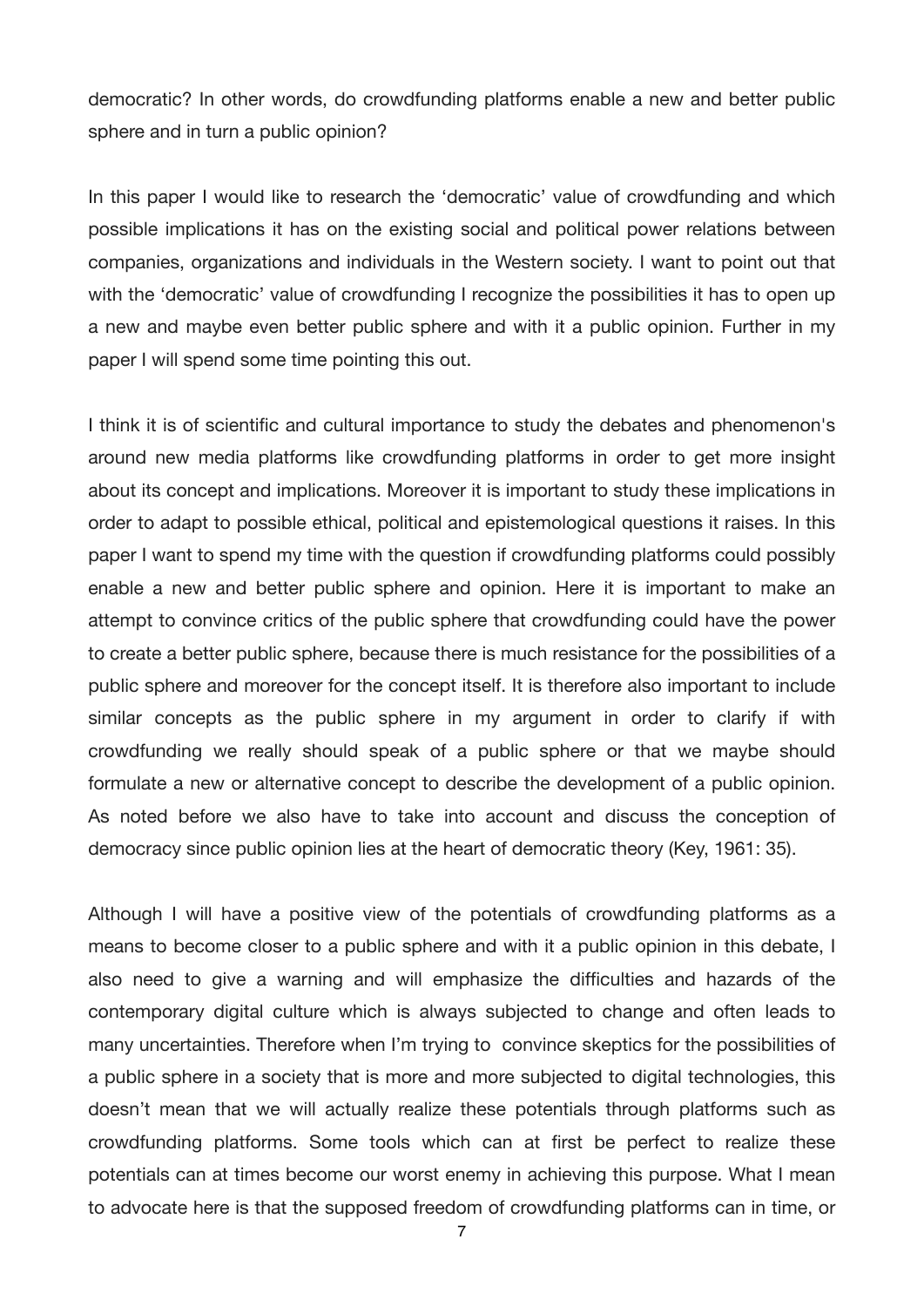democratic? In other words, do crowdfunding platforms enable a new and better public sphere and in turn a public opinion?

In this paper I would like to research the 'democratic' value of crowdfunding and which possible implications it has on the existing social and political power relations between companies, organizations and individuals in the Western society. I want to point out that with the 'democratic' value of crowdfunding I recognize the possibilities it has to open up a new and maybe even better public sphere and with it a public opinion. Further in my paper I will spend some time pointing this out.

I think it is of scientific and cultural importance to study the debates and phenomenon's around new media platforms like crowdfunding platforms in order to get more insight about its concept and implications. Moreover it is important to study these implications in order to adapt to possible ethical, political and epistemological questions it raises. In this paper I want to spend my time with the question if crowdfunding platforms could possibly enable a new and better public sphere and opinion. Here it is important to make an attempt to convince critics of the public sphere that crowdfunding could have the power to create a better public sphere, because there is much resistance for the possibilities of a public sphere and moreover for the concept itself. It is therefore also important to include similar concepts as the public sphere in my argument in order to clarify if with crowdfunding we really should speak of a public sphere or that we maybe should formulate a new or alternative concept to describe the development of a public opinion. As noted before we also have to take into account and discuss the conception of democracy since public opinion lies at the heart of democratic theory (Key, 1961: 35).

Although I will have a positive view of the potentials of crowdfunding platforms as a means to become closer to a public sphere and with it a public opinion in this debate, I also need to give a warning and will emphasize the difficulties and hazards of the contemporary digital culture which is always subjected to change and often leads to many uncertainties. Therefore when I'm trying to convince skeptics for the possibilities of a public sphere in a society that is more and more subjected to digital technologies, this doesn't mean that we will actually realize these potentials through platforms such as crowdfunding platforms. Some tools which can at first be perfect to realize these potentials can at times become our worst enemy in achieving this purpose. What I mean to advocate here is that the supposed freedom of crowdfunding platforms can in time, or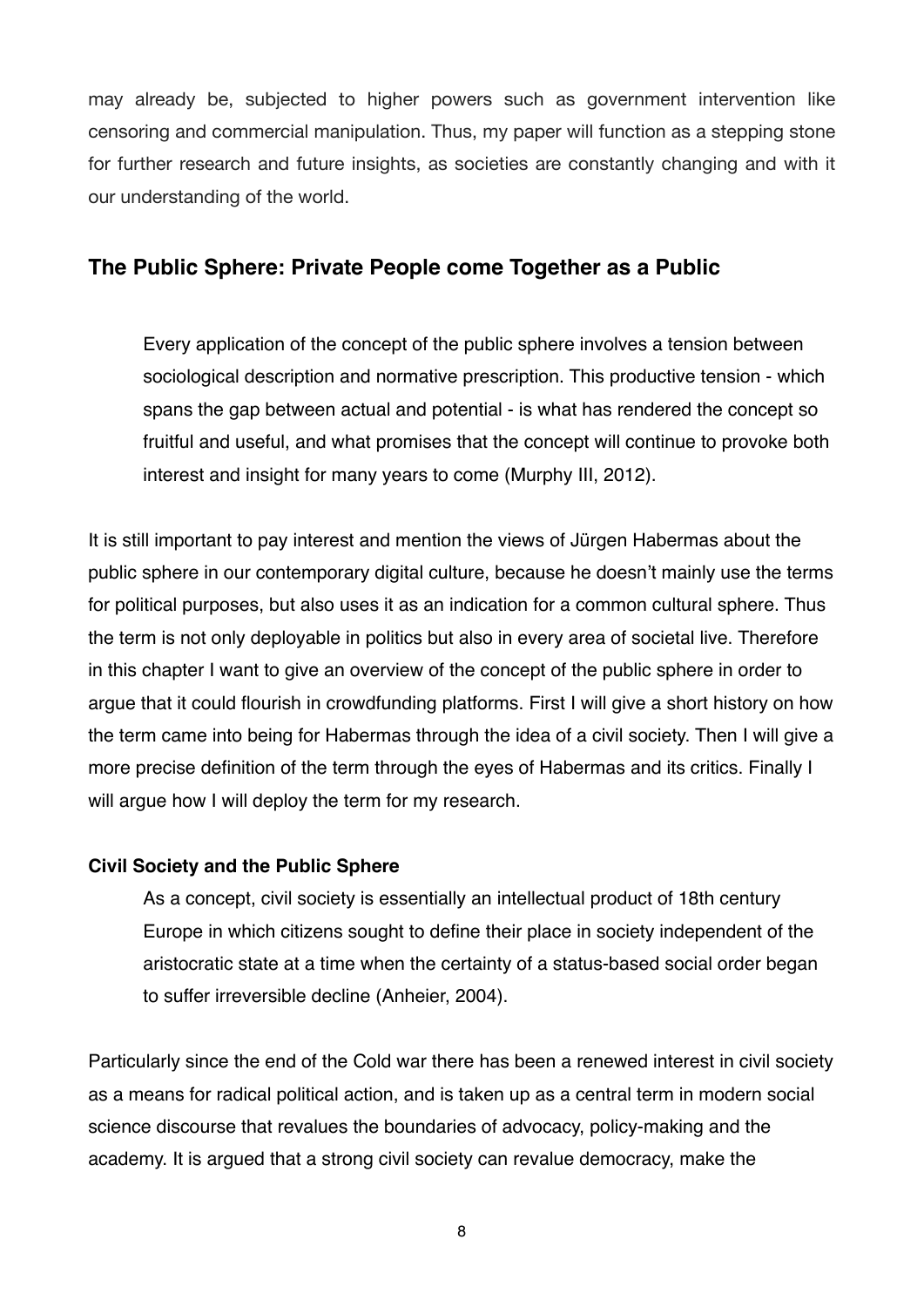may already be, subjected to higher powers such as government intervention like censoring and commercial manipulation. Thus, my paper will function as a stepping stone for further research and future insights, as societies are constantly changing and with it our understanding of the world.

# **The Public Sphere: Private People come Together as a Public**

Every application of the concept of the public sphere involves a tension between sociological description and normative prescription. This productive tension - which spans the gap between actual and potential - is what has rendered the concept so fruitful and useful, and what promises that the concept will continue to provoke both interest and insight for many years to come (Murphy III, 2012).

It is still important to pay interest and mention the views of Jürgen Habermas about the public sphere in our contemporary digital culture, because he doesn't mainly use the terms for political purposes, but also uses it as an indication for a common cultural sphere. Thus the term is not only deployable in politics but also in every area of societal live. Therefore in this chapter I want to give an overview of the concept of the public sphere in order to argue that it could flourish in crowdfunding platforms. First I will give a short history on how the term came into being for Habermas through the idea of a civil society. Then I will give a more precise definition of the term through the eyes of Habermas and its critics. Finally I will argue how I will deploy the term for my research.

# **Civil Society and the Public Sphere**

As a concept, civil society is essentially an intellectual product of 18th century Europe in which citizens sought to define their place in society independent of the aristocratic state at a time when the certainty of a status-based social order began to suffer irreversible decline (Anheier, 2004).

Particularly since the end of the Cold war there has been a renewed interest in civil society as a means for radical political action, and is taken up as a central term in modern social science discourse that revalues the boundaries of advocacy, policy-making and the academy. It is argued that a strong civil society can revalue democracy, make the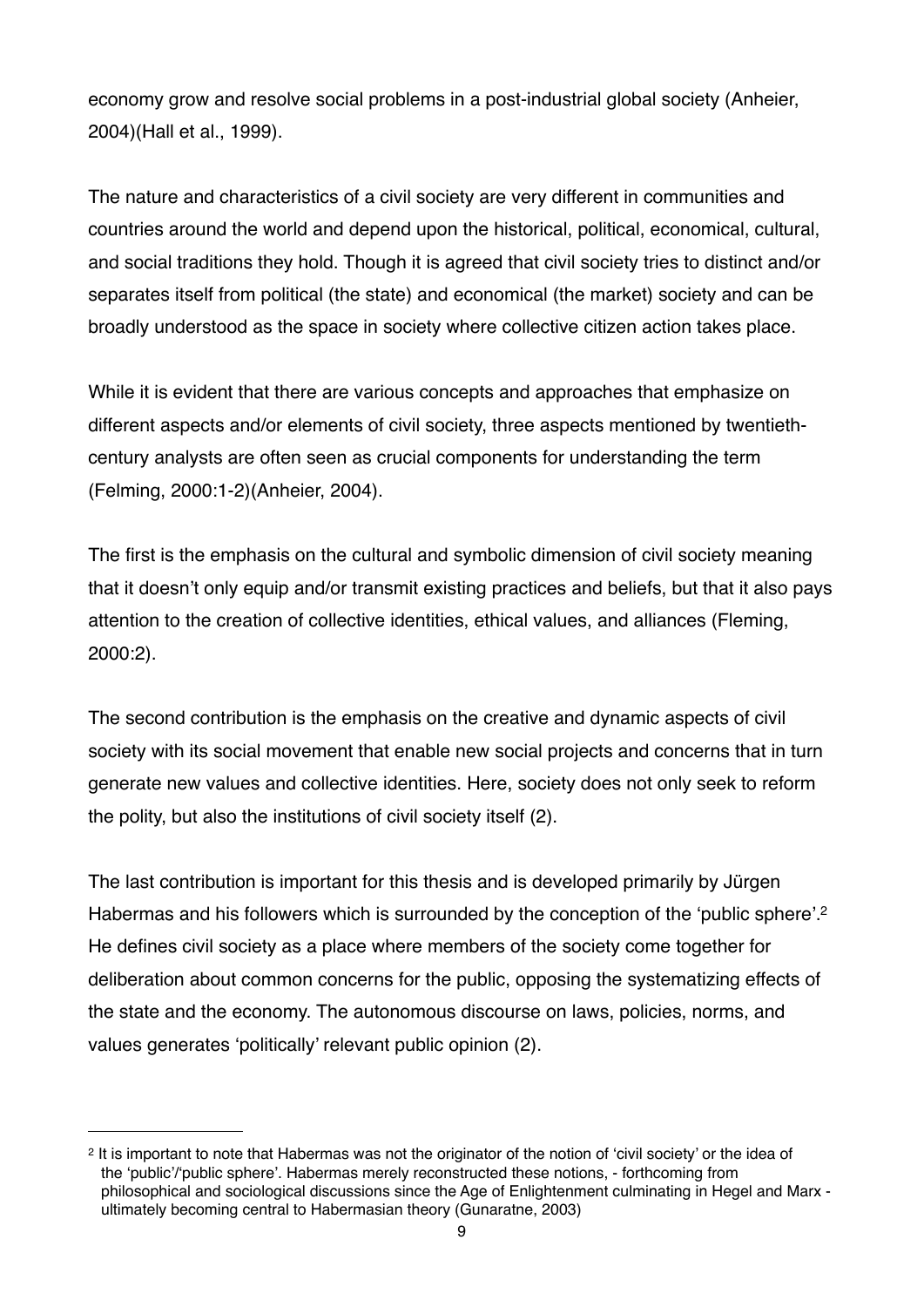economy grow and resolve social problems in a post-industrial global society (Anheier, 2004)(Hall et al., 1999).

The nature and characteristics of a civil society are very different in communities and countries around the world and depend upon the historical, political, economical, cultural, and social traditions they hold. Though it is agreed that civil society tries to distinct and/or separates itself from political (the state) and economical (the market) society and can be broadly understood as the space in society where collective citizen action takes place.

While it is evident that there are various concepts and approaches that emphasize on different aspects and/or elements of civil society, three aspects mentioned by twentiethcentury analysts are often seen as crucial components for understanding the term (Felming, 2000:1-2)(Anheier, 2004).

The first is the emphasis on the cultural and symbolic dimension of civil society meaning that it doesn't only equip and/or transmit existing practices and beliefs, but that it also pays attention to the creation of collective identities, ethical values, and alliances (Fleming, 2000:2).

The second contribution is the emphasis on the creative and dynamic aspects of civil society with its social movement that enable new social projects and concerns that in turn generate new values and collective identities. Here, society does not only seek to reform the polity, but also the institutions of civil society itself (2).

The last contribution is important for this thesis and is developed primarily by Jürgen Habermas and his followers which is surrounded by the conception of the 'public sphere'[.2](#page-8-0) He defines civil society as a place where members of the society come together for deliberation about common concerns for the public, opposing the systematizing effects of the state and the economy. The autonomous discourse on laws, policies, norms, and values generates 'politically' relevant public opinion (2).

<span id="page-8-0"></span><sup>2</sup> It is important to note that Habermas was not the originator of the notion of 'civil society' or the idea of the 'public'/'public sphere'. Habermas merely reconstructed these notions, - forthcoming from philosophical and sociological discussions since the Age of Enlightenment culminating in Hegel and Marx ultimately becoming central to Habermasian theory (Gunaratne, 2003)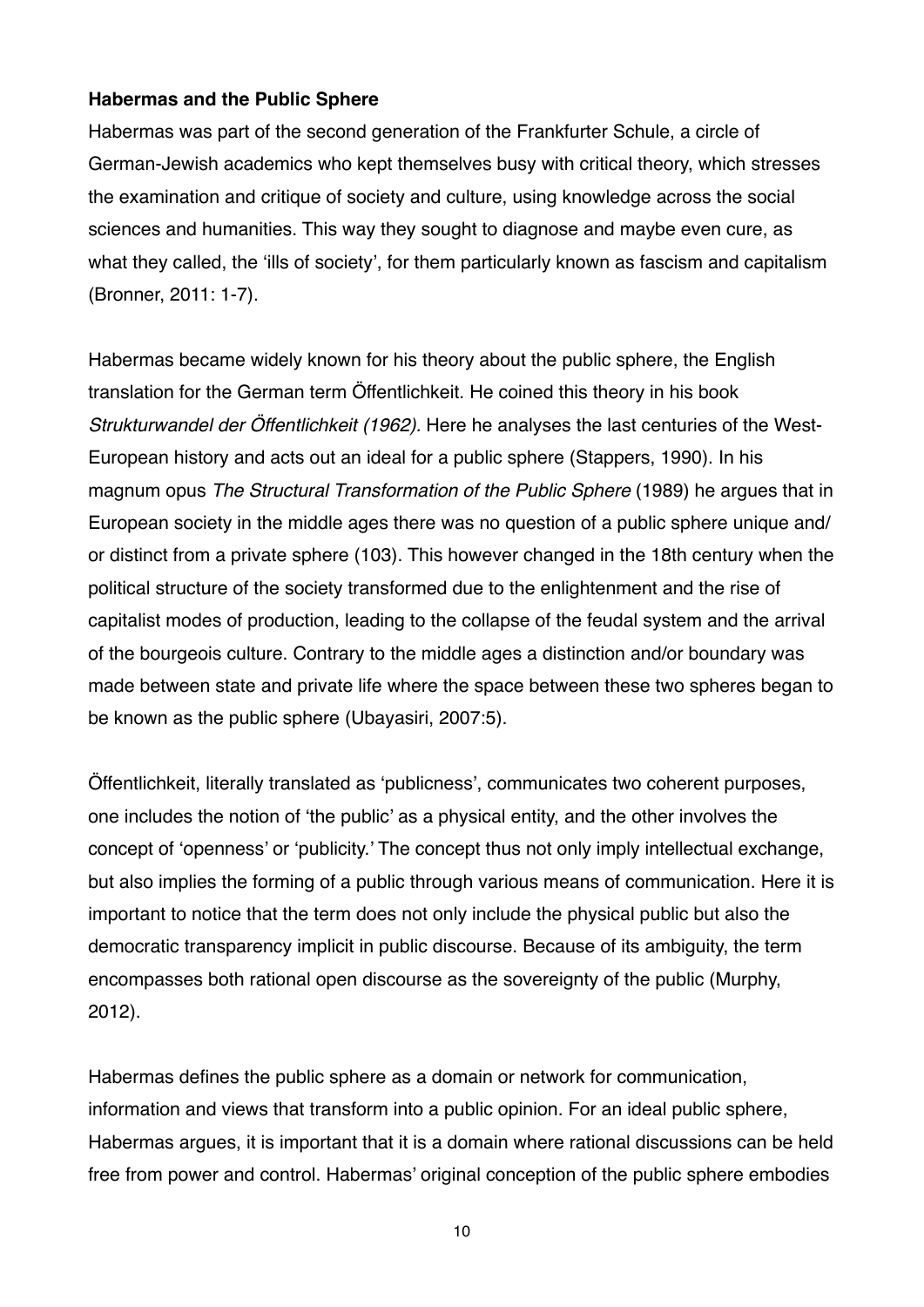# **Habermas and the Public Sphere**

Habermas was part of the second generation of the Frankfurter Schule, a circle of German-Jewish academics who kept themselves busy with critical theory, which stresses the examination and critique of society and culture, using knowledge across the social sciences and humanities. This way they sought to diagnose and maybe even cure, as what they called, the 'ills of society', for them particularly known as fascism and capitalism (Bronner, 2011: 1-7).

Habermas became widely known for his theory about the public sphere, the English translation for the German term Öffentlichkeit. He coined this theory in his book *Strukturwandel der Öffentlichkeit (1962).* Here he analyses the last centuries of the West-European history and acts out an ideal for a public sphere (Stappers, 1990). In his magnum opus *The Structural Transformation of the Public Sphere* (1989) he argues that in European society in the middle ages there was no question of a public sphere unique and/ or distinct from a private sphere (103). This however changed in the 18th century when the political structure of the society transformed due to the enlightenment and the rise of capitalist modes of production, leading to the collapse of the feudal system and the arrival of the bourgeois culture. Contrary to the middle ages a distinction and/or boundary was made between state and private life where the space between these two spheres began to be known as the public sphere (Ubayasiri, 2007:5).

Öffentlichkeit, literally translated as 'publicness', communicates two coherent purposes, one includes the notion of 'the public' as a physical entity, and the other involves the concept of 'openness' or 'publicity.' The concept thus not only imply intellectual exchange, but also implies the forming of a public through various means of communication. Here it is important to notice that the term does not only include the physical public but also the democratic transparency implicit in public discourse. Because of its ambiguity, the term encompasses both rational open discourse as the sovereignty of the public (Murphy, 2012).

Habermas defines the public sphere as a domain or network for communication, information and views that transform into a public opinion. For an ideal public sphere, Habermas argues, it is important that it is a domain where rational discussions can be held free from power and control. Habermas' original conception of the public sphere embodies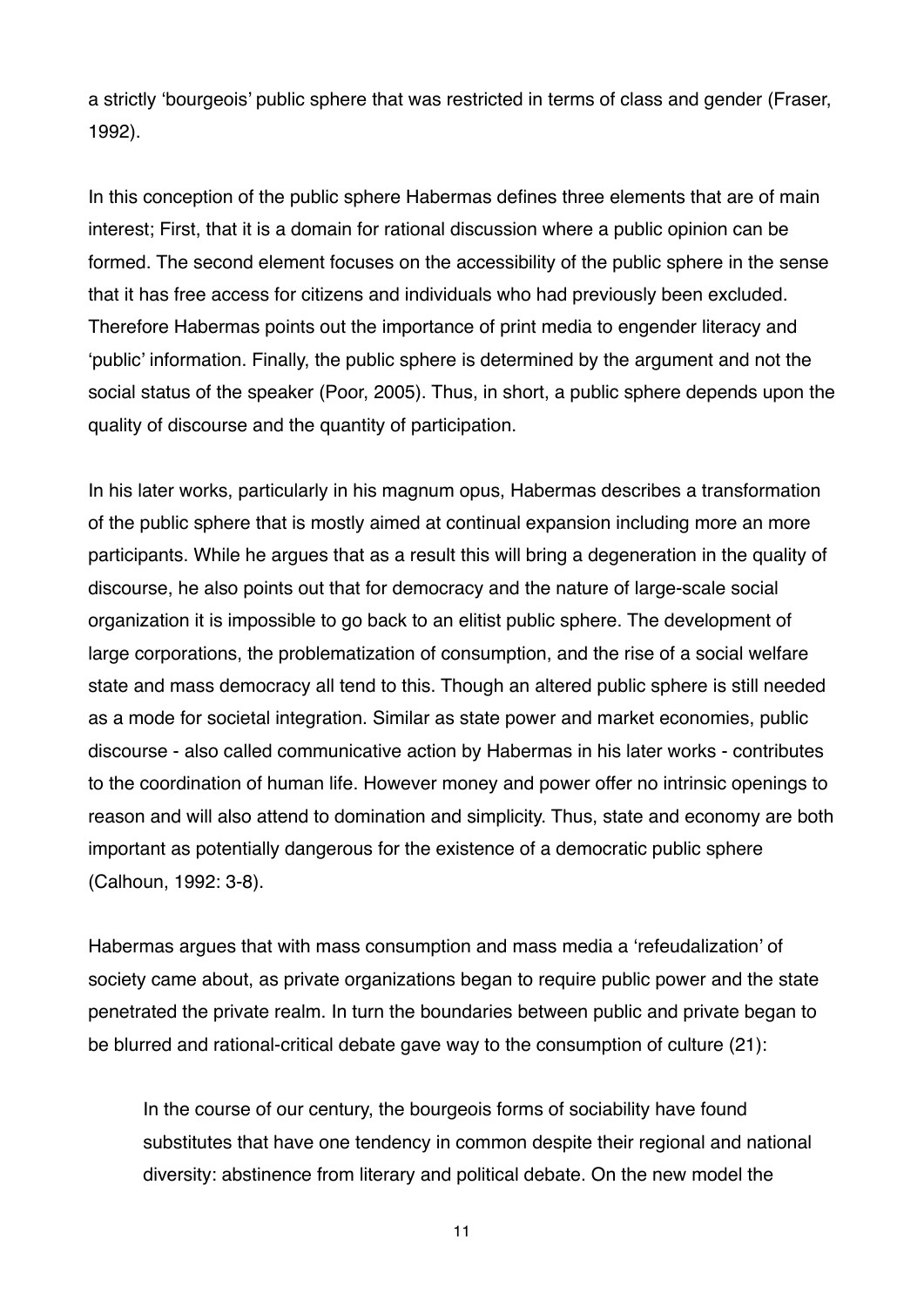a strictly 'bourgeois' public sphere that was restricted in terms of class and gender (Fraser, 1992).

In this conception of the public sphere Habermas defines three elements that are of main interest; First, that it is a domain for rational discussion where a public opinion can be formed. The second element focuses on the accessibility of the public sphere in the sense that it has free access for citizens and individuals who had previously been excluded. Therefore Habermas points out the importance of print media to engender literacy and 'public' information. Finally, the public sphere is determined by the argument and not the social status of the speaker (Poor, 2005). Thus, in short, a public sphere depends upon the quality of discourse and the quantity of participation.

In his later works, particularly in his magnum opus, Habermas describes a transformation of the public sphere that is mostly aimed at continual expansion including more an more participants. While he argues that as a result this will bring a degeneration in the quality of discourse, he also points out that for democracy and the nature of large-scale social organization it is impossible to go back to an elitist public sphere. The development of large corporations, the problematization of consumption, and the rise of a social welfare state and mass democracy all tend to this. Though an altered public sphere is still needed as a mode for societal integration. Similar as state power and market economies, public discourse - also called communicative action by Habermas in his later works - contributes to the coordination of human life. However money and power offer no intrinsic openings to reason and will also attend to domination and simplicity. Thus, state and economy are both important as potentially dangerous for the existence of a democratic public sphere (Calhoun, 1992: 3-8).

Habermas argues that with mass consumption and mass media a 'refeudalization' of society came about, as private organizations began to require public power and the state penetrated the private realm. In turn the boundaries between public and private began to be blurred and rational-critical debate gave way to the consumption of culture (21):

In the course of our century, the bourgeois forms of sociability have found substitutes that have one tendency in common despite their regional and national diversity: abstinence from literary and political debate. On the new model the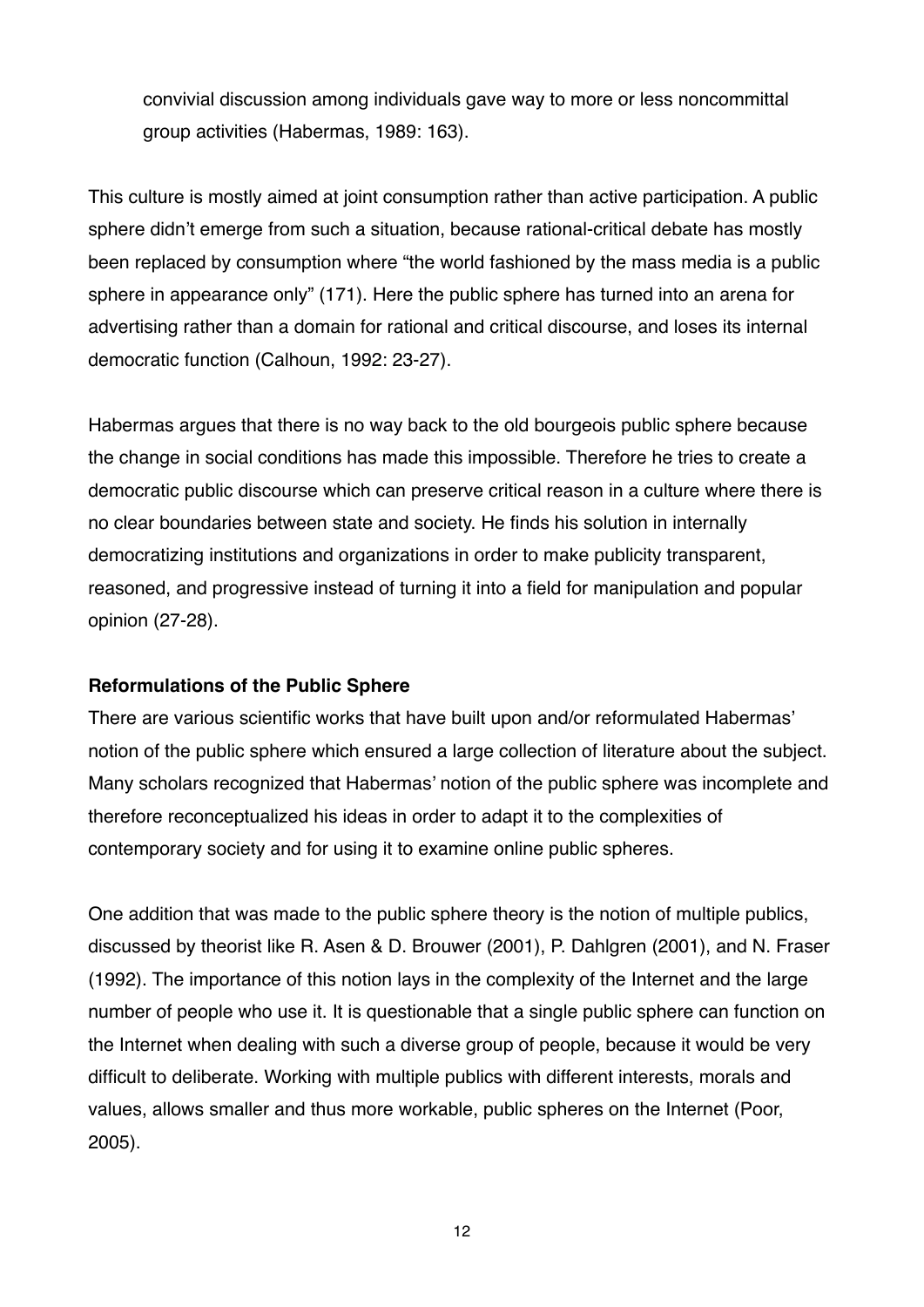convivial discussion among individuals gave way to more or less noncommittal group activities (Habermas, 1989: 163).

This culture is mostly aimed at joint consumption rather than active participation. A public sphere didn't emerge from such a situation, because rational-critical debate has mostly been replaced by consumption where "the world fashioned by the mass media is a public sphere in appearance only" (171). Here the public sphere has turned into an arena for advertising rather than a domain for rational and critical discourse, and loses its internal democratic function (Calhoun, 1992: 23-27).

Habermas argues that there is no way back to the old bourgeois public sphere because the change in social conditions has made this impossible. Therefore he tries to create a democratic public discourse which can preserve critical reason in a culture where there is no clear boundaries between state and society. He finds his solution in internally democratizing institutions and organizations in order to make publicity transparent, reasoned, and progressive instead of turning it into a field for manipulation and popular opinion (27-28).

# **Reformulations of the Public Sphere**

There are various scientific works that have built upon and/or reformulated Habermas' notion of the public sphere which ensured a large collection of literature about the subject. Many scholars recognized that Habermas' notion of the public sphere was incomplete and therefore reconceptualized his ideas in order to adapt it to the complexities of contemporary society and for using it to examine online public spheres.

One addition that was made to the public sphere theory is the notion of multiple publics, discussed by theorist like R. Asen & D. Brouwer (2001), P. Dahlgren (2001), and N. Fraser (1992). The importance of this notion lays in the complexity of the Internet and the large number of people who use it. It is questionable that a single public sphere can function on the Internet when dealing with such a diverse group of people, because it would be very difficult to deliberate. Working with multiple publics with different interests, morals and values, allows smaller and thus more workable, public spheres on the Internet (Poor, 2005).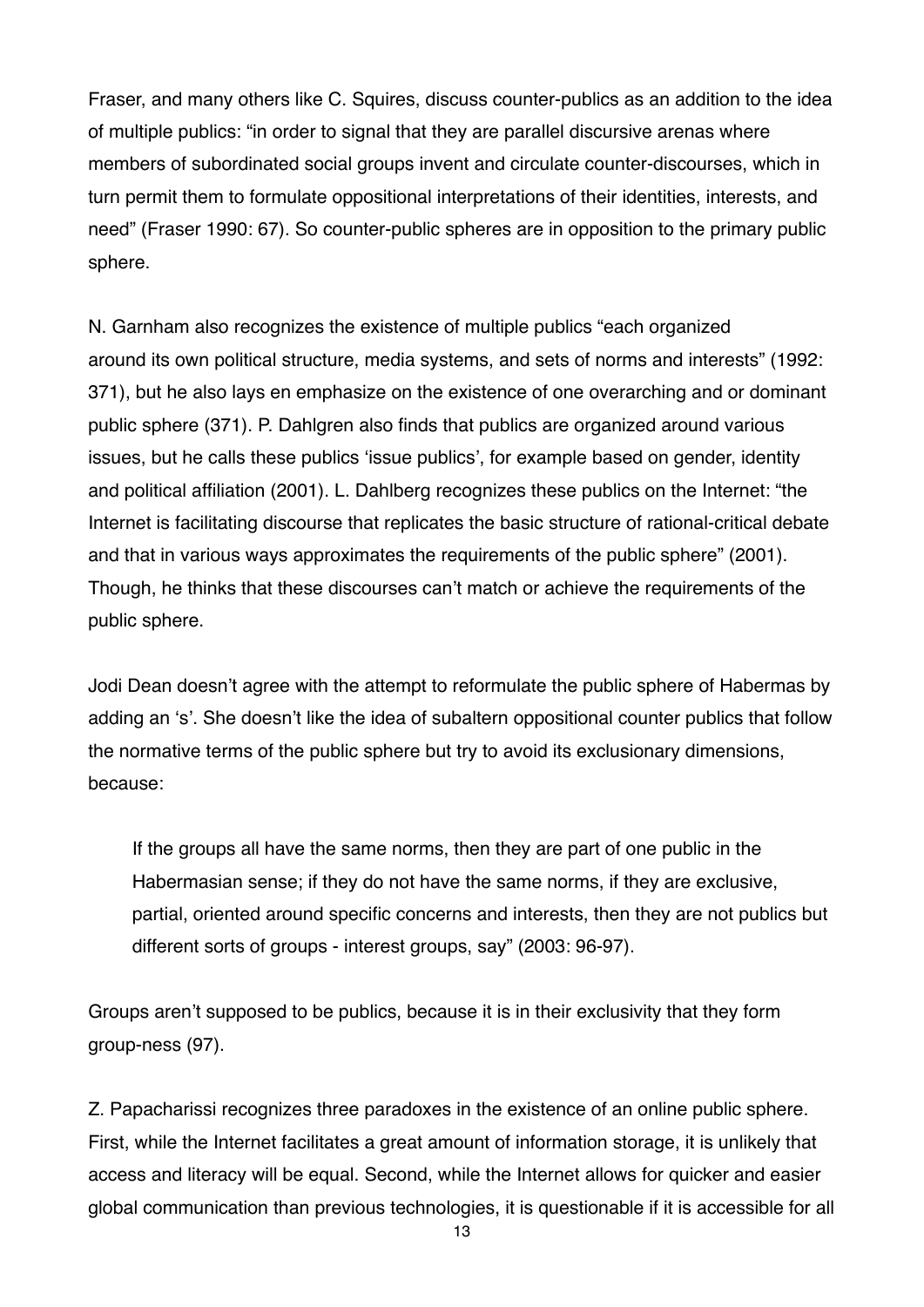Fraser, and many others like C. Squires, discuss counter-publics as an addition to the idea of multiple publics: "in order to signal that they are parallel discursive arenas where members of subordinated social groups invent and circulate counter-discourses, which in turn permit them to formulate oppositional interpretations of their identities, interests, and need" (Fraser 1990: 67). So counter-public spheres are in opposition to the primary public sphere.

N. Garnham also recognizes the existence of multiple publics "each organized around its own political structure, media systems, and sets of norms and interests" (1992: 371), but he also lays en emphasize on the existence of one overarching and or dominant public sphere (371). P. Dahlgren also finds that publics are organized around various issues, but he calls these publics 'issue publics', for example based on gender, identity and political affiliation (2001). L. Dahlberg recognizes these publics on the Internet: "the Internet is facilitating discourse that replicates the basic structure of rational-critical debate and that in various ways approximates the requirements of the public sphere" (2001). Though, he thinks that these discourses can't match or achieve the requirements of the public sphere.

Jodi Dean doesn't agree with the attempt to reformulate the public sphere of Habermas by adding an 's'. She doesn't like the idea of subaltern oppositional counter publics that follow the normative terms of the public sphere but try to avoid its exclusionary dimensions, because:

If the groups all have the same norms, then they are part of one public in the Habermasian sense; if they do not have the same norms, if they are exclusive, partial, oriented around specific concerns and interests, then they are not publics but different sorts of groups - interest groups, say" (2003: 96-97).

Groups aren't supposed to be publics, because it is in their exclusivity that they form group-ness (97).

Z. Papacharissi recognizes three paradoxes in the existence of an online public sphere. First, while the Internet facilitates a great amount of information storage, it is unlikely that access and literacy will be equal. Second, while the Internet allows for quicker and easier global communication than previous technologies, it is questionable if it is accessible for all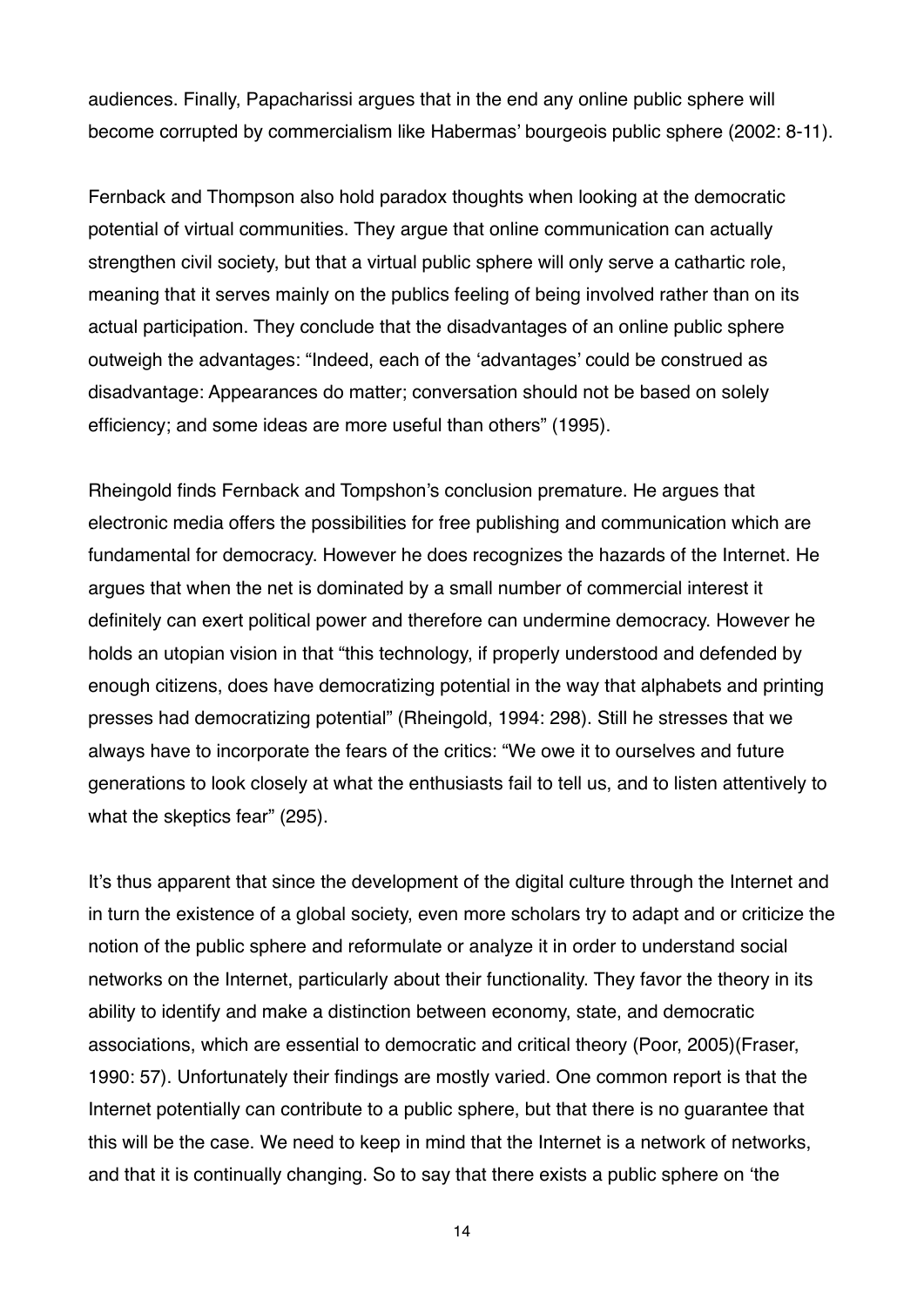audiences. Finally, Papacharissi argues that in the end any online public sphere will become corrupted by commercialism like Habermas' bourgeois public sphere (2002: 8-11).

Fernback and Thompson also hold paradox thoughts when looking at the democratic potential of virtual communities. They argue that online communication can actually strengthen civil society, but that a virtual public sphere will only serve a cathartic role, meaning that it serves mainly on the publics feeling of being involved rather than on its actual participation. They conclude that the disadvantages of an online public sphere outweigh the advantages: "Indeed, each of the 'advantages' could be construed as disadvantage: Appearances do matter; conversation should not be based on solely efficiency; and some ideas are more useful than others" (1995).

Rheingold finds Fernback and Tompshon's conclusion premature. He argues that electronic media offers the possibilities for free publishing and communication which are fundamental for democracy. However he does recognizes the hazards of the Internet. He argues that when the net is dominated by a small number of commercial interest it definitely can exert political power and therefore can undermine democracy. However he holds an utopian vision in that "this technology, if properly understood and defended by enough citizens, does have democratizing potential in the way that alphabets and printing presses had democratizing potential" (Rheingold, 1994: 298). Still he stresses that we always have to incorporate the fears of the critics: "We owe it to ourselves and future generations to look closely at what the enthusiasts fail to tell us, and to listen attentively to what the skeptics fear" (295).

It's thus apparent that since the development of the digital culture through the Internet and in turn the existence of a global society, even more scholars try to adapt and or criticize the notion of the public sphere and reformulate or analyze it in order to understand social networks on the Internet, particularly about their functionality. They favor the theory in its ability to identify and make a distinction between economy, state, and democratic associations, which are essential to democratic and critical theory (Poor, 2005)(Fraser, 1990: 57). Unfortunately their findings are mostly varied. One common report is that the Internet potentially can contribute to a public sphere, but that there is no guarantee that this will be the case. We need to keep in mind that the Internet is a network of networks, and that it is continually changing. So to say that there exists a public sphere on 'the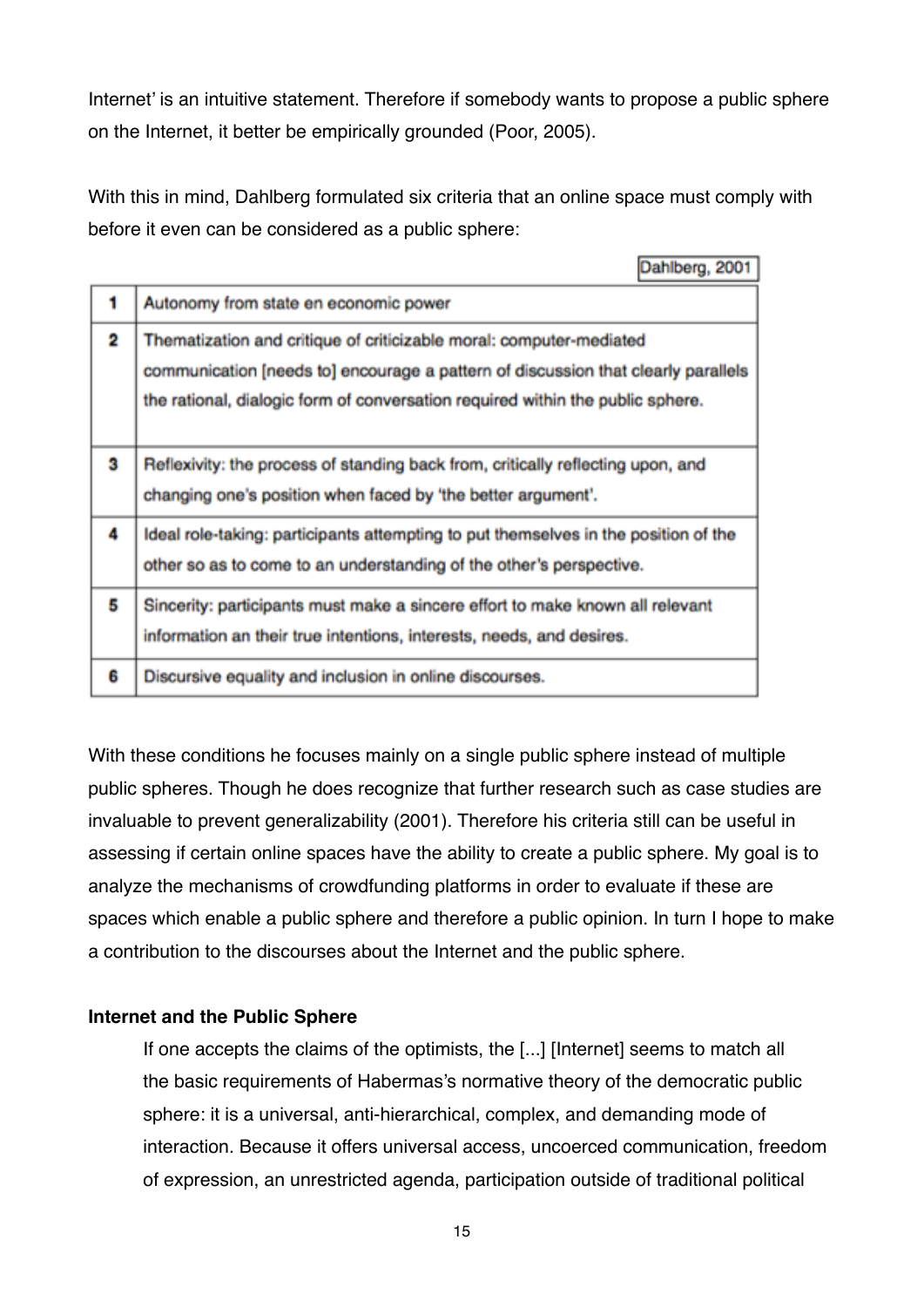Internet' is an intuitive statement. Therefore if somebody wants to propose a public sphere on the Internet, it better be empirically grounded (Poor, 2005).

With this in mind, Dahlberg formulated six criteria that an online space must comply with before it even can be considered as a public sphere:

|   | Dahlberg, 2001                                                                                                                                                                                                                             |  |
|---|--------------------------------------------------------------------------------------------------------------------------------------------------------------------------------------------------------------------------------------------|--|
| 1 | Autonomy from state en economic power                                                                                                                                                                                                      |  |
| 2 | Thematization and critique of criticizable moral: computer-mediated<br>communication [needs to] encourage a pattern of discussion that clearly parallels<br>the rational, dialogic form of conversation required within the public sphere. |  |
| 3 | Reflexivity: the process of standing back from, critically reflecting upon, and<br>changing one's position when faced by 'the better argument'.                                                                                            |  |
| 4 | Ideal role-taking: participants attempting to put themselves in the position of the<br>other so as to come to an understanding of the other's perspective.                                                                                 |  |
| 5 | Sincerity: participants must make a sincere effort to make known all relevant<br>information an their true intentions, interests, needs, and desires.                                                                                      |  |
| 6 | Discursive equality and inclusion in online discourses.                                                                                                                                                                                    |  |

With these conditions he focuses mainly on a single public sphere instead of multiple public spheres. Though he does recognize that further research such as case studies are invaluable to prevent generalizability (2001). Therefore his criteria still can be useful in assessing if certain online spaces have the ability to create a public sphere. My goal is to analyze the mechanisms of crowdfunding platforms in order to evaluate if these are spaces which enable a public sphere and therefore a public opinion. In turn I hope to make a contribution to the discourses about the Internet and the public sphere.

# **Internet and the Public Sphere**

If one accepts the claims of the optimists, the [...] [Internet] seems to match all the basic requirements of Habermas's normative theory of the democratic public sphere: it is a universal, anti-hierarchical, complex, and demanding mode of interaction. Because it offers universal access, uncoerced communication, freedom of expression, an unrestricted agenda, participation outside of traditional political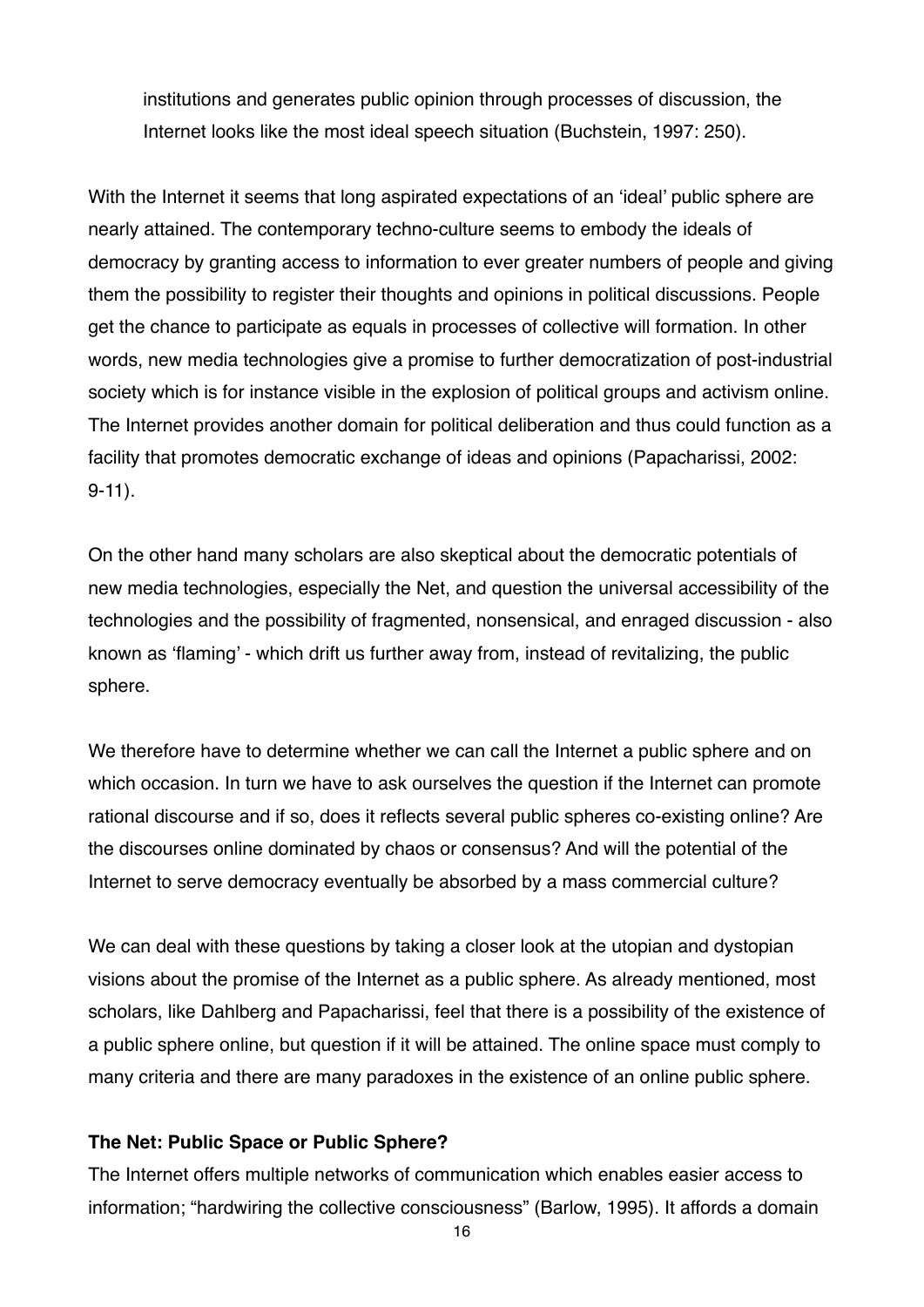institutions and generates public opinion through processes of discussion, the Internet looks like the most ideal speech situation (Buchstein, 1997: 250).

With the Internet it seems that long aspirated expectations of an 'ideal' public sphere are nearly attained. The contemporary techno-culture seems to embody the ideals of democracy by granting access to information to ever greater numbers of people and giving them the possibility to register their thoughts and opinions in political discussions. People get the chance to participate as equals in processes of collective will formation. In other words, new media technologies give a promise to further democratization of post-industrial society which is for instance visible in the explosion of political groups and activism online. The Internet provides another domain for political deliberation and thus could function as a facility that promotes democratic exchange of ideas and opinions (Papacharissi, 2002: 9-11).

On the other hand many scholars are also skeptical about the democratic potentials of new media technologies, especially the Net, and question the universal accessibility of the technologies and the possibility of fragmented, nonsensical, and enraged discussion - also known as 'flaming' - which drift us further away from, instead of revitalizing, the public sphere.

We therefore have to determine whether we can call the Internet a public sphere and on which occasion. In turn we have to ask ourselves the question if the Internet can promote rational discourse and if so, does it reflects several public spheres co-existing online? Are the discourses online dominated by chaos or consensus? And will the potential of the Internet to serve democracy eventually be absorbed by a mass commercial culture?

We can deal with these questions by taking a closer look at the utopian and dystopian visions about the promise of the Internet as a public sphere. As already mentioned, most scholars, like Dahlberg and Papacharissi, feel that there is a possibility of the existence of a public sphere online, but question if it will be attained. The online space must comply to many criteria and there are many paradoxes in the existence of an online public sphere.

#### **The Net: Public Space or Public Sphere?**

The Internet offers multiple networks of communication which enables easier access to information; "hardwiring the collective consciousness" (Barlow, 1995). It affords a domain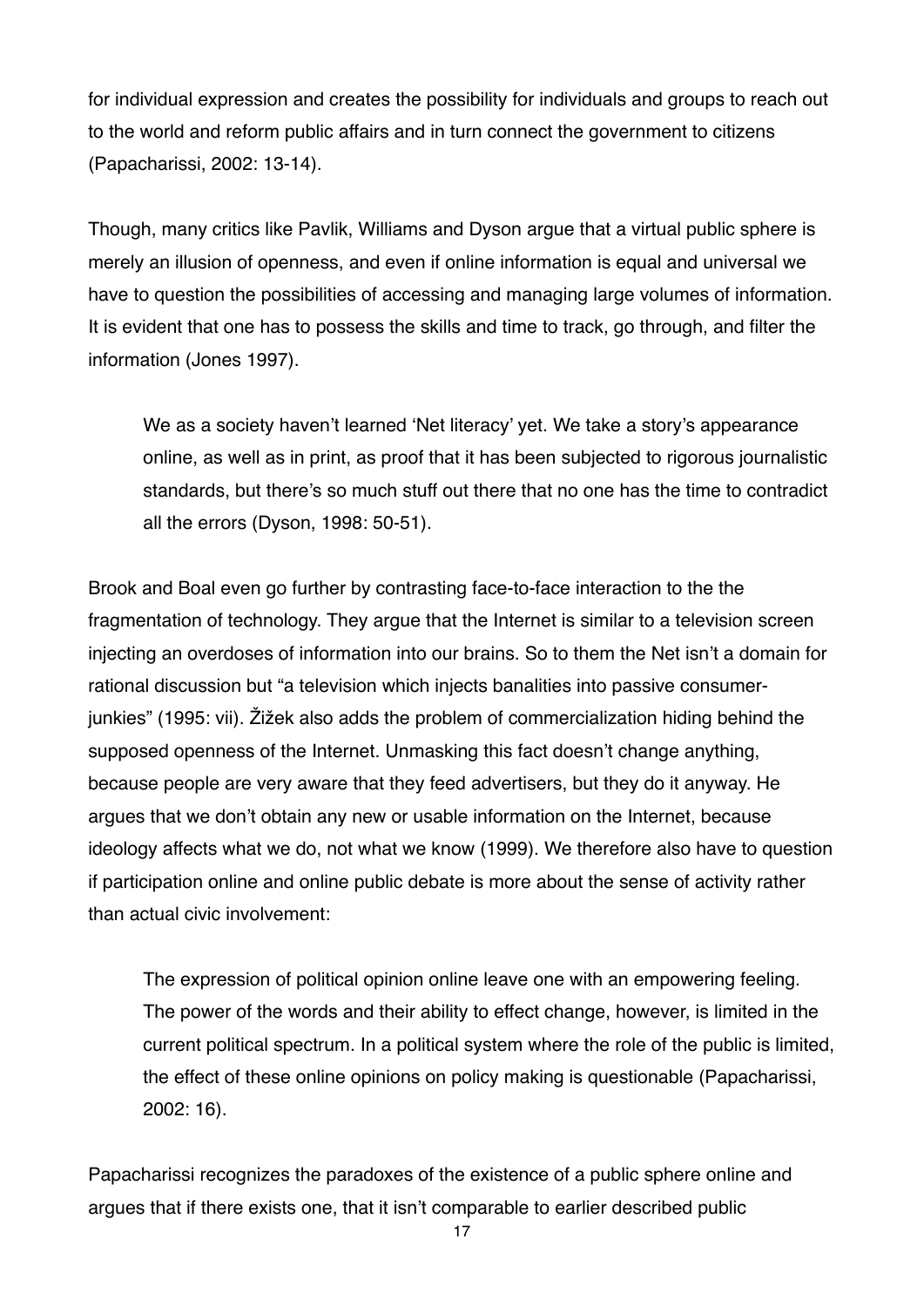for individual expression and creates the possibility for individuals and groups to reach out to the world and reform public affairs and in turn connect the government to citizens (Papacharissi, 2002: 13-14).

Though, many critics like Pavlik, Williams and Dyson argue that a virtual public sphere is merely an illusion of openness, and even if online information is equal and universal we have to question the possibilities of accessing and managing large volumes of information. It is evident that one has to possess the skills and time to track, go through, and filter the information (Jones 1997).

We as a society haven't learned 'Net literacy' yet. We take a story's appearance online, as well as in print, as proof that it has been subjected to rigorous journalistic standards, but there's so much stuff out there that no one has the time to contradict all the errors (Dyson, 1998: 50-51).

Brook and Boal even go further by contrasting face-to-face interaction to the the fragmentation of technology. They argue that the Internet is similar to a television screen injecting an overdoses of information into our brains. So to them the Net isn't a domain for rational discussion but "a television which injects banalities into passive consumerjunkies" (1995: vii). Žižek also adds the problem of commercialization hiding behind the supposed openness of the Internet. Unmasking this fact doesn't change anything, because people are very aware that they feed advertisers, but they do it anyway. He argues that we don't obtain any new or usable information on the Internet, because ideology affects what we do, not what we know (1999). We therefore also have to question if participation online and online public debate is more about the sense of activity rather than actual civic involvement:

The expression of political opinion online leave one with an empowering feeling. The power of the words and their ability to effect change, however, is limited in the current political spectrum. In a political system where the role of the public is limited, the effect of these online opinions on policy making is questionable (Papacharissi, 2002: 16).

Papacharissi recognizes the paradoxes of the existence of a public sphere online and argues that if there exists one, that it isn't comparable to earlier described public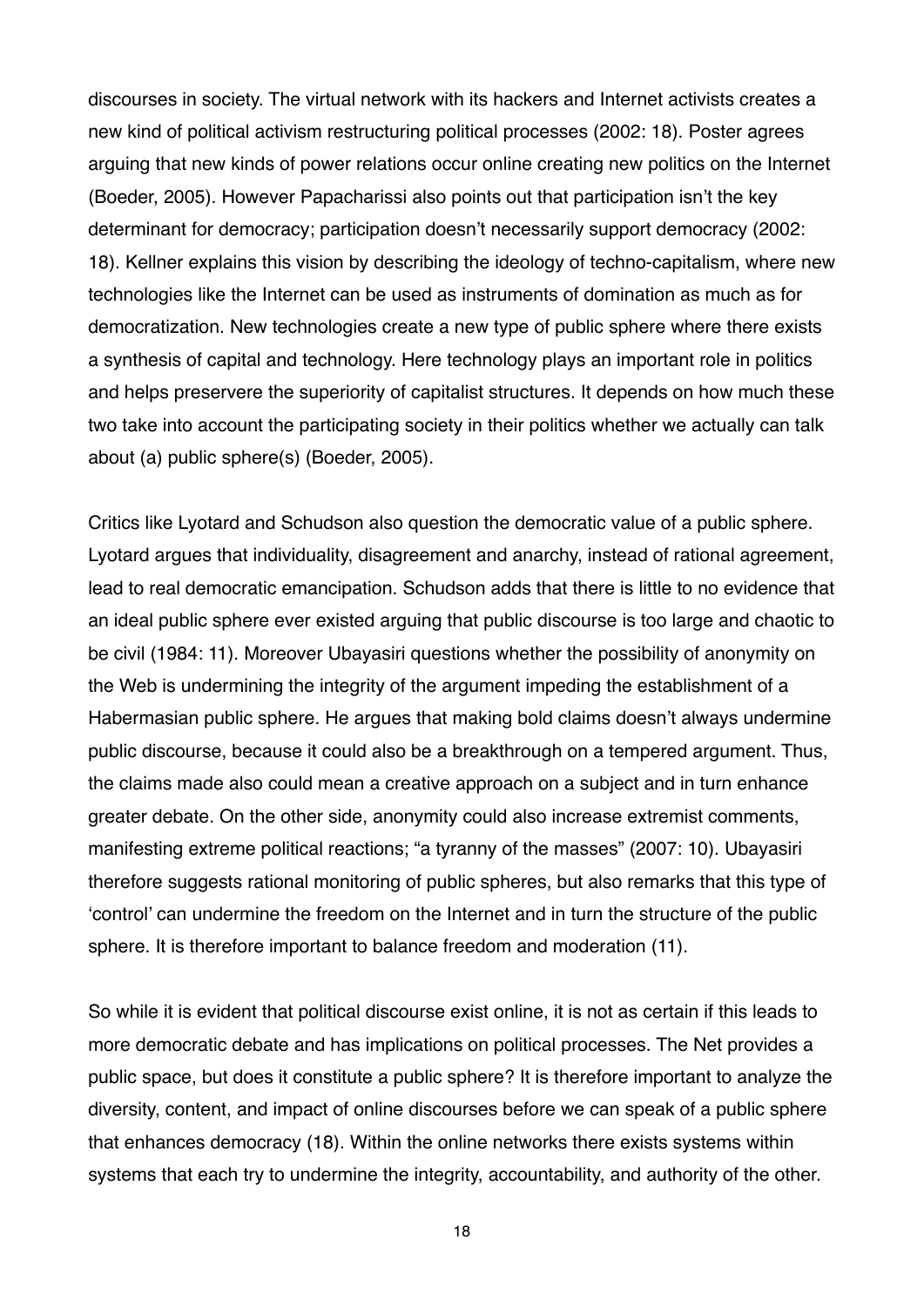discourses in society. The virtual network with its hackers and Internet activists creates a new kind of political activism restructuring political processes (2002: 18). Poster agrees arguing that new kinds of power relations occur online creating new politics on the Internet (Boeder, 2005). However Papacharissi also points out that participation isn't the key determinant for democracy; participation doesn't necessarily support democracy (2002: 18). Kellner explains this vision by describing the ideology of techno-capitalism, where new technologies like the Internet can be used as instruments of domination as much as for democratization. New technologies create a new type of public sphere where there exists a synthesis of capital and technology. Here technology plays an important role in politics and helps preservere the superiority of capitalist structures. It depends on how much these two take into account the participating society in their politics whether we actually can talk about (a) public sphere(s) (Boeder, 2005).

Critics like Lyotard and Schudson also question the democratic value of a public sphere. Lyotard argues that individuality, disagreement and anarchy, instead of rational agreement, lead to real democratic emancipation. Schudson adds that there is little to no evidence that an ideal public sphere ever existed arguing that public discourse is too large and chaotic to be civil (1984: 11). Moreover Ubayasiri questions whether the possibility of anonymity on the Web is undermining the integrity of the argument impeding the establishment of a Habermasian public sphere. He argues that making bold claims doesn't always undermine public discourse, because it could also be a breakthrough on a tempered argument. Thus, the claims made also could mean a creative approach on a subject and in turn enhance greater debate. On the other side, anonymity could also increase extremist comments, manifesting extreme political reactions; "a tyranny of the masses" (2007: 10). Ubayasiri therefore suggests rational monitoring of public spheres, but also remarks that this type of 'control' can undermine the freedom on the Internet and in turn the structure of the public sphere. It is therefore important to balance freedom and moderation (11).

So while it is evident that political discourse exist online, it is not as certain if this leads to more democratic debate and has implications on political processes. The Net provides a public space, but does it constitute a public sphere? It is therefore important to analyze the diversity, content, and impact of online discourses before we can speak of a public sphere that enhances democracy (18). Within the online networks there exists systems within systems that each try to undermine the integrity, accountability, and authority of the other.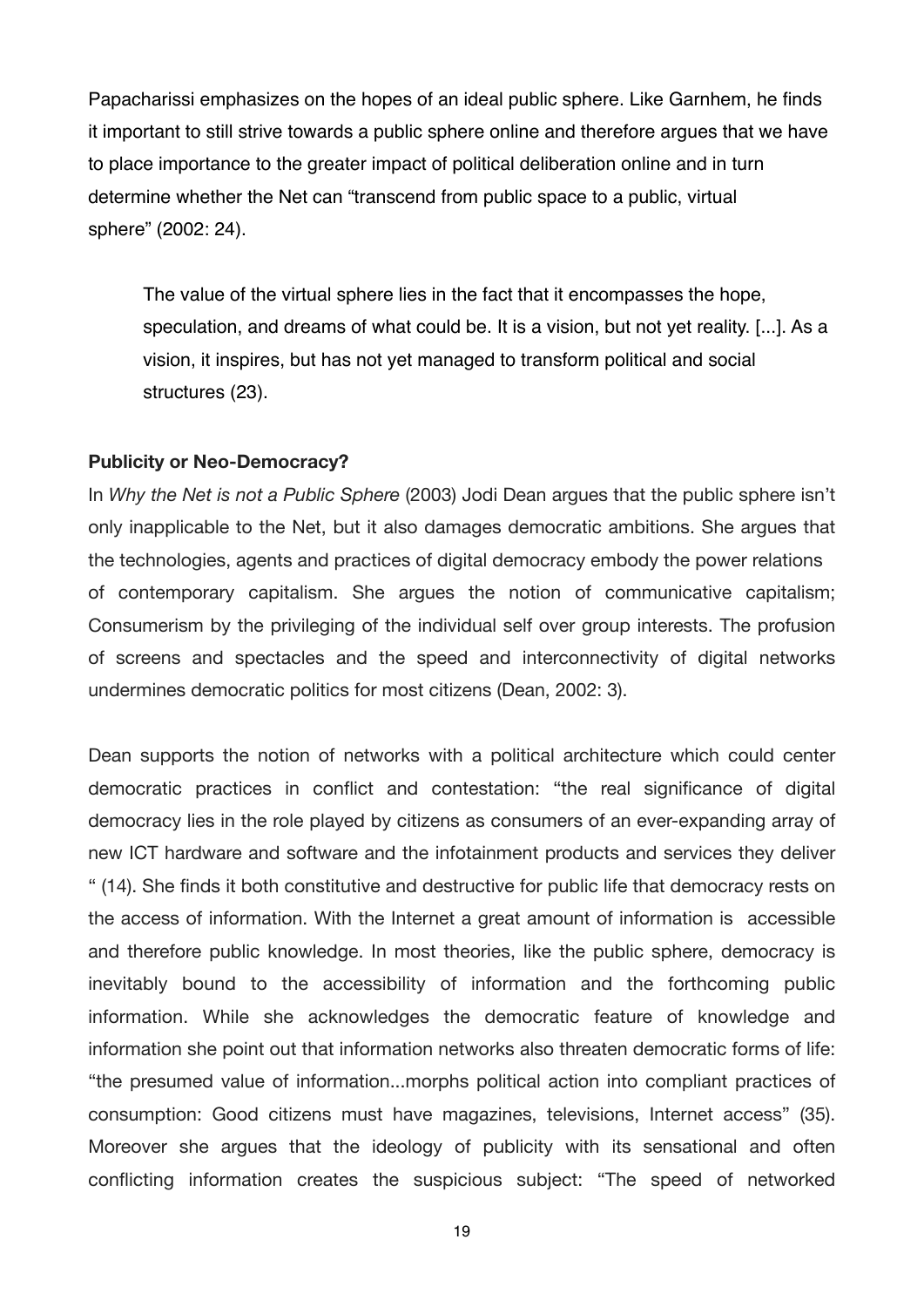Papacharissi emphasizes on the hopes of an ideal public sphere. Like Garnhem, he finds it important to still strive towards a public sphere online and therefore argues that we have to place importance to the greater impact of political deliberation online and in turn determine whether the Net can "transcend from public space to a public, virtual sphere" (2002: 24).

The value of the virtual sphere lies in the fact that it encompasses the hope, speculation, and dreams of what could be. It is a vision, but not yet reality. [...]. As a vision, it inspires, but has not yet managed to transform political and social structures (23).

#### **Publicity or Neo-Democracy?**

In *Why the Net is not a Public Sphere* (2003) Jodi Dean argues that the public sphere isn't only inapplicable to the Net, but it also damages democratic ambitions. She argues that the technologies, agents and practices of digital democracy embody the power relations of contemporary capitalism. She argues the notion of communicative capitalism; Consumerism by the privileging of the individual self over group interests. The profusion of screens and spectacles and the speed and interconnectivity of digital networks undermines democratic politics for most citizens (Dean, 2002: 3).

Dean supports the notion of networks with a political architecture which could center democratic practices in conflict and contestation: "the real significance of digital democracy lies in the role played by citizens as consumers of an ever-expanding array of new ICT hardware and software and the infotainment products and services they deliver " (14). She finds it both constitutive and destructive for public life that democracy rests on the access of information. With the Internet a great amount of information is accessible and therefore public knowledge. In most theories, like the public sphere, democracy is inevitably bound to the accessibility of information and the forthcoming public information. While she acknowledges the democratic feature of knowledge and information she point out that information networks also threaten democratic forms of life: "the presumed value of information...morphs political action into compliant practices of consumption: Good citizens must have magazines, televisions, Internet access" (35). Moreover she argues that the ideology of publicity with its sensational and often conflicting information creates the suspicious subject: "The speed of networked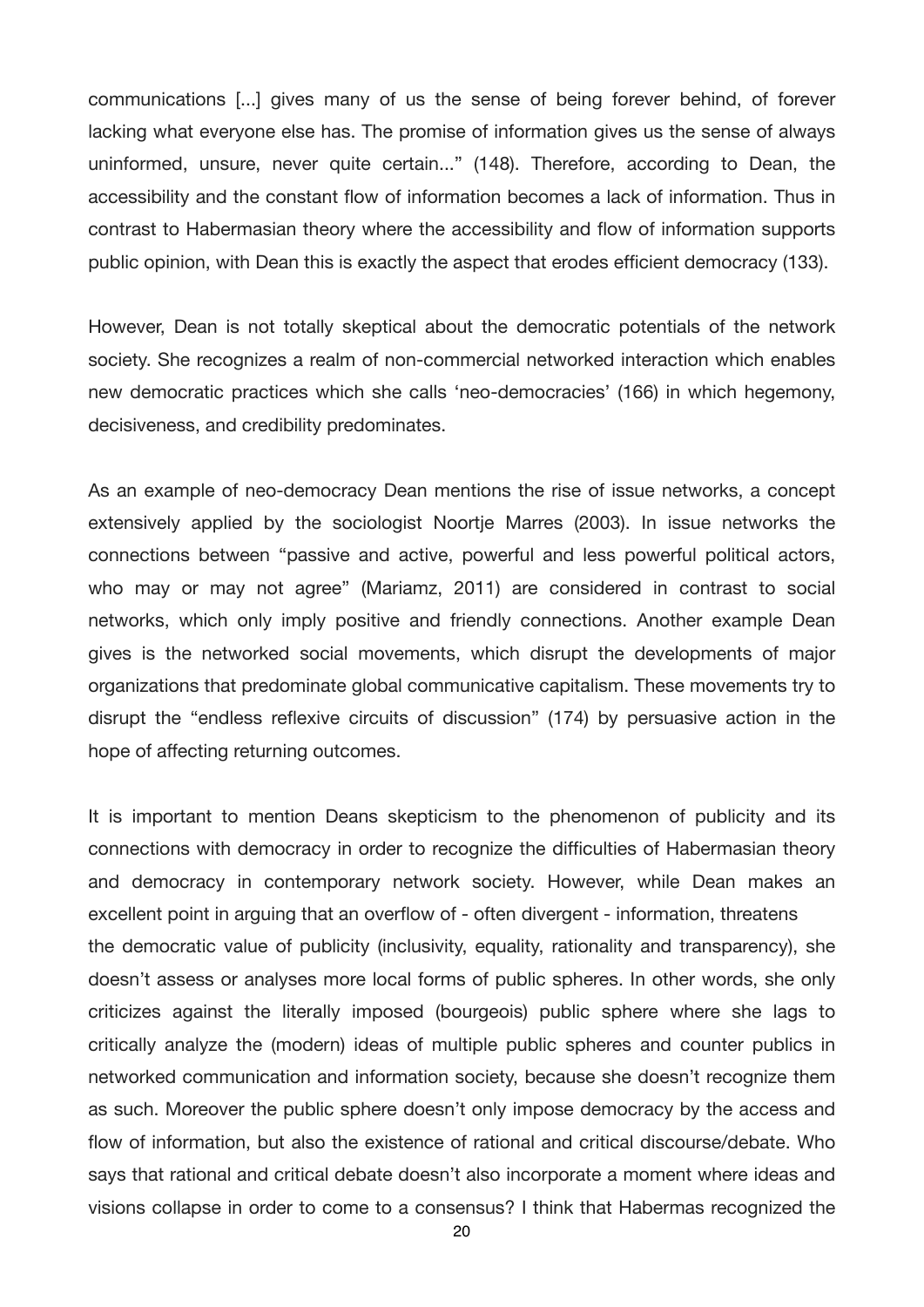communications [...] gives many of us the sense of being forever behind, of forever lacking what everyone else has. The promise of information gives us the sense of always uninformed, unsure, never quite certain..." (148). Therefore, according to Dean, the accessibility and the constant flow of information becomes a lack of information. Thus in contrast to Habermasian theory where the accessibility and flow of information supports public opinion, with Dean this is exactly the aspect that erodes efficient democracy (133).

However, Dean is not totally skeptical about the democratic potentials of the network society. She recognizes a realm of non-commercial networked interaction which enables new democratic practices which she calls 'neo-democracies' (166) in which hegemony, decisiveness, and credibility predominates.

As an example of neo-democracy Dean mentions the rise of issue networks, a concept extensively applied by the sociologist Noortje Marres (2003). In issue networks the connections between "passive and active, powerful and less powerful political actors, who may or may not agree" (Mariamz, 2011) are considered in contrast to social networks, which only imply positive and friendly connections. Another example Dean gives is the networked social movements, which disrupt the developments of major organizations that predominate global communicative capitalism. These movements try to disrupt the "endless reflexive circuits of discussion" (174) by persuasive action in the hope of affecting returning outcomes.

It is important to mention Deans skepticism to the phenomenon of publicity and its connections with democracy in order to recognize the difficulties of Habermasian theory and democracy in contemporary network society. However, while Dean makes an excellent point in arguing that an overflow of - often divergent - information, threatens the democratic value of publicity (inclusivity, equality, rationality and transparency), she doesn't assess or analyses more local forms of public spheres. In other words, she only criticizes against the literally imposed (bourgeois) public sphere where she lags to critically analyze the (modern) ideas of multiple public spheres and counter publics in networked communication and information society, because she doesn't recognize them as such. Moreover the public sphere doesn't only impose democracy by the access and flow of information, but also the existence of rational and critical discourse/debate. Who says that rational and critical debate doesn't also incorporate a moment where ideas and visions collapse in order to come to a consensus? I think that Habermas recognized the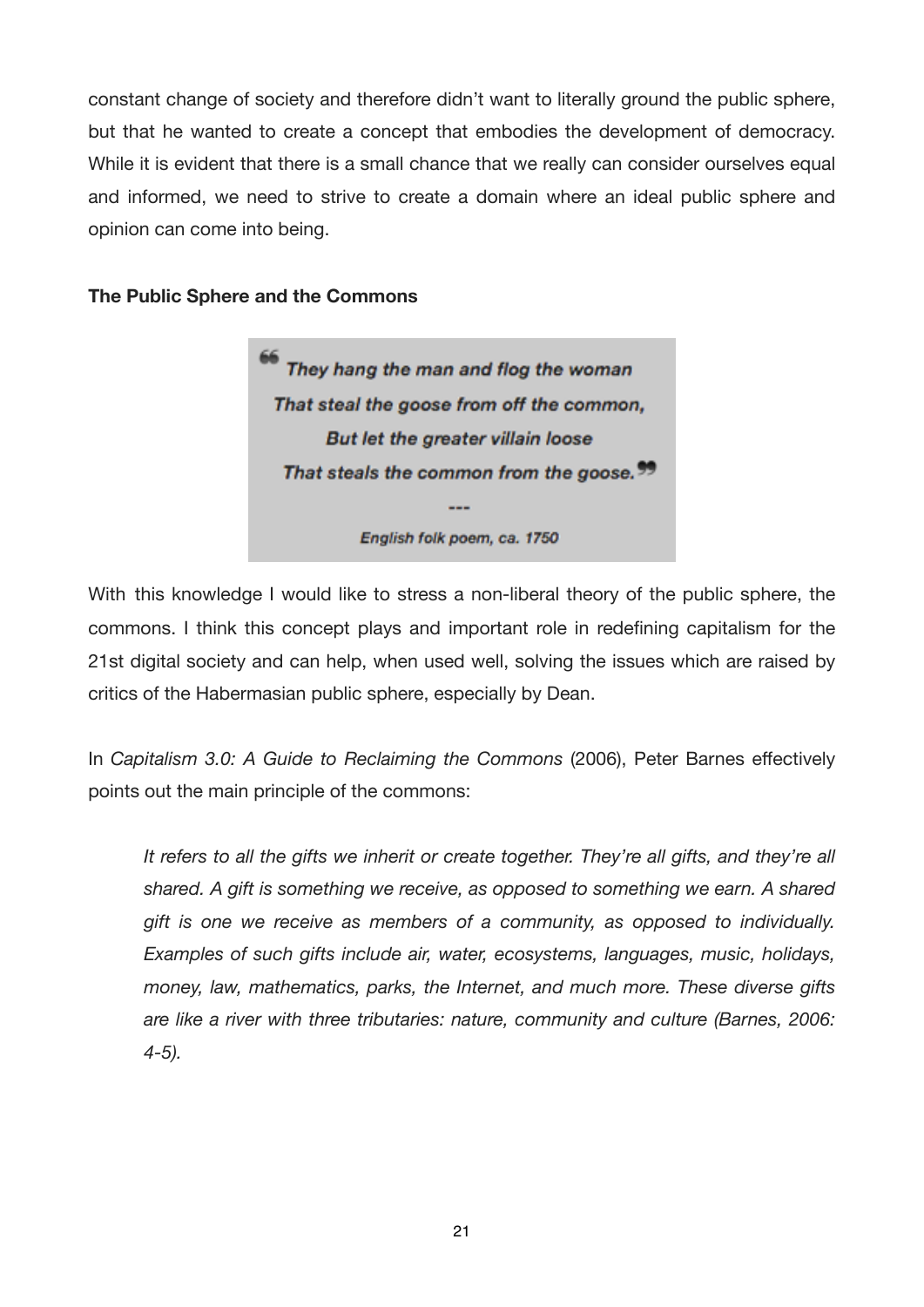constant change of society and therefore didn't want to literally ground the public sphere, but that he wanted to create a concept that embodies the development of democracy. While it is evident that there is a small chance that we really can consider ourselves equal and informed, we need to strive to create a domain where an ideal public sphere and opinion can come into being.

# **The Public Sphere and the Commons**

They hang the man and flog the woman That steal the goose from off the common. But let the greater villain loose That steals the common from the goose.<sup>99</sup> English folk poem, ca. 1750

With this knowledge I would like to stress a non-liberal theory of the public sphere, the commons. I think this concept plays and important role in redefining capitalism for the 21st digital society and can help, when used well, solving the issues which are raised by critics of the Habermasian public sphere, especially by Dean.

In *Capitalism 3.0: A Guide to Reclaiming the Commons* (2006), Peter Barnes effectively points out the main principle of the commons:

*It refers to all the gifts we inherit or create together. They're all gifts, and they're all shared. A gift is something we receive, as opposed to something we earn. A shared gift is one we receive as members of a community, as opposed to individually. Examples of such gifts include air, water, ecosystems, languages, music, holidays, money, law, mathematics, parks, the Internet, and much more. These diverse gifts are like a river with three tributaries: nature, community and culture (Barnes, 2006: 4-5).*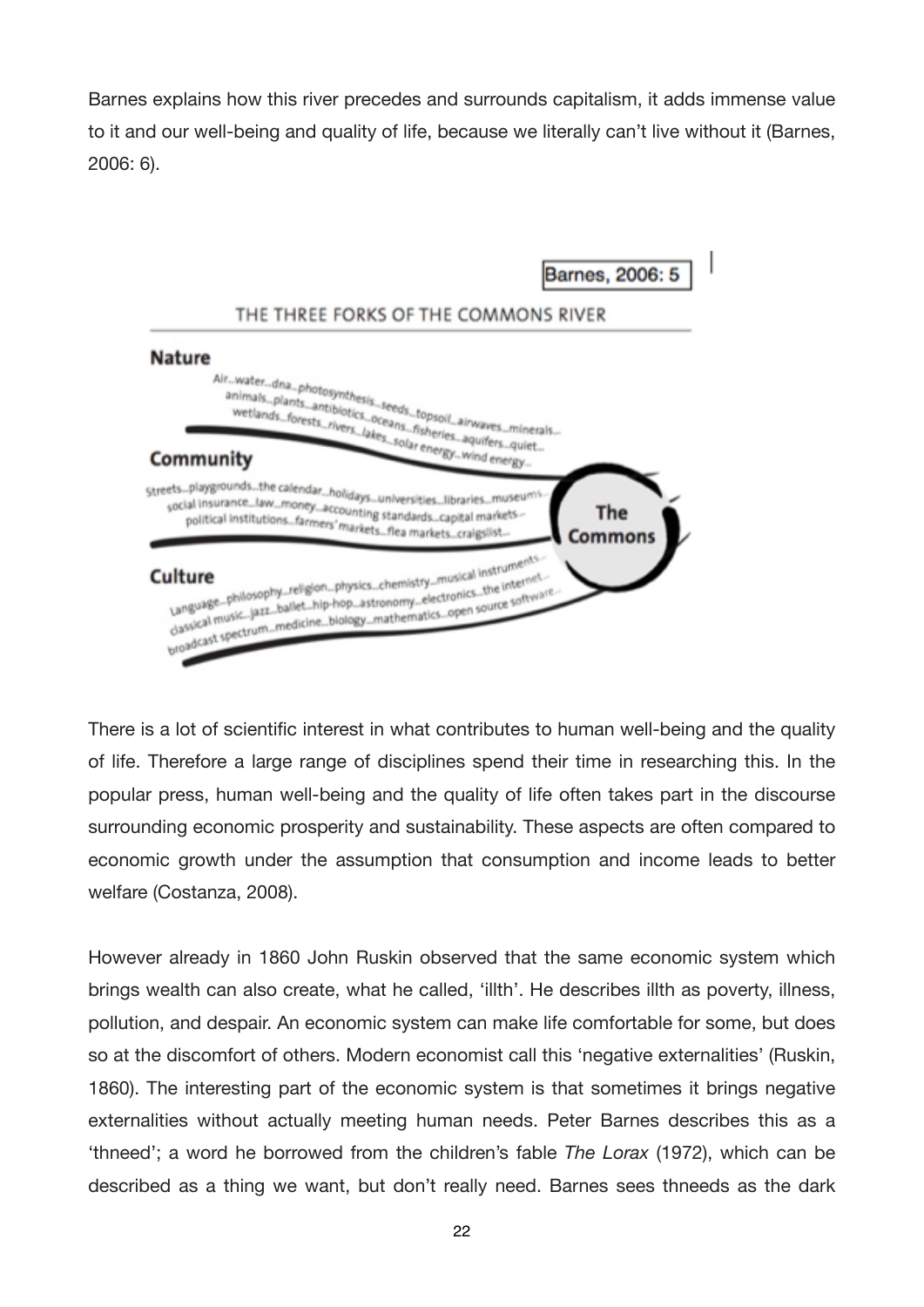Barnes explains how this river precedes and surrounds capitalism, it adds immense value to it and our well-being and quality of life, because we literally can't live without it (Barnes, 2006: 6).



There is a lot of scientific interest in what contributes to human well-being and the quality of life. Therefore a large range of disciplines spend their time in researching this. In the popular press, human well-being and the quality of life often takes part in the discourse surrounding economic prosperity and sustainability. These aspects are often compared to economic growth under the assumption that consumption and income leads to better welfare (Costanza, 2008).

However already in 1860 John Ruskin observed that the same economic system which brings wealth can also create, what he called, 'illth'. He describes illth as poverty, illness, pollution, and despair. An economic system can make life comfortable for some, but does so at the discomfort of others. Modern economist call this 'negative externalities' (Ruskin, 1860). The interesting part of the economic system is that sometimes it brings negative externalities without actually meeting human needs. Peter Barnes describes this as a 'thneed'; a word he borrowed from the children's fable *The Lorax* (1972), which can be described as a thing we want, but don't really need. Barnes sees thneeds as the dark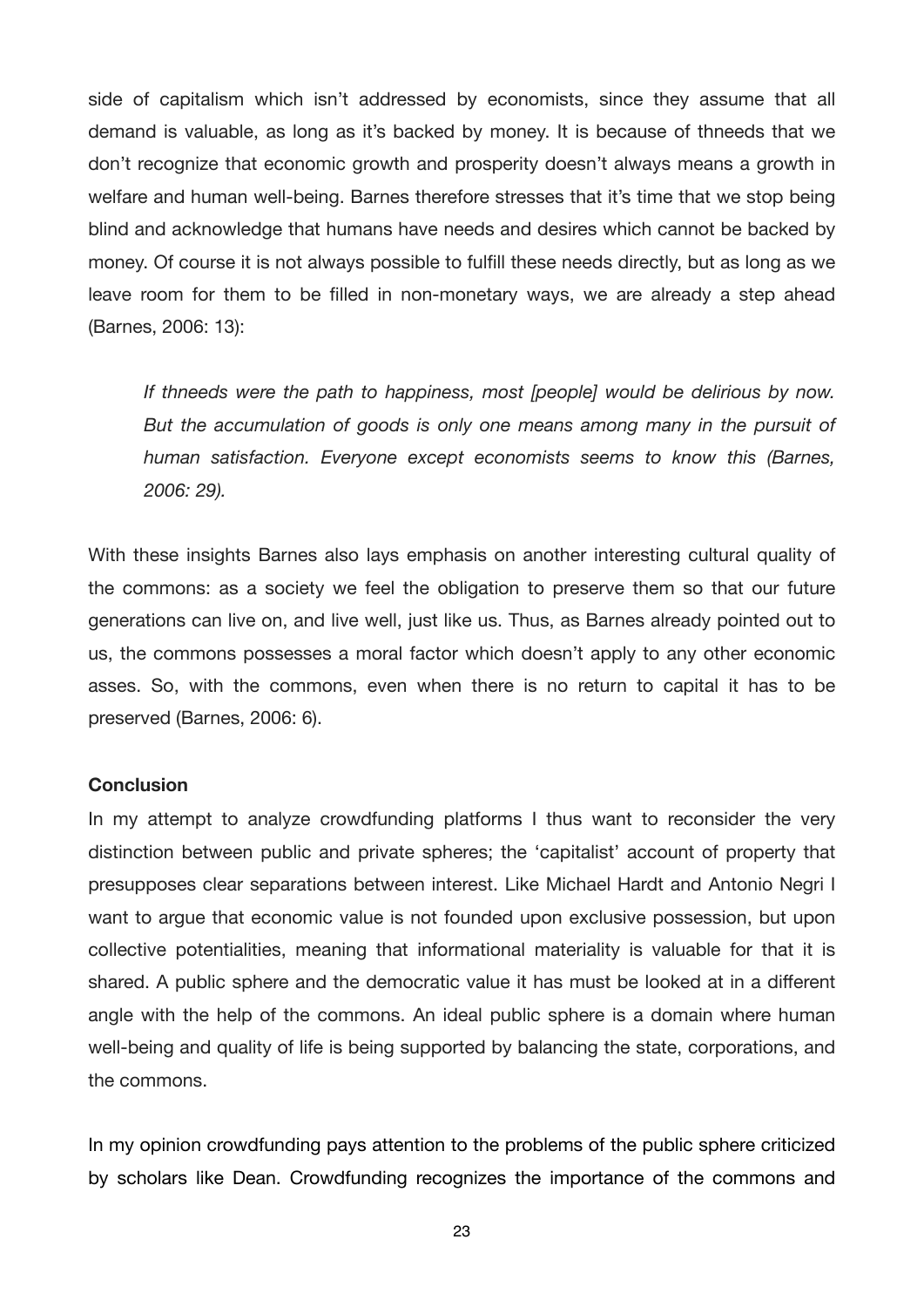side of capitalism which isn't addressed by economists, since they assume that all demand is valuable, as long as it's backed by money. It is because of thneeds that we don't recognize that economic growth and prosperity doesn't always means a growth in welfare and human well-being. Barnes therefore stresses that it's time that we stop being blind and acknowledge that humans have needs and desires which cannot be backed by money. Of course it is not always possible to fulfill these needs directly, but as long as we leave room for them to be filled in non-monetary ways, we are already a step ahead (Barnes, 2006: 13):

*If thneeds were the path to happiness, most [people] would be delirious by now. But the accumulation of goods is only one means among many in the pursuit of human satisfaction. Everyone except economists seems to know this (Barnes, 2006: 29).*

With these insights Barnes also lays emphasis on another interesting cultural quality of the commons: as a society we feel the obligation to preserve them so that our future generations can live on, and live well, just like us. Thus, as Barnes already pointed out to us, the commons possesses a moral factor which doesn't apply to any other economic asses. So, with the commons, even when there is no return to capital it has to be preserved (Barnes, 2006: 6).

#### **Conclusion**

In my attempt to analyze crowdfunding platforms I thus want to reconsider the very distinction between public and private spheres; the 'capitalist' account of property that presupposes clear separations between interest. Like Michael Hardt and Antonio Negri I want to argue that economic value is not founded upon exclusive possession, but upon collective potentialities, meaning that informational materiality is valuable for that it is shared. A public sphere and the democratic value it has must be looked at in a different angle with the help of the commons. An ideal public sphere is a domain where human well-being and quality of life is being supported by balancing the state, corporations, and the commons.

In my opinion crowdfunding pays attention to the problems of the public sphere criticized by scholars like Dean. Crowdfunding recognizes the importance of the commons and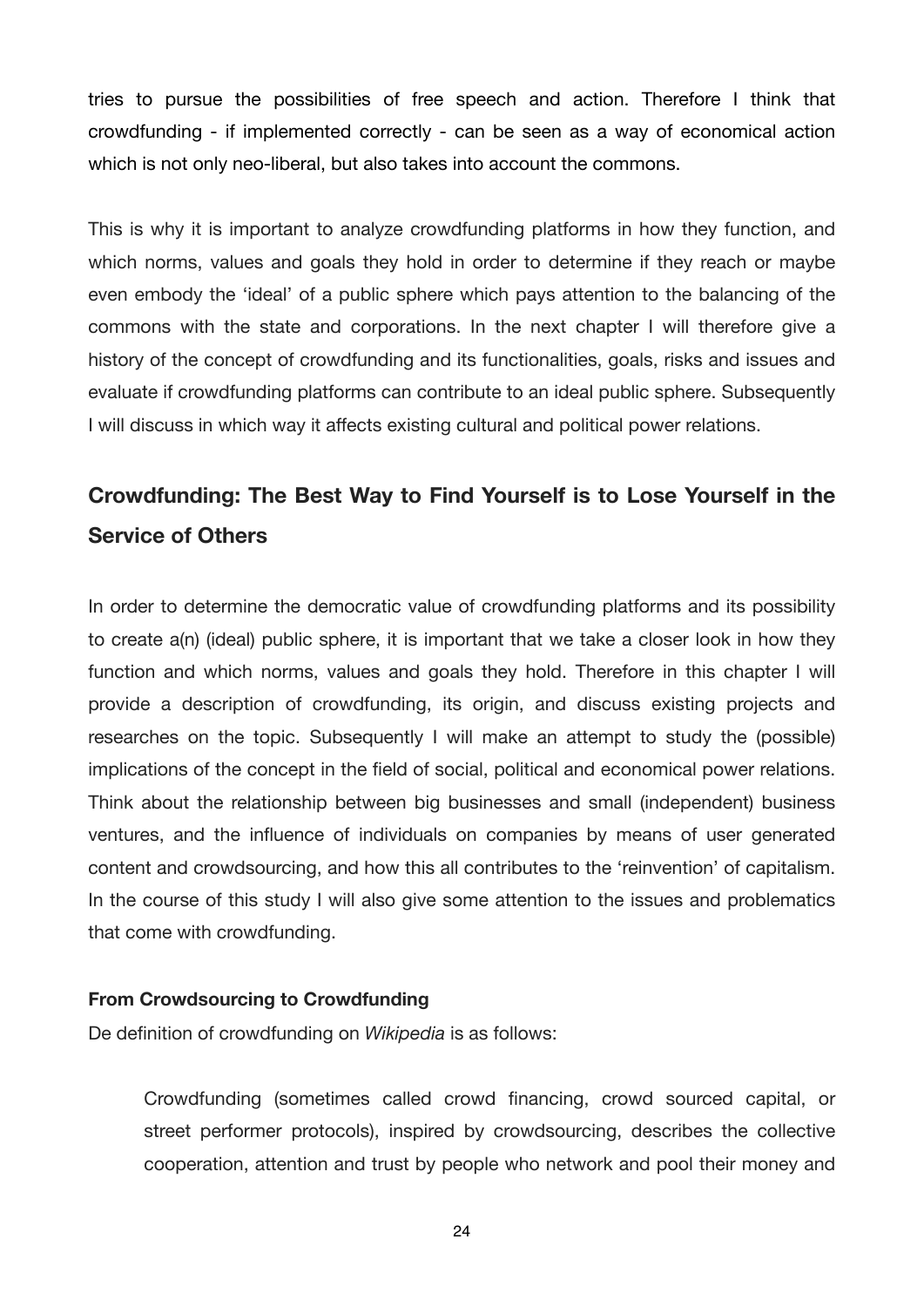tries to pursue the possibilities of free speech and action. Therefore I think that crowdfunding - if implemented correctly - can be seen as a way of economical action which is not only neo-liberal, but also takes into account the commons.

This is why it is important to analyze crowdfunding platforms in how they function, and which norms, values and goals they hold in order to determine if they reach or maybe even embody the 'ideal' of a public sphere which pays attention to the balancing of the commons with the state and corporations. In the next chapter I will therefore give a history of the concept of crowdfunding and its functionalities, goals, risks and issues and evaluate if crowdfunding platforms can contribute to an ideal public sphere. Subsequently I will discuss in which way it affects existing cultural and political power relations.

# **Crowdfunding: The Best Way to Find Yourself is to Lose Yourself in the Service of Others**

In order to determine the democratic value of crowdfunding platforms and its possibility to create a(n) (ideal) public sphere, it is important that we take a closer look in how they function and which norms, values and goals they hold. Therefore in this chapter I will provide a description of crowdfunding, its origin, and discuss existing projects and researches on the topic. Subsequently I will make an attempt to study the (possible) implications of the concept in the field of social, political and economical power relations. Think about the relationship between big businesses and small (independent) business ventures, and the influence of individuals on companies by means of user generated content and crowdsourcing, and how this all contributes to the 'reinvention' of capitalism. In the course of this study I will also give some attention to the issues and problematics that come with crowdfunding.

# **From Crowdsourcing to Crowdfunding**

De definition of crowdfunding on *Wikipedia* is as follows:

Crowdfunding (sometimes called crowd financing, crowd sourced capital, or street performer protocols), inspired by crowdsourcing, describes the collective cooperation, attention and trust by people who network and pool their money and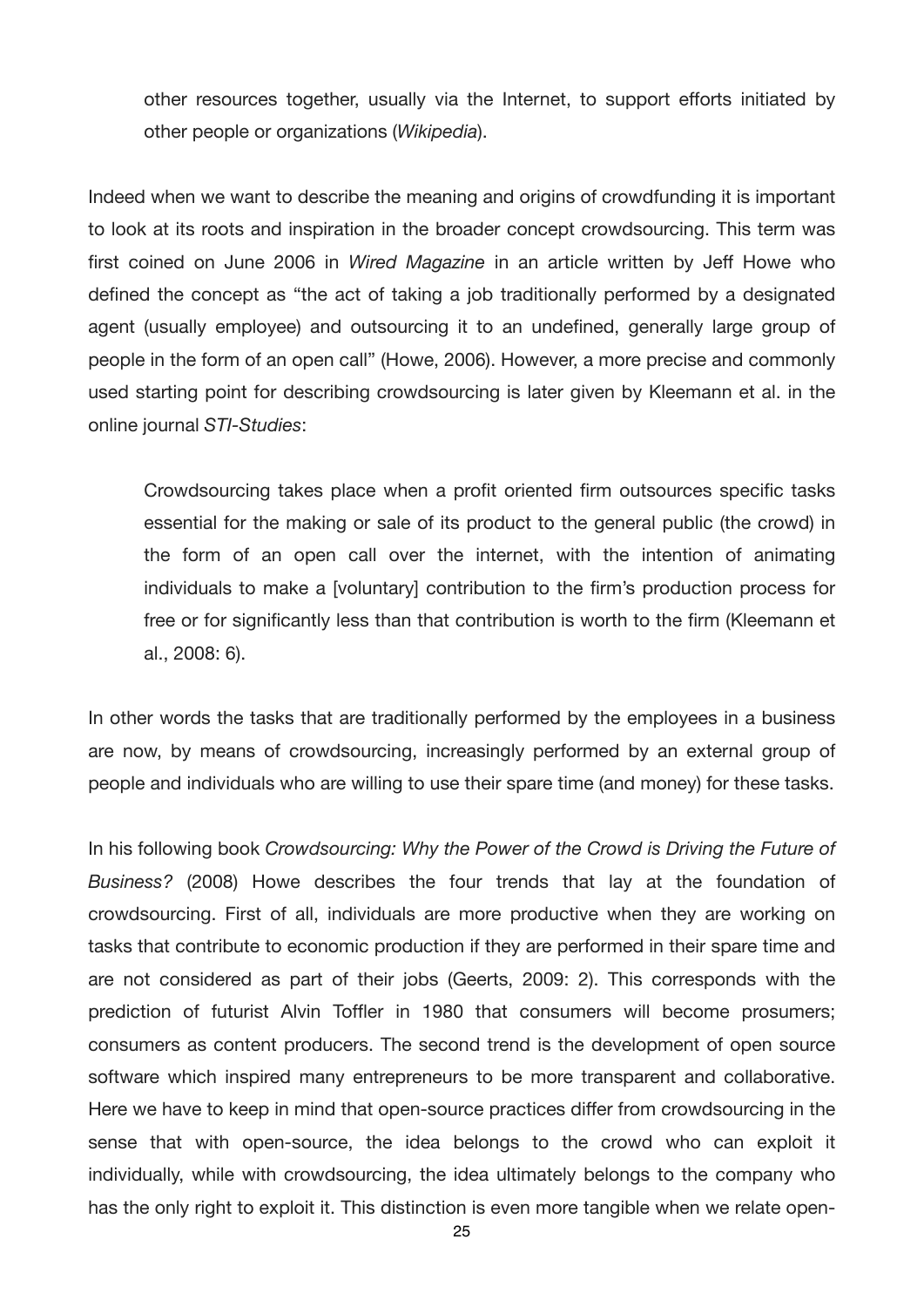other resources together, usually via the Internet, to support efforts initiated by other people or organizations (*Wikipedia*).

Indeed when we want to describe the meaning and origins of crowdfunding it is important to look at its roots and inspiration in the broader concept crowdsourcing. This term was first coined on June 2006 in *Wired Magazine* in an article written by Jeff Howe who defined the concept as "the act of taking a job traditionally performed by a designated agent (usually employee) and outsourcing it to an undefined, generally large group of people in the form of an open call" (Howe, 2006). However, a more precise and commonly used starting point for describing crowdsourcing is later given by Kleemann et al. in the online journal *STI-Studies*:

Crowdsourcing takes place when a profit oriented firm outsources specific tasks essential for the making or sale of its product to the general public (the crowd) in the form of an open call over the internet, with the intention of animating individuals to make a [voluntary] contribution to the firm's production process for free or for significantly less than that contribution is worth to the firm (Kleemann et al., 2008: 6).

In other words the tasks that are traditionally performed by the employees in a business are now, by means of crowdsourcing, increasingly performed by an external group of people and individuals who are willing to use their spare time (and money) for these tasks.

In his following book *Crowdsourcing: Why the Power of the Crowd is Driving the Future of Business?* (2008) Howe describes the four trends that lay at the foundation of crowdsourcing. First of all, individuals are more productive when they are working on tasks that contribute to economic production if they are performed in their spare time and are not considered as part of their jobs (Geerts, 2009: 2). This corresponds with the prediction of futurist Alvin Toffler in 1980 that consumers will become prosumers; consumers as content producers. The second trend is the development of open source software which inspired many entrepreneurs to be more transparent and collaborative. Here we have to keep in mind that open-source practices differ from crowdsourcing in the sense that with open-source, the idea belongs to the crowd who can exploit it individually, while with crowdsourcing, the idea ultimately belongs to the company who has the only right to exploit it. This distinction is even more tangible when we relate open-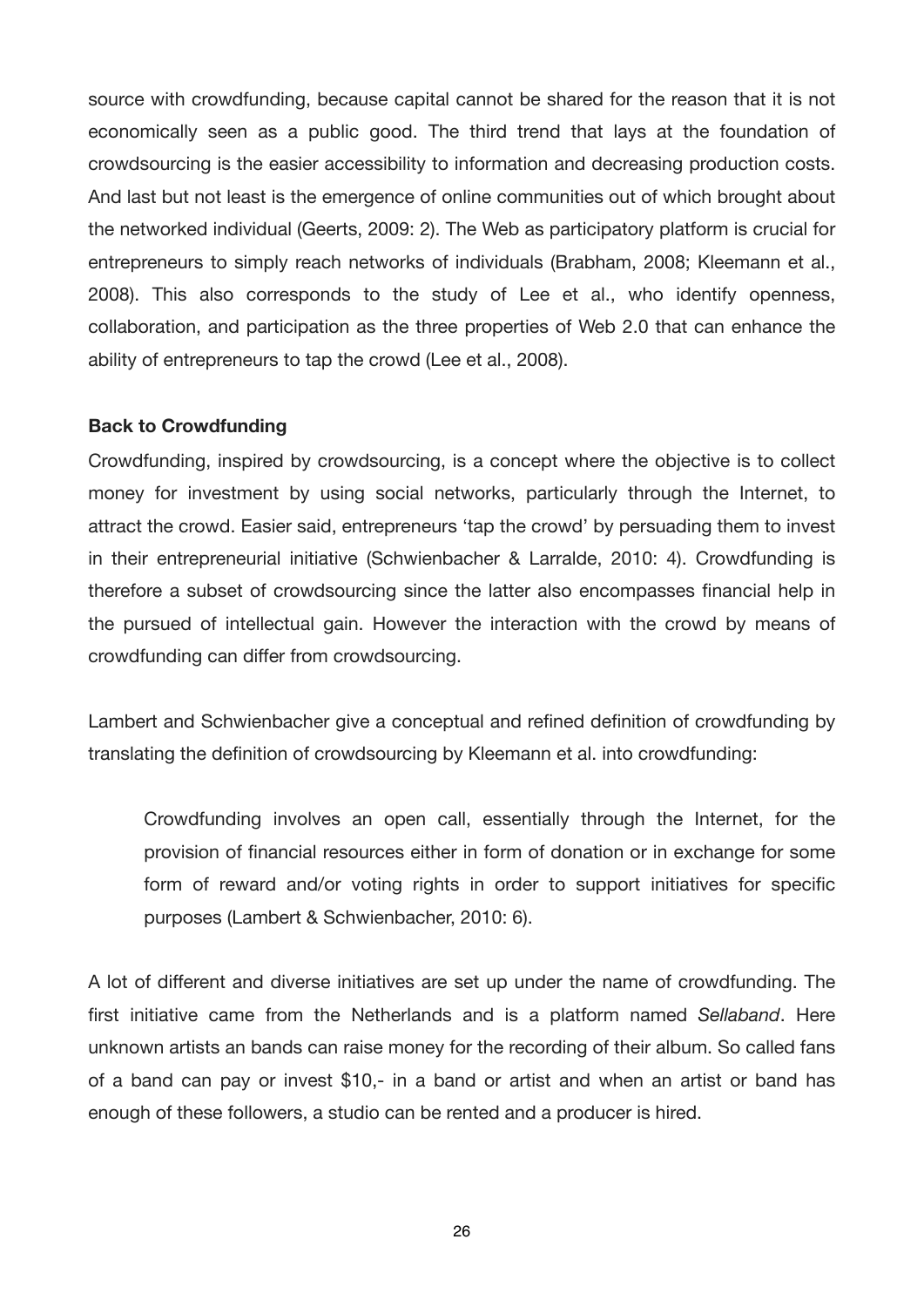source with crowdfunding, because capital cannot be shared for the reason that it is not economically seen as a public good. The third trend that lays at the foundation of crowdsourcing is the easier accessibility to information and decreasing production costs. And last but not least is the emergence of online communities out of which brought about the networked individual (Geerts, 2009: 2). The Web as participatory platform is crucial for entrepreneurs to simply reach networks of individuals (Brabham, 2008; Kleemann et al., 2008). This also corresponds to the study of Lee et al., who identify openness, collaboration, and participation as the three properties of Web 2.0 that can enhance the ability of entrepreneurs to tap the crowd (Lee et al., 2008).

#### **Back to Crowdfunding**

Crowdfunding, inspired by crowdsourcing, is a concept where the objective is to collect money for investment by using social networks, particularly through the Internet, to attract the crowd. Easier said, entrepreneurs 'tap the crowd' by persuading them to invest in their entrepreneurial initiative (Schwienbacher & Larralde, 2010: 4). Crowdfunding is therefore a subset of crowdsourcing since the latter also encompasses financial help in the pursued of intellectual gain. However the interaction with the crowd by means of crowdfunding can differ from crowdsourcing.

Lambert and Schwienbacher give a conceptual and refined definition of crowdfunding by translating the definition of crowdsourcing by Kleemann et al. into crowdfunding:

Crowdfunding involves an open call, essentially through the Internet, for the provision of financial resources either in form of donation or in exchange for some form of reward and/or voting rights in order to support initiatives for specific purposes (Lambert & Schwienbacher, 2010: 6).

A lot of different and diverse initiatives are set up under the name of crowdfunding. The first initiative came from the Netherlands and is a platform named *Sellaband*. Here unknown artists an bands can raise money for the recording of their album. So called fans of a band can pay or invest \$10,- in a band or artist and when an artist or band has enough of these followers, a studio can be rented and a producer is hired.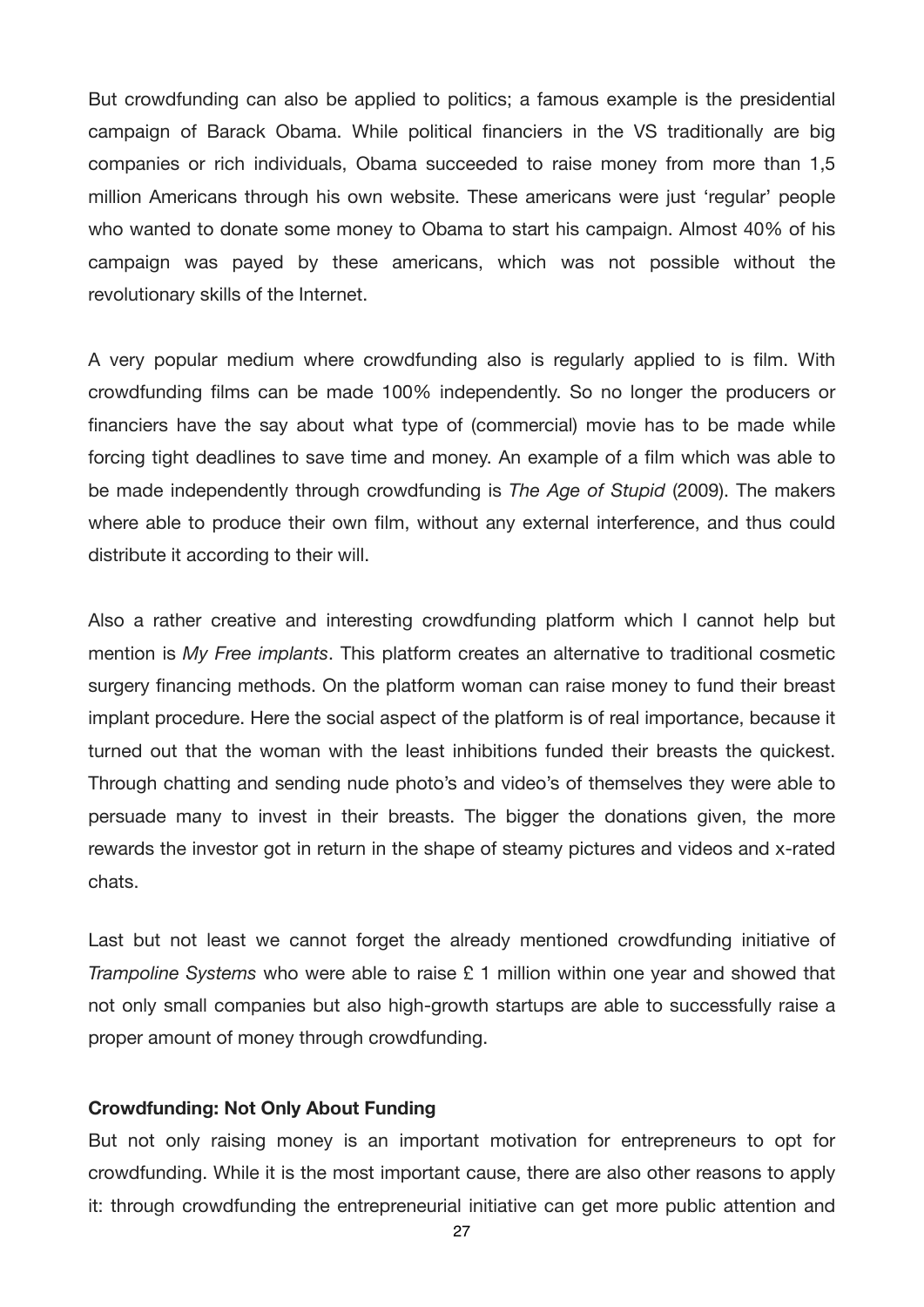But crowdfunding can also be applied to politics; a famous example is the presidential campaign of Barack Obama. While political financiers in the VS traditionally are big companies or rich individuals, Obama succeeded to raise money from more than 1,5 million Americans through his own website. These americans were just 'regular' people who wanted to donate some money to Obama to start his campaign. Almost 40% of his campaign was payed by these americans, which was not possible without the revolutionary skills of the Internet.

A very popular medium where crowdfunding also is regularly applied to is film. With crowdfunding films can be made 100% independently. So no longer the producers or financiers have the say about what type of (commercial) movie has to be made while forcing tight deadlines to save time and money. An example of a film which was able to be made independently through crowdfunding is *The Age of Stupid* (2009). The makers where able to produce their own film, without any external interference, and thus could distribute it according to their will.

Also a rather creative and interesting crowdfunding platform which I cannot help but mention is *My Free implants*. This platform creates an alternative to traditional cosmetic surgery financing methods. On the platform woman can raise money to fund their breast implant procedure. Here the social aspect of the platform is of real importance, because it turned out that the woman with the least inhibitions funded their breasts the quickest. Through chatting and sending nude photo's and video's of themselves they were able to persuade many to invest in their breasts. The bigger the donations given, the more rewards the investor got in return in the shape of steamy pictures and videos and x-rated chats.

Last but not least we cannot forget the already mentioned crowdfunding initiative of *Trampoline Systems* who were able to raise £ 1 million within one year and showed that not only small companies but also high-growth startups are able to successfully raise a proper amount of money through crowdfunding.

#### **Crowdfunding: Not Only About Funding**

But not only raising money is an important motivation for entrepreneurs to opt for crowdfunding. While it is the most important cause, there are also other reasons to apply it: through crowdfunding the entrepreneurial initiative can get more public attention and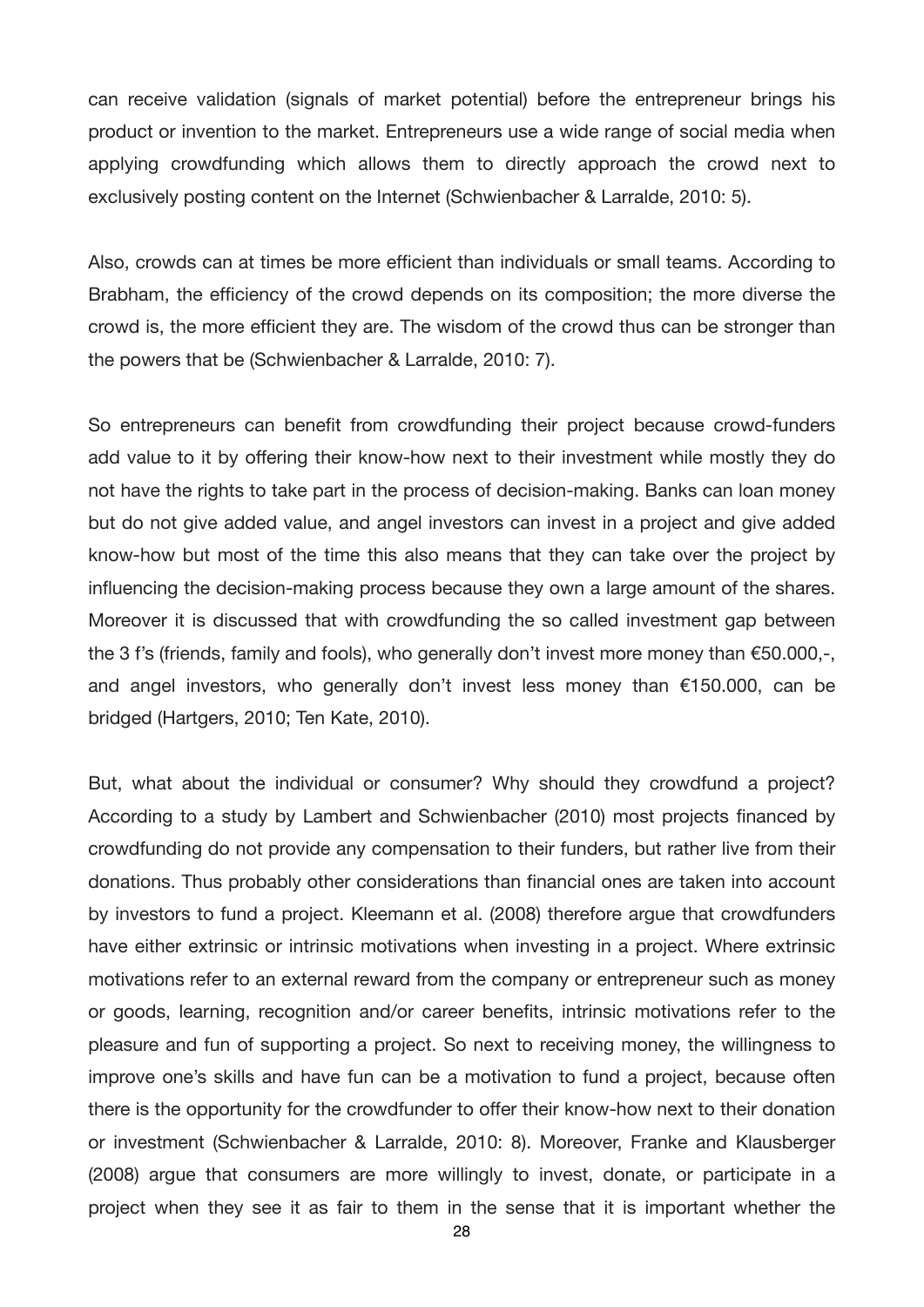can receive validation (signals of market potential) before the entrepreneur brings his product or invention to the market. Entrepreneurs use a wide range of social media when applying crowdfunding which allows them to directly approach the crowd next to exclusively posting content on the Internet (Schwienbacher & Larralde, 2010: 5).

Also, crowds can at times be more efficient than individuals or small teams. According to Brabham, the efficiency of the crowd depends on its composition; the more diverse the crowd is, the more efficient they are. The wisdom of the crowd thus can be stronger than the powers that be (Schwienbacher & Larralde, 2010: 7).

So entrepreneurs can benefit from crowdfunding their project because crowd-funders add value to it by offering their know-how next to their investment while mostly they do not have the rights to take part in the process of decision-making. Banks can loan money but do not give added value, and angel investors can invest in a project and give added know-how but most of the time this also means that they can take over the project by influencing the decision-making process because they own a large amount of the shares. Moreover it is discussed that with crowdfunding the so called investment gap between the 3 f's (friends, family and fools), who generally don't invest more money than €50.000,-, and angel investors, who generally don't invest less money than €150.000, can be bridged (Hartgers, 2010; Ten Kate, 2010).

But, what about the individual or consumer? Why should they crowdfund a project? According to a study by Lambert and Schwienbacher (2010) most projects financed by crowdfunding do not provide any compensation to their funders, but rather live from their donations. Thus probably other considerations than financial ones are taken into account by investors to fund a project. Kleemann et al. (2008) therefore argue that crowdfunders have either extrinsic or intrinsic motivations when investing in a project. Where extrinsic motivations refer to an external reward from the company or entrepreneur such as money or goods, learning, recognition and/or career benefits, intrinsic motivations refer to the pleasure and fun of supporting a project. So next to receiving money, the willingness to improve one's skills and have fun can be a motivation to fund a project, because often there is the opportunity for the crowdfunder to offer their know-how next to their donation or investment (Schwienbacher & Larralde, 2010: 8). Moreover, Franke and Klausberger (2008) argue that consumers are more willingly to invest, donate, or participate in a project when they see it as fair to them in the sense that it is important whether the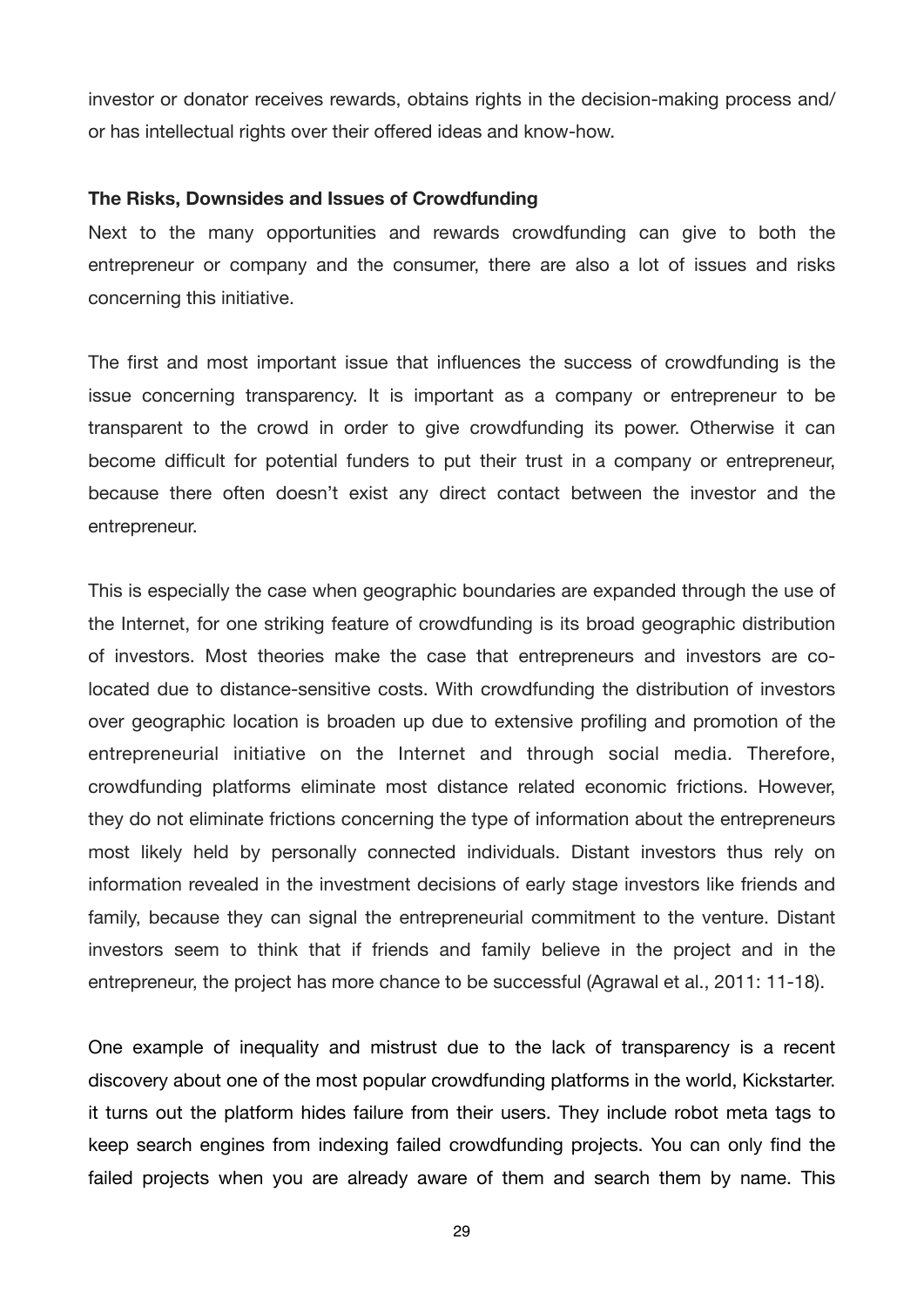investor or donator receives rewards, obtains rights in the decision-making process and/ or has intellectual rights over their offered ideas and know-how.

#### **The Risks, Downsides and Issues of Crowdfunding**

Next to the many opportunities and rewards crowdfunding can give to both the entrepreneur or company and the consumer, there are also a lot of issues and risks concerning this initiative.

The first and most important issue that influences the success of crowdfunding is the issue concerning transparency. It is important as a company or entrepreneur to be transparent to the crowd in order to give crowdfunding its power. Otherwise it can become difficult for potential funders to put their trust in a company or entrepreneur, because there often doesn't exist any direct contact between the investor and the entrepreneur.

This is especially the case when geographic boundaries are expanded through the use of the Internet, for one striking feature of crowdfunding is its broad geographic distribution of investors. Most theories make the case that entrepreneurs and investors are colocated due to distance-sensitive costs. With crowdfunding the distribution of investors over geographic location is broaden up due to extensive profiling and promotion of the entrepreneurial initiative on the Internet and through social media. Therefore, crowdfunding platforms eliminate most distance related economic frictions. However, they do not eliminate frictions concerning the type of information about the entrepreneurs most likely held by personally connected individuals. Distant investors thus rely on information revealed in the investment decisions of early stage investors like friends and family, because they can signal the entrepreneurial commitment to the venture. Distant investors seem to think that if friends and family believe in the project and in the entrepreneur, the project has more chance to be successful (Agrawal et al., 2011: 11-18).

One example of inequality and mistrust due to the lack of transparency is a recent discovery about one of the most popular crowdfunding platforms in the world, Kickstarter. it turns out the platform hides failure from their users. They include robot meta tags to keep search engines from indexing failed crowdfunding projects. You can only find the failed projects when you are already aware of them and search them by name. This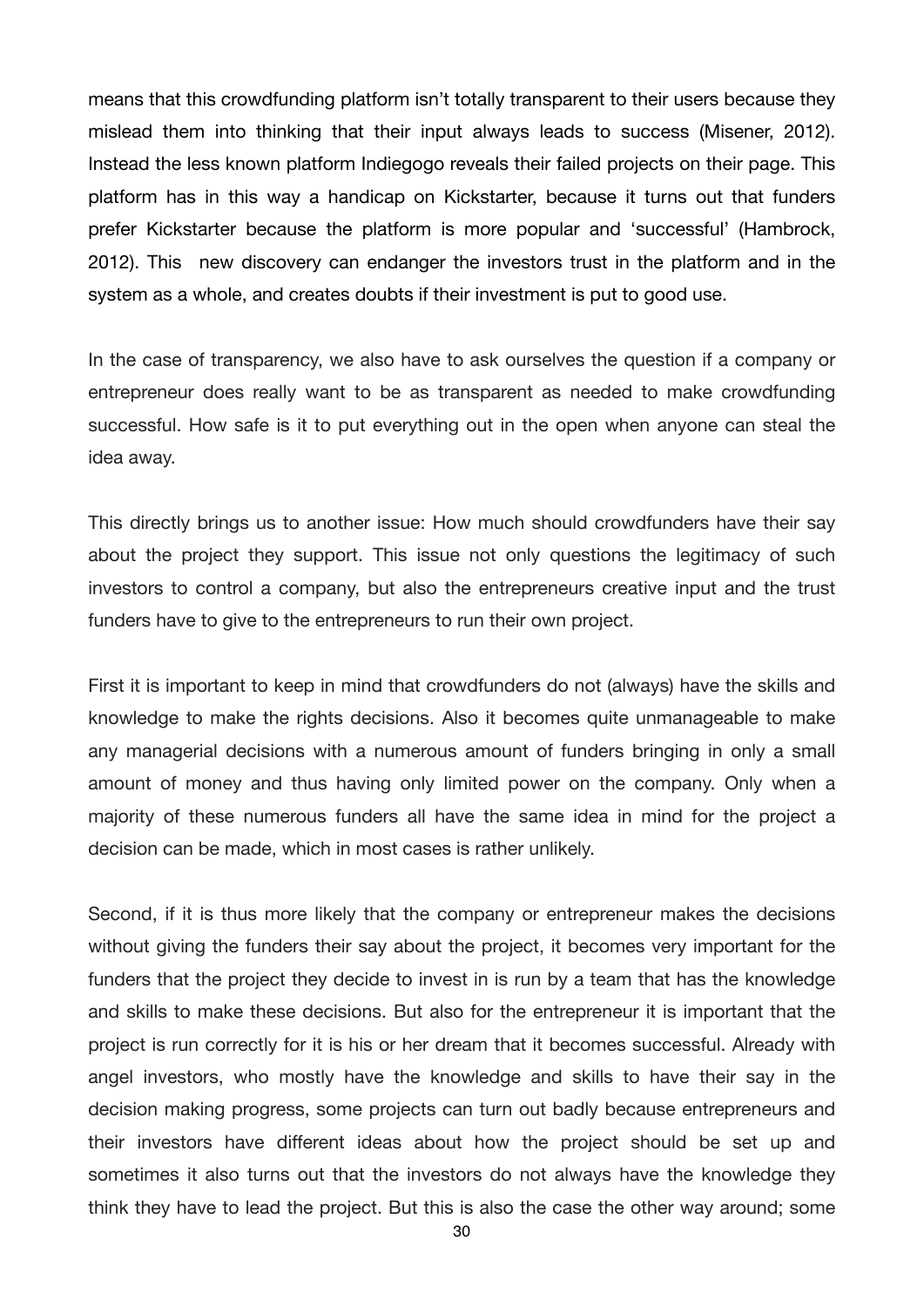means that this crowdfunding platform isn't totally transparent to their users because they mislead them into thinking that their input always leads to success (Misener, 2012). Instead the less known platform Indiegogo reveals their failed projects on their page. This platform has in this way a handicap on Kickstarter, because it turns out that funders prefer Kickstarter because the platform is more popular and 'successful' (Hambrock, 2012). This new discovery can endanger the investors trust in the platform and in the system as a whole, and creates doubts if their investment is put to good use.

In the case of transparency, we also have to ask ourselves the question if a company or entrepreneur does really want to be as transparent as needed to make crowdfunding successful. How safe is it to put everything out in the open when anyone can steal the idea away.

This directly brings us to another issue: How much should crowdfunders have their say about the project they support. This issue not only questions the legitimacy of such investors to control a company, but also the entrepreneurs creative input and the trust funders have to give to the entrepreneurs to run their own project.

First it is important to keep in mind that crowdfunders do not (always) have the skills and knowledge to make the rights decisions. Also it becomes quite unmanageable to make any managerial decisions with a numerous amount of funders bringing in only a small amount of money and thus having only limited power on the company. Only when a majority of these numerous funders all have the same idea in mind for the project a decision can be made, which in most cases is rather unlikely.

Second, if it is thus more likely that the company or entrepreneur makes the decisions without giving the funders their say about the project, it becomes very important for the funders that the project they decide to invest in is run by a team that has the knowledge and skills to make these decisions. But also for the entrepreneur it is important that the project is run correctly for it is his or her dream that it becomes successful. Already with angel investors, who mostly have the knowledge and skills to have their say in the decision making progress, some projects can turn out badly because entrepreneurs and their investors have different ideas about how the project should be set up and sometimes it also turns out that the investors do not always have the knowledge they think they have to lead the project. But this is also the case the other way around; some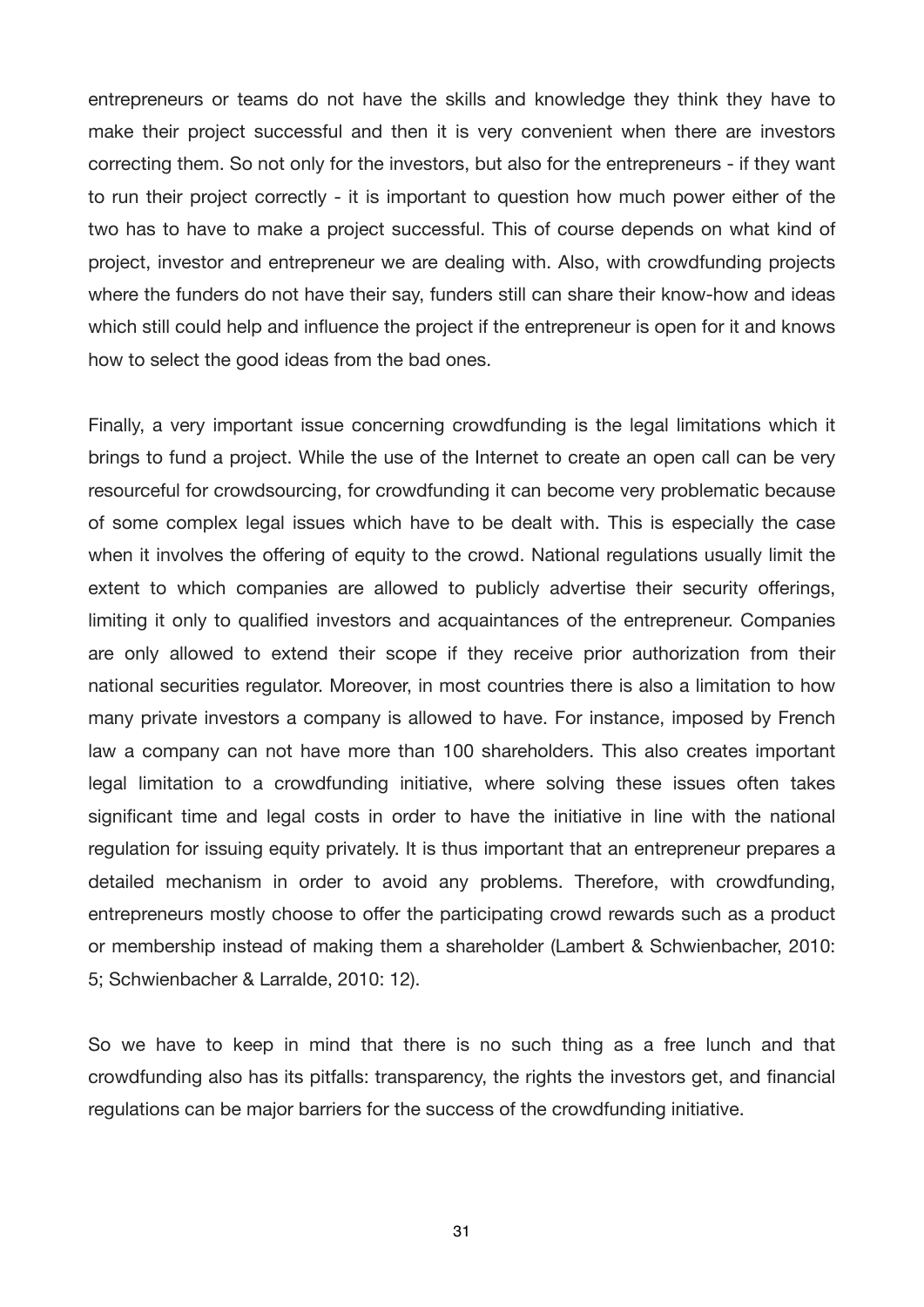entrepreneurs or teams do not have the skills and knowledge they think they have to make their project successful and then it is very convenient when there are investors correcting them. So not only for the investors, but also for the entrepreneurs - if they want to run their project correctly - it is important to question how much power either of the two has to have to make a project successful. This of course depends on what kind of project, investor and entrepreneur we are dealing with. Also, with crowdfunding projects where the funders do not have their say, funders still can share their know-how and ideas which still could help and influence the project if the entrepreneur is open for it and knows how to select the good ideas from the bad ones.

Finally, a very important issue concerning crowdfunding is the legal limitations which it brings to fund a project. While the use of the Internet to create an open call can be very resourceful for crowdsourcing, for crowdfunding it can become very problematic because of some complex legal issues which have to be dealt with. This is especially the case when it involves the offering of equity to the crowd. National regulations usually limit the extent to which companies are allowed to publicly advertise their security offerings, limiting it only to qualified investors and acquaintances of the entrepreneur. Companies are only allowed to extend their scope if they receive prior authorization from their national securities regulator. Moreover, in most countries there is also a limitation to how many private investors a company is allowed to have. For instance, imposed by French law a company can not have more than 100 shareholders. This also creates important legal limitation to a crowdfunding initiative, where solving these issues often takes significant time and legal costs in order to have the initiative in line with the national regulation for issuing equity privately. It is thus important that an entrepreneur prepares a detailed mechanism in order to avoid any problems. Therefore, with crowdfunding, entrepreneurs mostly choose to offer the participating crowd rewards such as a product or membership instead of making them a shareholder (Lambert & Schwienbacher, 2010: 5; Schwienbacher & Larralde, 2010: 12).

So we have to keep in mind that there is no such thing as a free lunch and that crowdfunding also has its pitfalls: transparency, the rights the investors get, and financial regulations can be major barriers for the success of the crowdfunding initiative.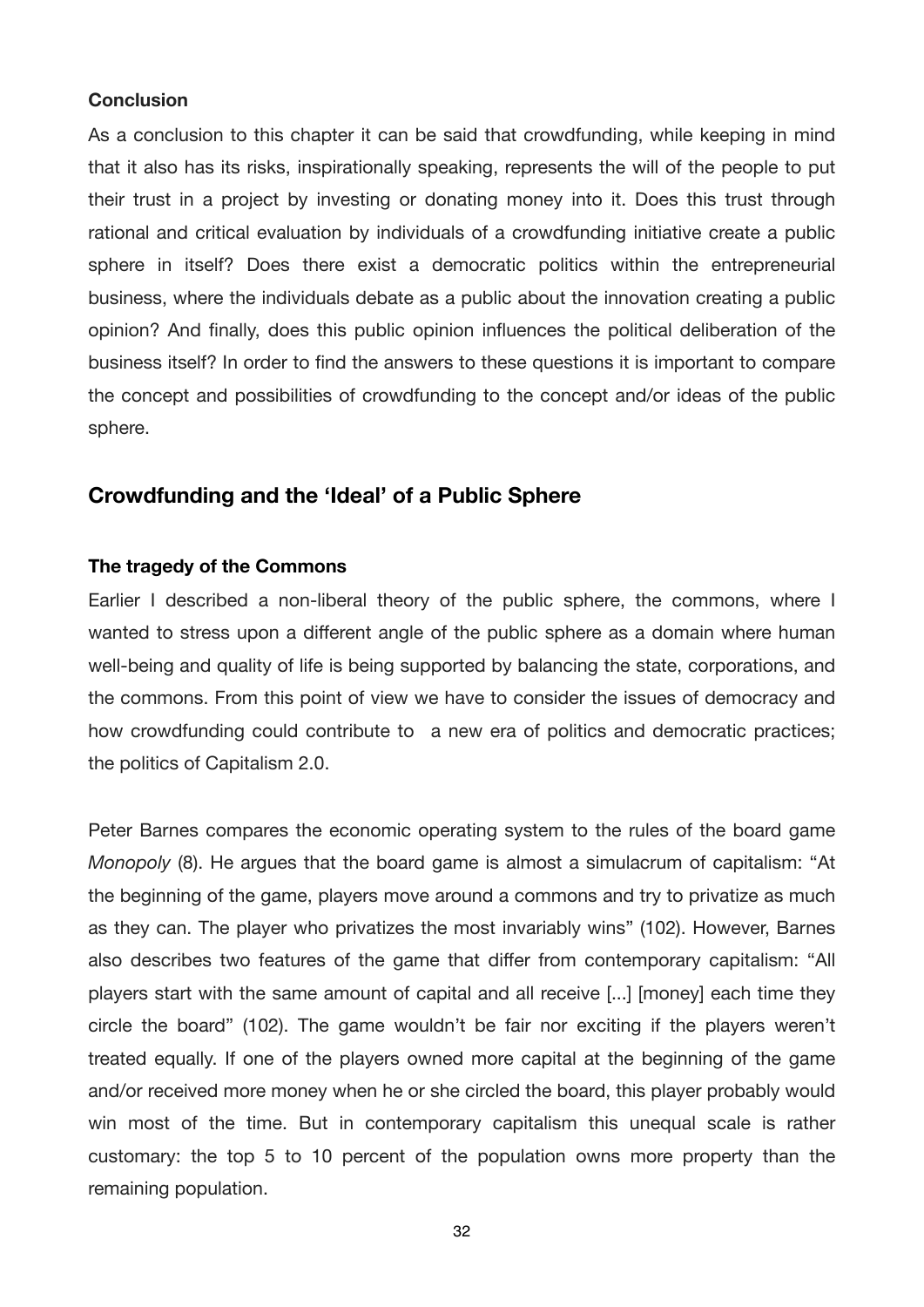#### **Conclusion**

As a conclusion to this chapter it can be said that crowdfunding, while keeping in mind that it also has its risks, inspirationally speaking, represents the will of the people to put their trust in a project by investing or donating money into it. Does this trust through rational and critical evaluation by individuals of a crowdfunding initiative create a public sphere in itself? Does there exist a democratic politics within the entrepreneurial business, where the individuals debate as a public about the innovation creating a public opinion? And finally, does this public opinion influences the political deliberation of the business itself? In order to find the answers to these questions it is important to compare the concept and possibilities of crowdfunding to the concept and/or ideas of the public sphere.

# **Crowdfunding and the 'Ideal' of a Public Sphere**

#### **The tragedy of the Commons**

Earlier I described a non-liberal theory of the public sphere, the commons, where I wanted to stress upon a different angle of the public sphere as a domain where human well-being and quality of life is being supported by balancing the state, corporations, and the commons. From this point of view we have to consider the issues of democracy and how crowdfunding could contribute to a new era of politics and democratic practices; the politics of Capitalism 2.0.

Peter Barnes compares the economic operating system to the rules of the board game *Monopoly* (8). He argues that the board game is almost a simulacrum of capitalism: "At the beginning of the game, players move around a commons and try to privatize as much as they can. The player who privatizes the most invariably wins" (102). However, Barnes also describes two features of the game that differ from contemporary capitalism: "All players start with the same amount of capital and all receive [...] [money] each time they circle the board" (102). The game wouldn't be fair nor exciting if the players weren't treated equally. If one of the players owned more capital at the beginning of the game and/or received more money when he or she circled the board, this player probably would win most of the time. But in contemporary capitalism this unequal scale is rather customary: the top 5 to 10 percent of the population owns more property than the remaining population.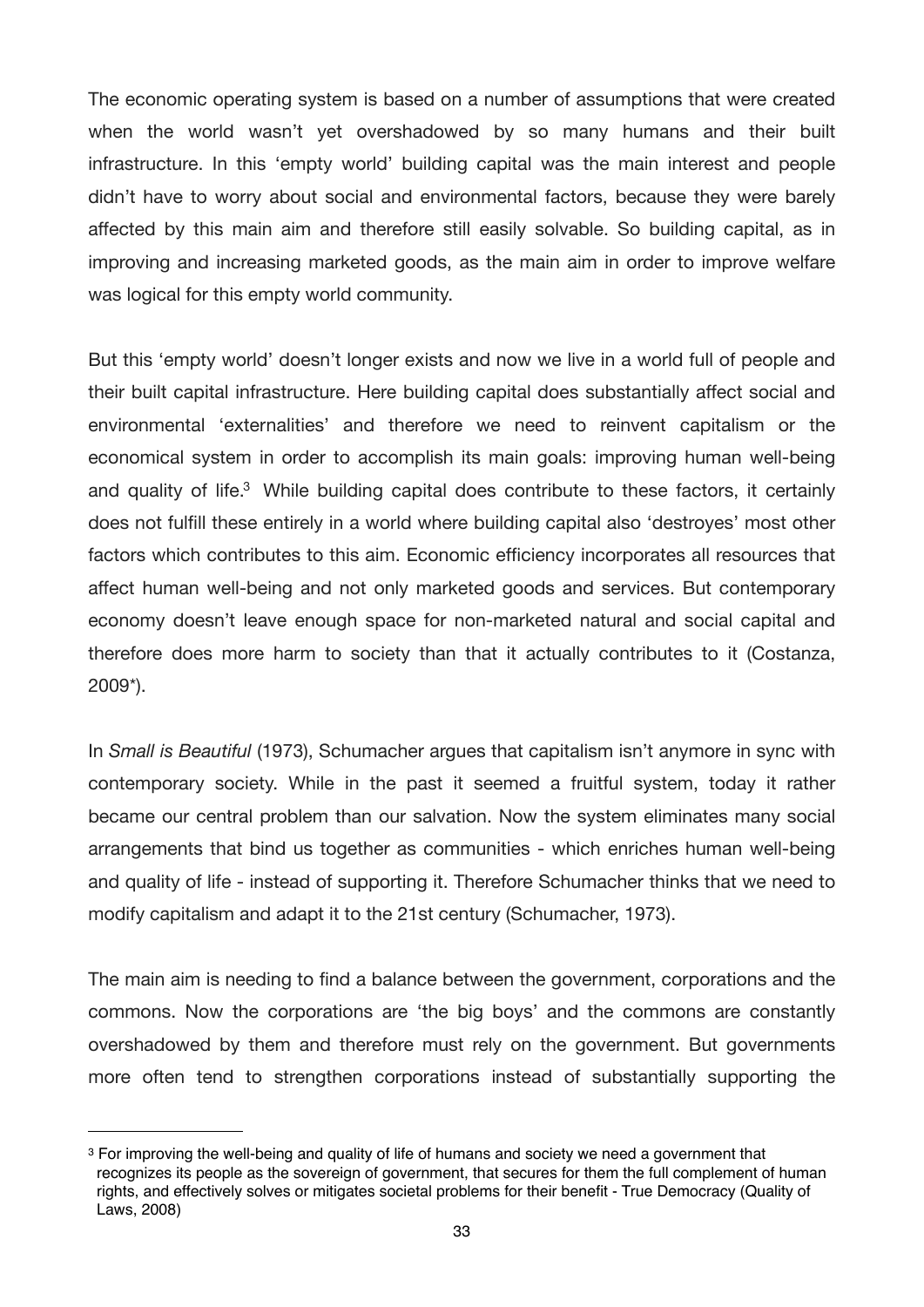The economic operating system is based on a number of assumptions that were created when the world wasn't yet overshadowed by so many humans and their built infrastructure. In this 'empty world' building capital was the main interest and people didn't have to worry about social and environmental factors, because they were barely affected by this main aim and therefore still easily solvable. So building capital, as in improving and increasing marketed goods, as the main aim in order to improve welfare was logical for this empty world community.

But this 'empty world' doesn't longer exists and now we live in a world full of people and their built capital infrastructure. Here building capital does substantially affect social and environmental 'externalities' and therefore we need to reinvent capitalism or the economical system in order to accomplish its main goals: improving human well-being and quality of life. $3$  While building capital does contribute to these factors, it certainly does not fulfill these entirely in a world where building capital also 'destroyes' most other factors which contributes to this aim. Economic efficiency incorporates all resources that affect human well-being and not only marketed goods and services. But contemporary economy doesn't leave enough space for non-marketed natural and social capital and therefore does more harm to society than that it actually contributes to it (Costanza, 2009\*).

In *Small is Beautiful* (1973), Schumacher argues that capitalism isn't anymore in sync with contemporary society. While in the past it seemed a fruitful system, today it rather became our central problem than our salvation. Now the system eliminates many social arrangements that bind us together as communities - which enriches human well-being and quality of life - instead of supporting it. Therefore Schumacher thinks that we need to modify capitalism and adapt it to the 21st century (Schumacher, 1973).

The main aim is needing to find a balance between the government, corporations and the commons. Now the corporations are 'the big boys' and the commons are constantly overshadowed by them and therefore must rely on the government. But governments more often tend to strengthen corporations instead of substantially supporting the

<span id="page-32-0"></span><sup>3</sup> For improving the well-being and quality of life of humans and society we need a government that recognizes its people as the sovereign of government, that secures for them the full complement of human rights, and effectively solves or mitigates societal problems for their benefit - True Democracy (Quality of Laws, 2008)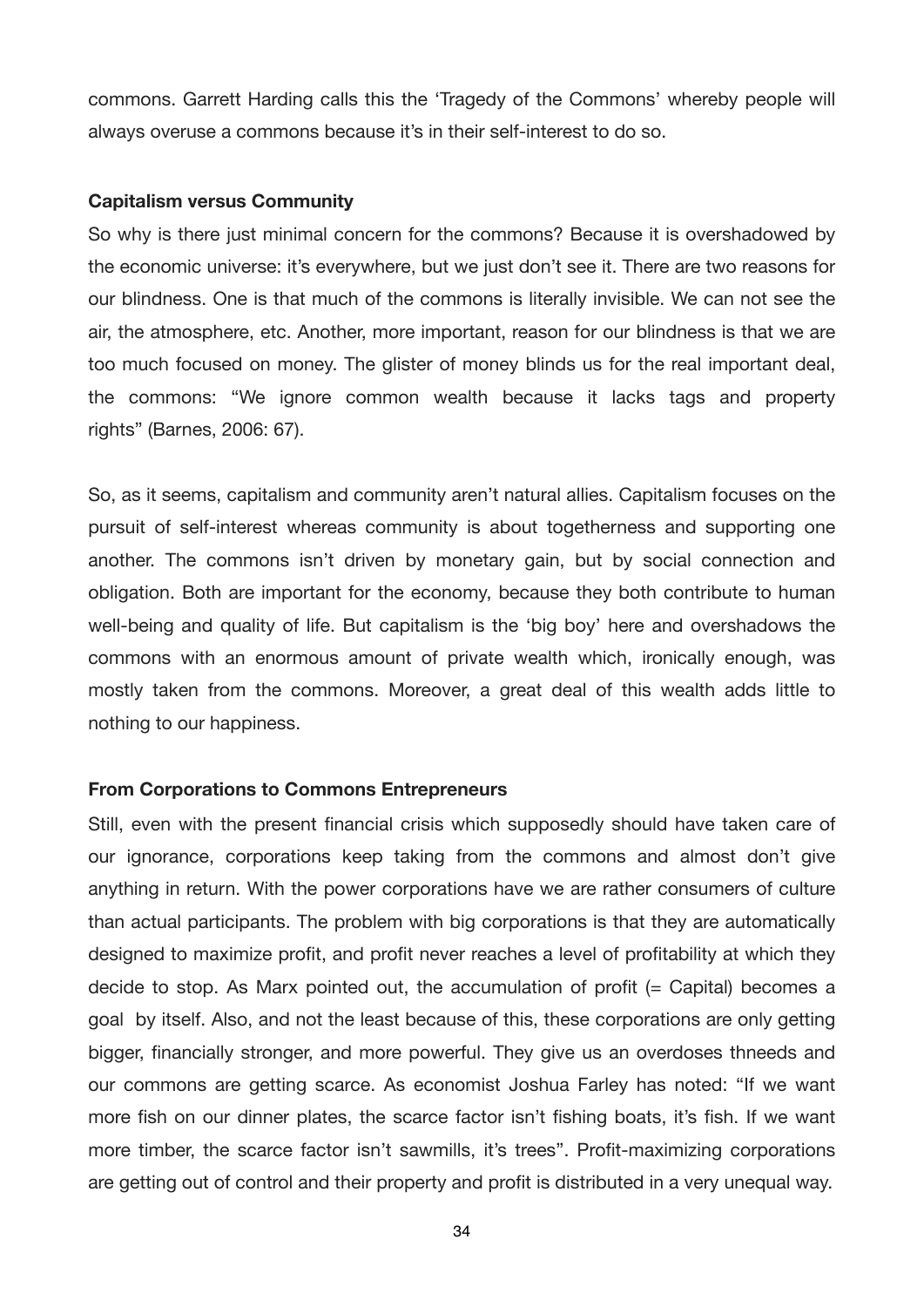commons. Garrett Harding calls this the 'Tragedy of the Commons' whereby people will always overuse a commons because it's in their self-interest to do so.

#### **Capitalism versus Community**

So why is there just minimal concern for the commons? Because it is overshadowed by the economic universe: it's everywhere, but we just don't see it. There are two reasons for our blindness. One is that much of the commons is literally invisible. We can not see the air, the atmosphere, etc. Another, more important, reason for our blindness is that we are too much focused on money. The glister of money blinds us for the real important deal, the commons: "We ignore common wealth because it lacks tags and property rights" (Barnes, 2006: 67).

So, as it seems, capitalism and community aren't natural allies. Capitalism focuses on the pursuit of self-interest whereas community is about togetherness and supporting one another. The commons isn't driven by monetary gain, but by social connection and obligation. Both are important for the economy, because they both contribute to human well-being and quality of life. But capitalism is the 'big boy' here and overshadows the commons with an enormous amount of private wealth which, ironically enough, was mostly taken from the commons. Moreover, a great deal of this wealth adds little to nothing to our happiness.

#### **From Corporations to Commons Entrepreneurs**

Still, even with the present financial crisis which supposedly should have taken care of our ignorance, corporations keep taking from the commons and almost don't give anything in return. With the power corporations have we are rather consumers of culture than actual participants. The problem with big corporations is that they are automatically designed to maximize profit, and profit never reaches a level of profitability at which they decide to stop. As Marx pointed out, the accumulation of profit  $(=$  Capital) becomes a goal by itself. Also, and not the least because of this, these corporations are only getting bigger, financially stronger, and more powerful. They give us an overdoses thneeds and our commons are getting scarce. As economist Joshua Farley has noted: "If we want more fish on our dinner plates, the scarce factor isn't fishing boats, it's fish. If we want more timber, the scarce factor isn't sawmills, it's trees". Profit-maximizing corporations are getting out of control and their property and profit is distributed in a very unequal way.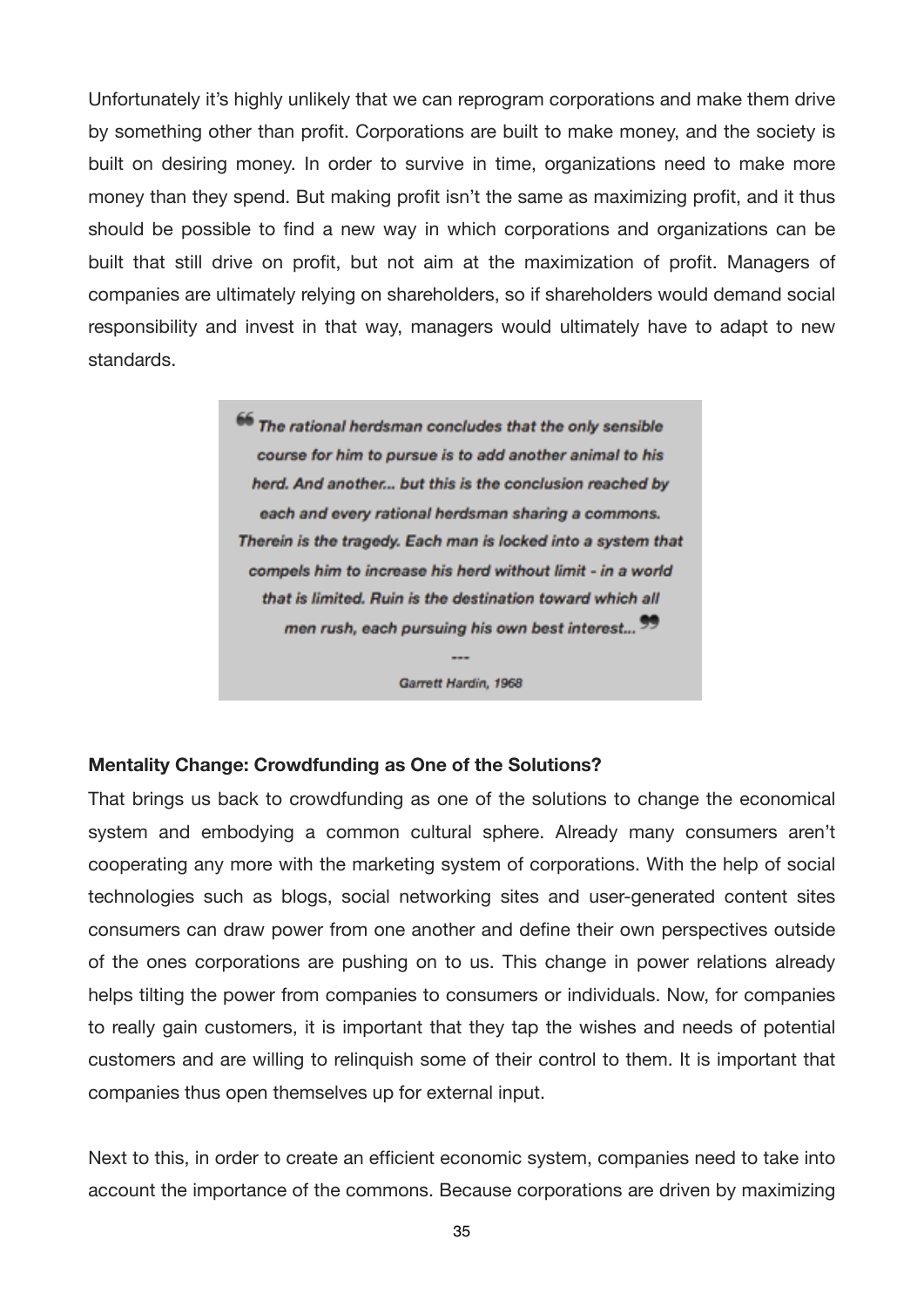Unfortunately it's highly unlikely that we can reprogram corporations and make them drive by something other than profit. Corporations are built to make money, and the society is built on desiring money. In order to survive in time, organizations need to make more money than they spend. But making profit isn't the same as maximizing profit, and it thus should be possible to find a new way in which corporations and organizations can be built that still drive on profit, but not aim at the maximization of profit. Managers of companies are ultimately relying on shareholders, so if shareholders would demand social responsibility and invest in that way, managers would ultimately have to adapt to new standards.

> 66 The rational herdsman concludes that the only sensible course for him to pursue is to add another animal to his herd. And another... but this is the conclusion reached by each and every rational herdsman sharing a commons. Therein is the tragedy. Each man is locked into a system that compels him to increase his herd without limit - in a world that is limited. Ruin is the destination toward which all men rush, each pursuing his own best interest... 39

> > Garrett Hardin, 1968

#### **Mentality Change: Crowdfunding as One of the Solutions?**

That brings us back to crowdfunding as one of the solutions to change the economical system and embodying a common cultural sphere. Already many consumers aren't cooperating any more with the marketing system of corporations. With the help of social technologies such as blogs, social networking sites and user-generated content sites consumers can draw power from one another and define their own perspectives outside of the ones corporations are pushing on to us. This change in power relations already helps tilting the power from companies to consumers or individuals. Now, for companies to really gain customers, it is important that they tap the wishes and needs of potential customers and are willing to relinquish some of their control to them. It is important that companies thus open themselves up for external input.

Next to this, in order to create an efficient economic system, companies need to take into account the importance of the commons. Because corporations are driven by maximizing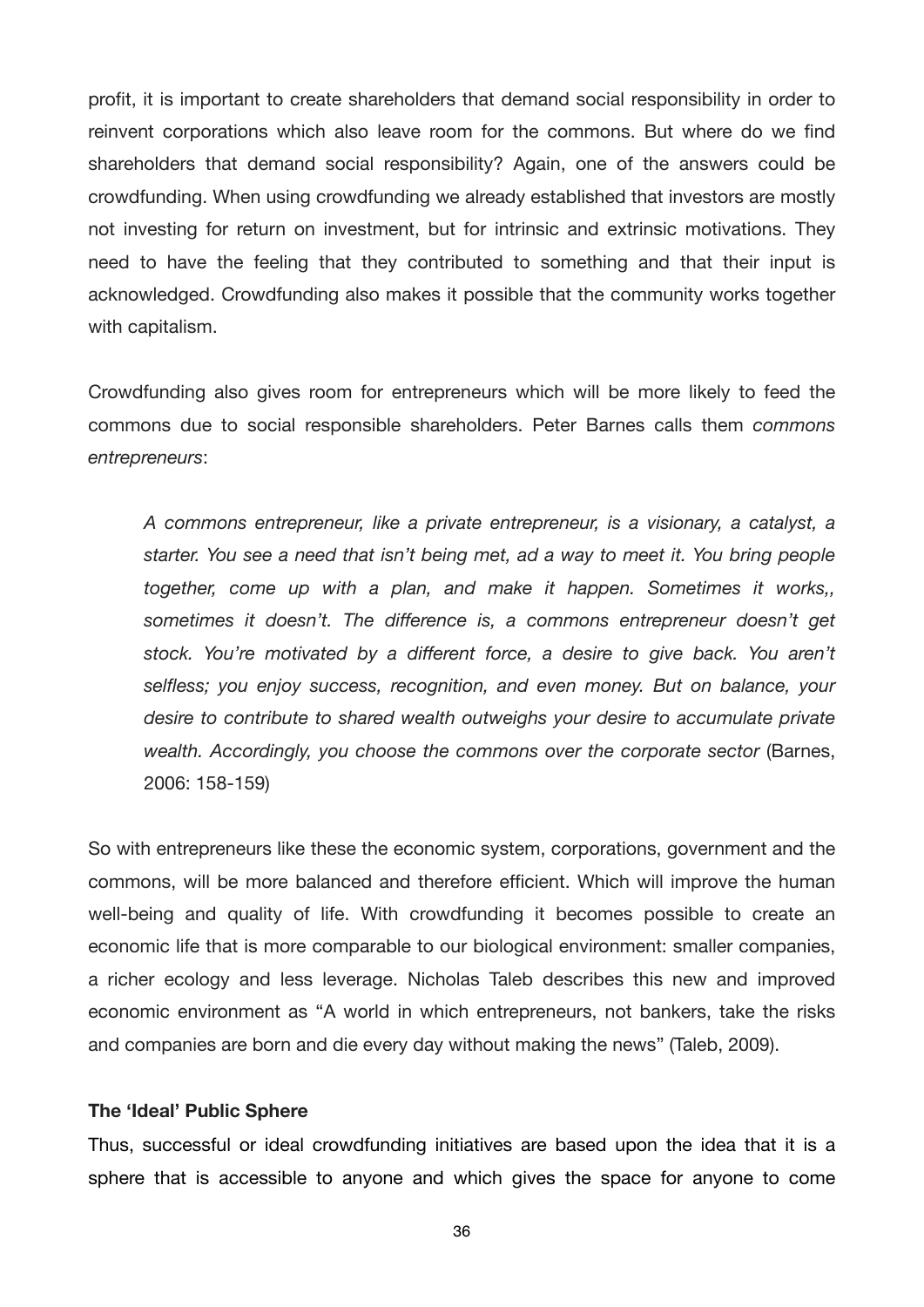profit, it is important to create shareholders that demand social responsibility in order to reinvent corporations which also leave room for the commons. But where do we find shareholders that demand social responsibility? Again, one of the answers could be crowdfunding. When using crowdfunding we already established that investors are mostly not investing for return on investment, but for intrinsic and extrinsic motivations. They need to have the feeling that they contributed to something and that their input is acknowledged. Crowdfunding also makes it possible that the community works together with capitalism.

Crowdfunding also gives room for entrepreneurs which will be more likely to feed the commons due to social responsible shareholders. Peter Barnes calls them *commons entrepreneurs*:

*A commons entrepreneur, like a private entrepreneur, is a visionary, a catalyst, a starter. You see a need that isn't being met, ad a way to meet it. You bring people together, come up with a plan, and make it happen. Sometimes it works,, sometimes it doesn't. The difference is, a commons entrepreneur doesn't get stock. You're motivated by a different force, a desire to give back. You aren't selfless; you enjoy success, recognition, and even money. But on balance, your desire to contribute to shared wealth outweighs your desire to accumulate private wealth. Accordingly, you choose the commons over the corporate sector (Barnes,* 2006: 158-159)

So with entrepreneurs like these the economic system, corporations, government and the commons, will be more balanced and therefore efficient. Which will improve the human well-being and quality of life. With crowdfunding it becomes possible to create an economic life that is more comparable to our biological environment: smaller companies, a richer ecology and less leverage. Nicholas Taleb describes this new and improved economic environment as "A world in which entrepreneurs, not bankers, take the risks and companies are born and die every day without making the news" (Taleb, 2009).

#### **The 'Ideal' Public Sphere**

Thus, successful or ideal crowdfunding initiatives are based upon the idea that it is a sphere that is accessible to anyone and which gives the space for anyone to come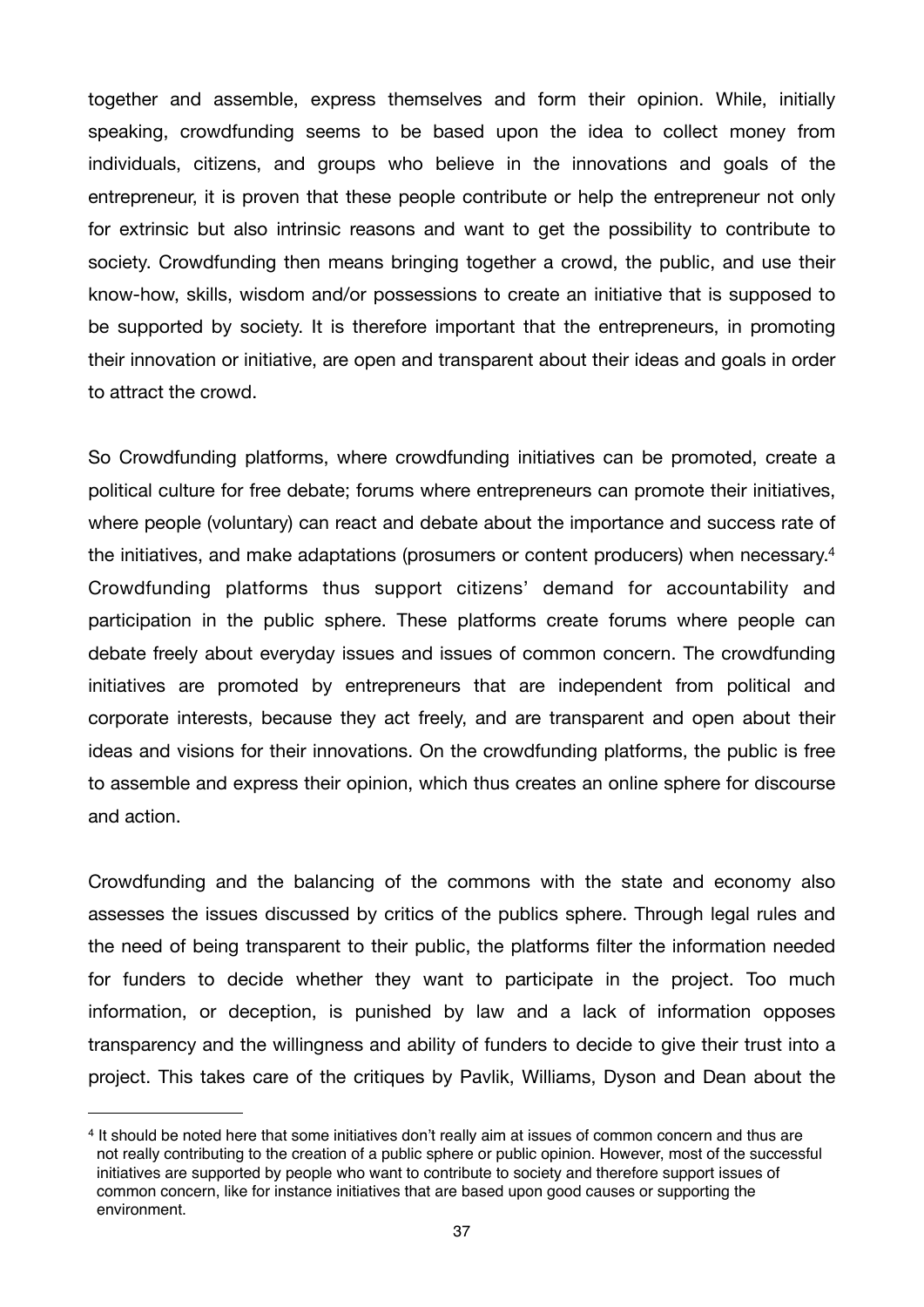together and assemble, express themselves and form their opinion. While, initially speaking, crowdfunding seems to be based upon the idea to collect money from individuals, citizens, and groups who believe in the innovations and goals of the entrepreneur, it is proven that these people contribute or help the entrepreneur not only for extrinsic but also intrinsic reasons and want to get the possibility to contribute to society. Crowdfunding then means bringing together a crowd, the public, and use their know-how, skills, wisdom and/or possessions to create an initiative that is supposed to be supported by society. It is therefore important that the entrepreneurs, in promoting their innovation or initiative, are open and transparent about their ideas and goals in order to attract the crowd.

So Crowdfunding platforms, where crowdfunding initiatives can be promoted, create a political culture for free debate; forums where entrepreneurs can promote their initiatives, where people (voluntary) can react and debate about the importance and success rate of the initiatives, and make adaptations (prosumers or content producers) when necessary.<sup>4</sup> Crowdfunding platforms thus support citizens' demand for accountability and participation in the public sphere. These platforms create forums where people can debate freely about everyday issues and issues of common concern. The crowdfunding initiatives are promoted by entrepreneurs that are independent from political and corporate interests, because they act freely, and are transparent and open about their ideas and visions for their innovations. On the crowdfunding platforms, the public is free to assemble and express their opinion, which thus creates an online sphere for discourse and action.

Crowdfunding and the balancing of the commons with the state and economy also assesses the issues discussed by critics of the publics sphere. Through legal rules and the need of being transparent to their public, the platforms filter the information needed for funders to decide whether they want to participate in the project. Too much information, or deception, is punished by law and a lack of information opposes transparency and the willingness and ability of funders to decide to give their trust into a project. This takes care of the critiques by Pavlik, Williams, Dyson and Dean about the

<span id="page-36-0"></span><sup>4</sup> It should be noted here that some initiatives don't really aim at issues of common concern and thus are not really contributing to the creation of a public sphere or public opinion. However, most of the successful initiatives are supported by people who want to contribute to society and therefore support issues of common concern, like for instance initiatives that are based upon good causes or supporting the environment.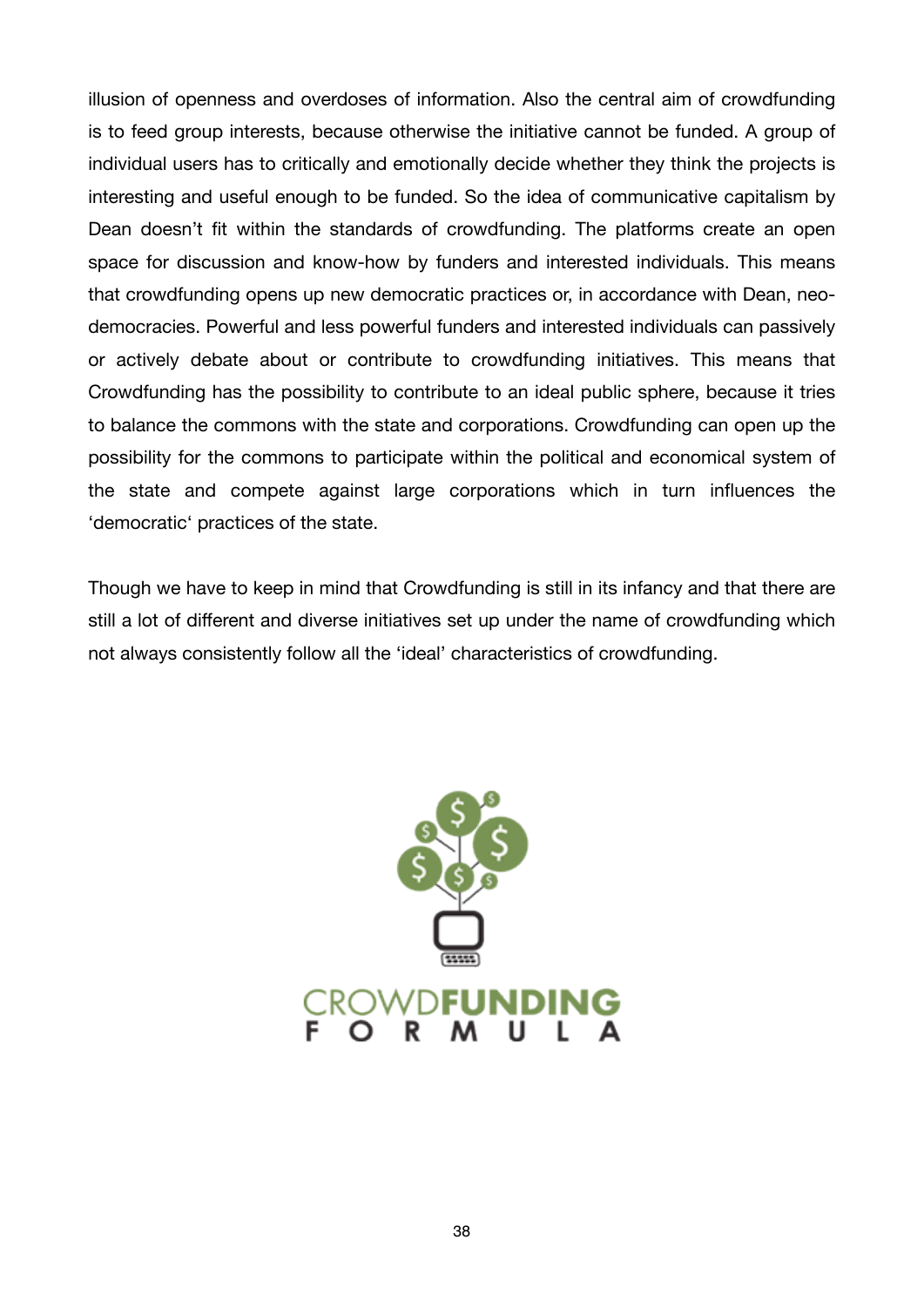illusion of openness and overdoses of information. Also the central aim of crowdfunding is to feed group interests, because otherwise the initiative cannot be funded. A group of individual users has to critically and emotionally decide whether they think the projects is interesting and useful enough to be funded. So the idea of communicative capitalism by Dean doesn't fit within the standards of crowdfunding. The platforms create an open space for discussion and know-how by funders and interested individuals. This means that crowdfunding opens up new democratic practices or, in accordance with Dean, neodemocracies. Powerful and less powerful funders and interested individuals can passively or actively debate about or contribute to crowdfunding initiatives. This means that Crowdfunding has the possibility to contribute to an ideal public sphere, because it tries to balance the commons with the state and corporations. Crowdfunding can open up the possibility for the commons to participate within the political and economical system of the state and compete against large corporations which in turn influences the 'democratic' practices of the state.

Though we have to keep in mind that Crowdfunding is still in its infancy and that there are still a lot of different and diverse initiatives set up under the name of crowdfunding which not always consistently follow all the 'ideal' characteristics of crowdfunding.

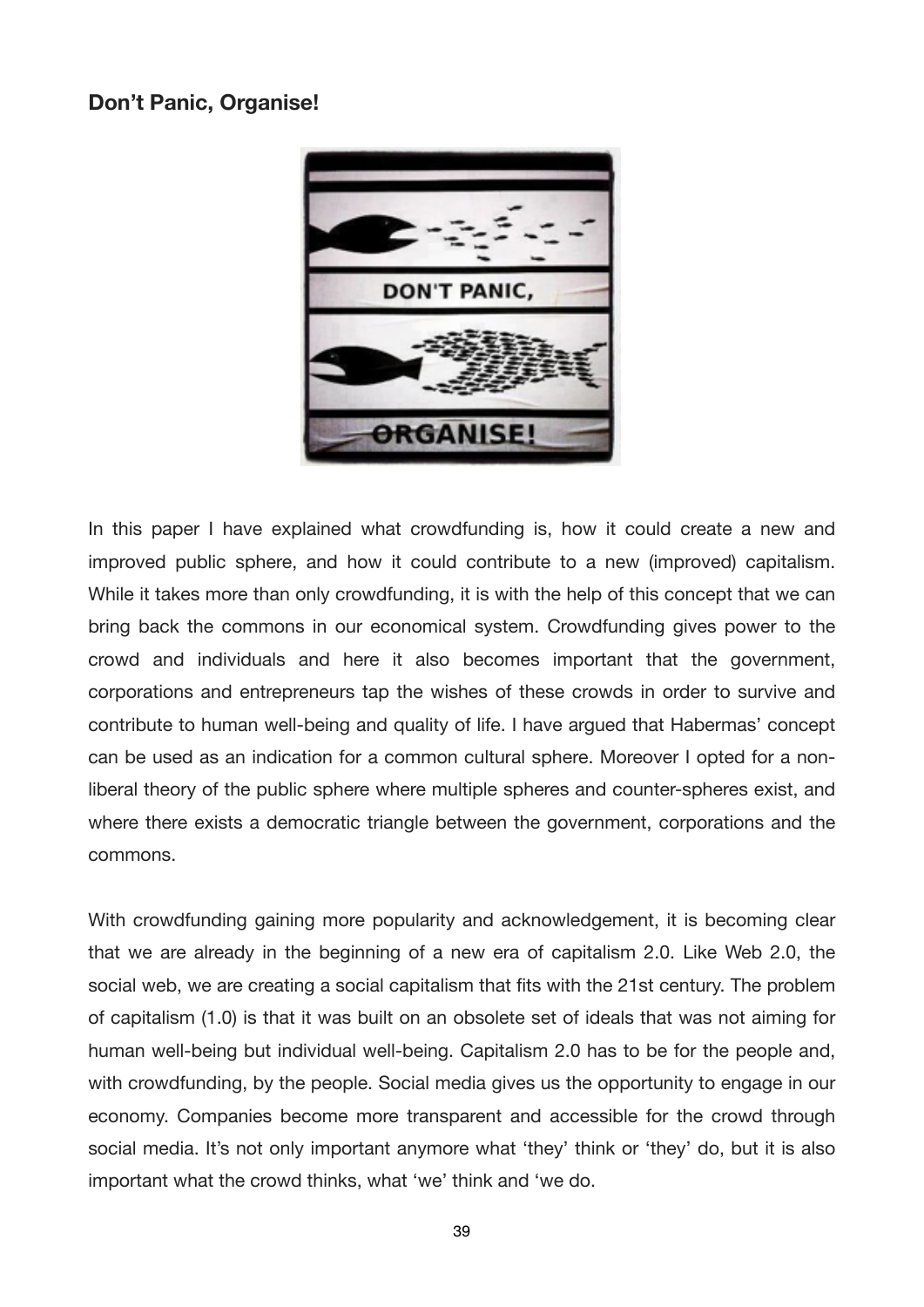# **Don't Panic, Organise!**



In this paper I have explained what crowdfunding is, how it could create a new and improved public sphere, and how it could contribute to a new (improved) capitalism. While it takes more than only crowdfunding, it is with the help of this concept that we can bring back the commons in our economical system. Crowdfunding gives power to the crowd and individuals and here it also becomes important that the government, corporations and entrepreneurs tap the wishes of these crowds in order to survive and contribute to human well-being and quality of life. I have argued that Habermas' concept can be used as an indication for a common cultural sphere. Moreover I opted for a nonliberal theory of the public sphere where multiple spheres and counter-spheres exist, and where there exists a democratic triangle between the government, corporations and the commons.

With crowdfunding gaining more popularity and acknowledgement, it is becoming clear that we are already in the beginning of a new era of capitalism 2.0. Like Web 2.0, the social web, we are creating a social capitalism that fits with the 21st century. The problem of capitalism (1.0) is that it was built on an obsolete set of ideals that was not aiming for human well-being but individual well-being. Capitalism 2.0 has to be for the people and, with crowdfunding, by the people. Social media gives us the opportunity to engage in our economy. Companies become more transparent and accessible for the crowd through social media. It's not only important anymore what 'they' think or 'they' do, but it is also important what the crowd thinks, what 'we' think and 'we do.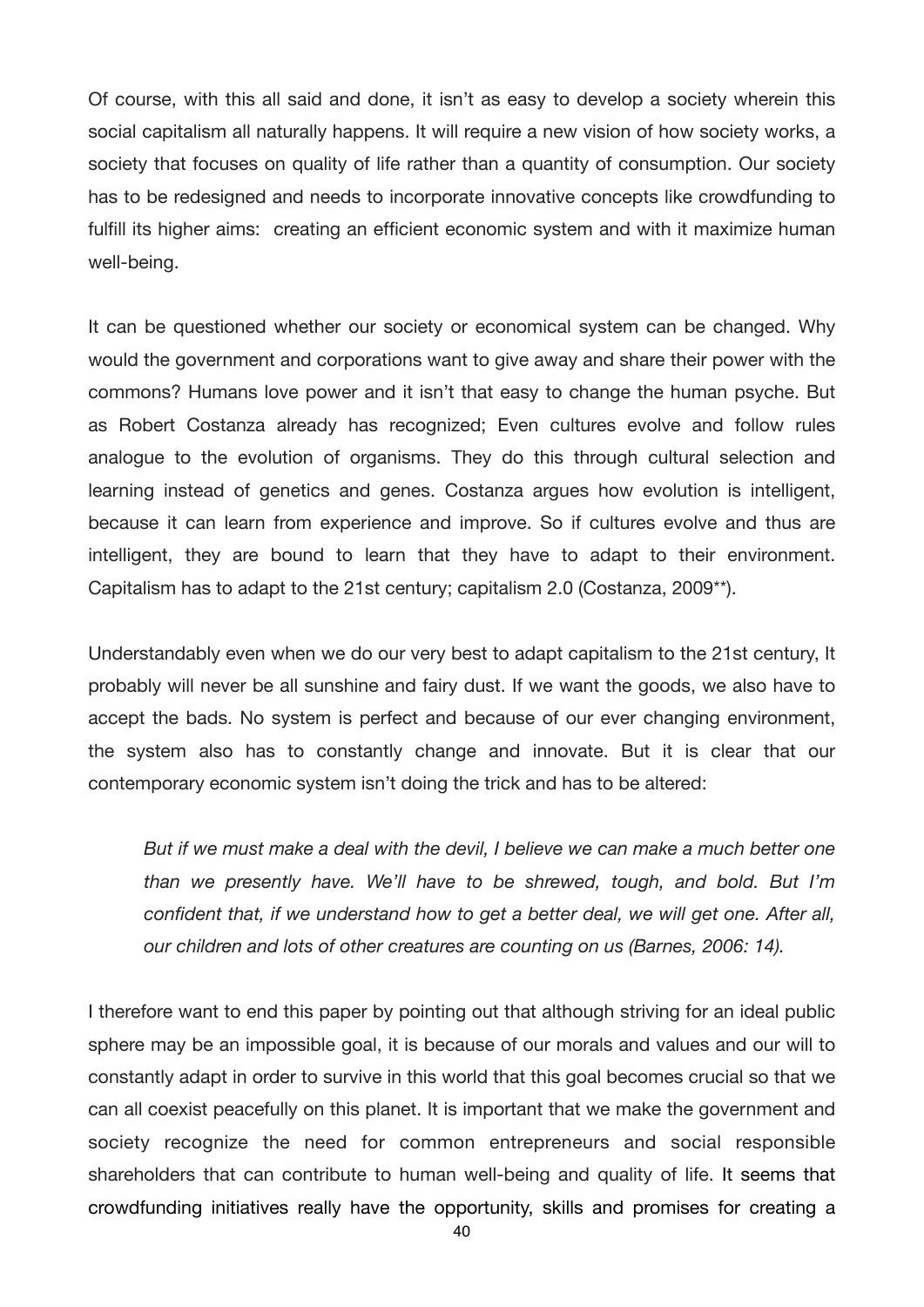Of course, with this all said and done, it isn't as easy to develop a society wherein this social capitalism all naturally happens. It will require a new vision of how society works, a society that focuses on quality of life rather than a quantity of consumption. Our society has to be redesigned and needs to incorporate innovative concepts like crowdfunding to fulfill its higher aims: creating an efficient economic system and with it maximize human well-being.

It can be questioned whether our society or economical system can be changed. Why would the government and corporations want to give away and share their power with the commons? Humans love power and it isn't that easy to change the human psyche. But as Robert Costanza already has recognized; Even cultures evolve and follow rules analogue to the evolution of organisms. They do this through cultural selection and learning instead of genetics and genes. Costanza argues how evolution is intelligent, because it can learn from experience and improve. So if cultures evolve and thus are intelligent, they are bound to learn that they have to adapt to their environment. Capitalism has to adapt to the 21st century; capitalism 2.0 (Costanza, 2009\*\*).

Understandably even when we do our very best to adapt capitalism to the 21st century, It probably will never be all sunshine and fairy dust. If we want the goods, we also have to accept the bads. No system is perfect and because of our ever changing environment, the system also has to constantly change and innovate. But it is clear that our contemporary economic system isn't doing the trick and has to be altered:

But if we must make a deal with the devil, I believe we can make a much better one *than we presently have. We'll have to be shrewed, tough, and bold. But I'm confident that, if we understand how to get a better deal, we will get one. After all, our children and lots of other creatures are counting on us (Barnes, 2006: 14).*

I therefore want to end this paper by pointing out that although striving for an ideal public sphere may be an impossible goal, it is because of our morals and values and our will to constantly adapt in order to survive in this world that this goal becomes crucial so that we can all coexist peacefully on this planet. It is important that we make the government and society recognize the need for common entrepreneurs and social responsible shareholders that can contribute to human well-being and quality of life. It seems that crowdfunding initiatives really have the opportunity, skills and promises for creating a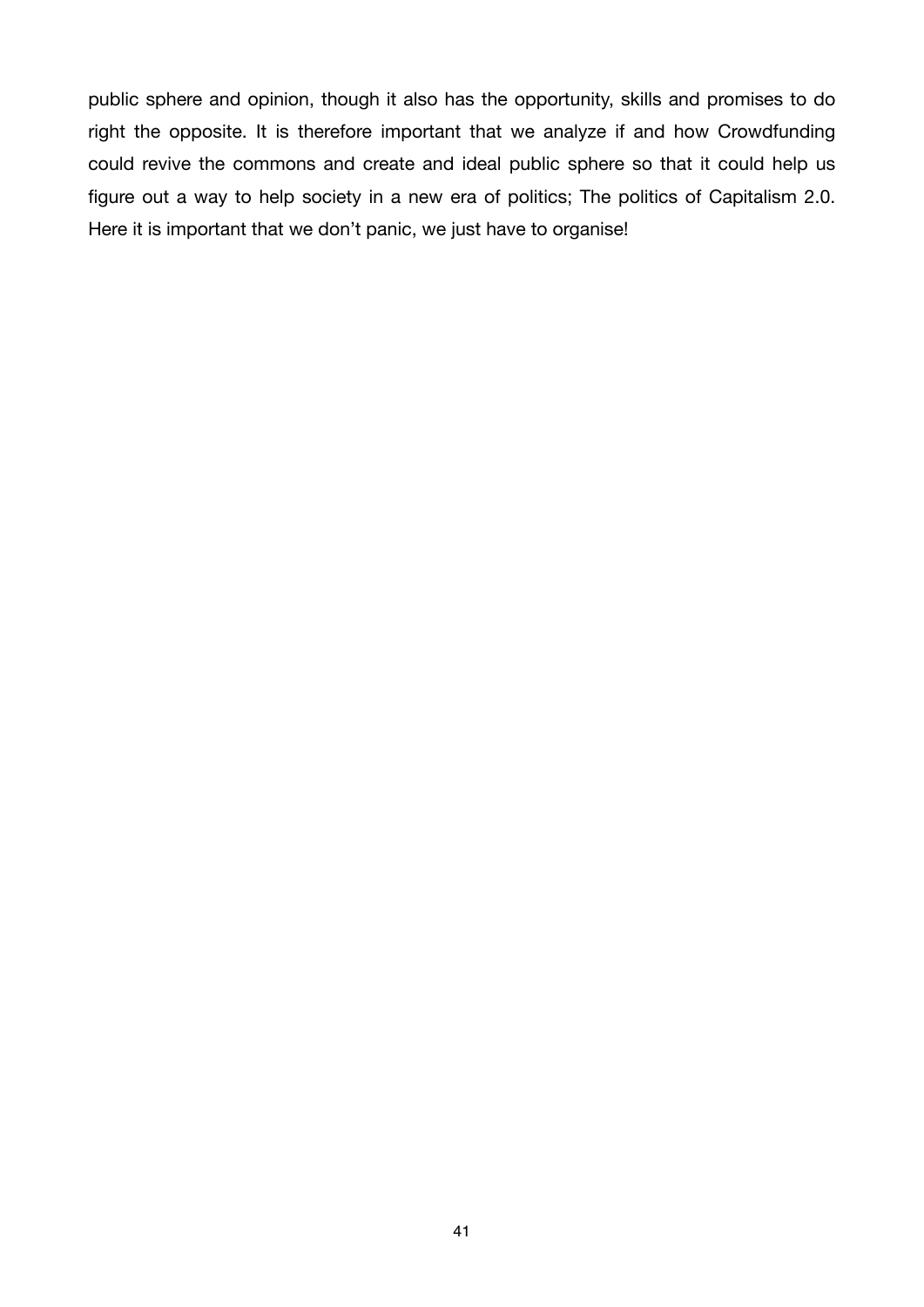public sphere and opinion, though it also has the opportunity, skills and promises to do right the opposite. It is therefore important that we analyze if and how Crowdfunding could revive the commons and create and ideal public sphere so that it could help us figure out a way to help society in a new era of politics; The politics of Capitalism 2.0. Here it is important that we don't panic, we just have to organise!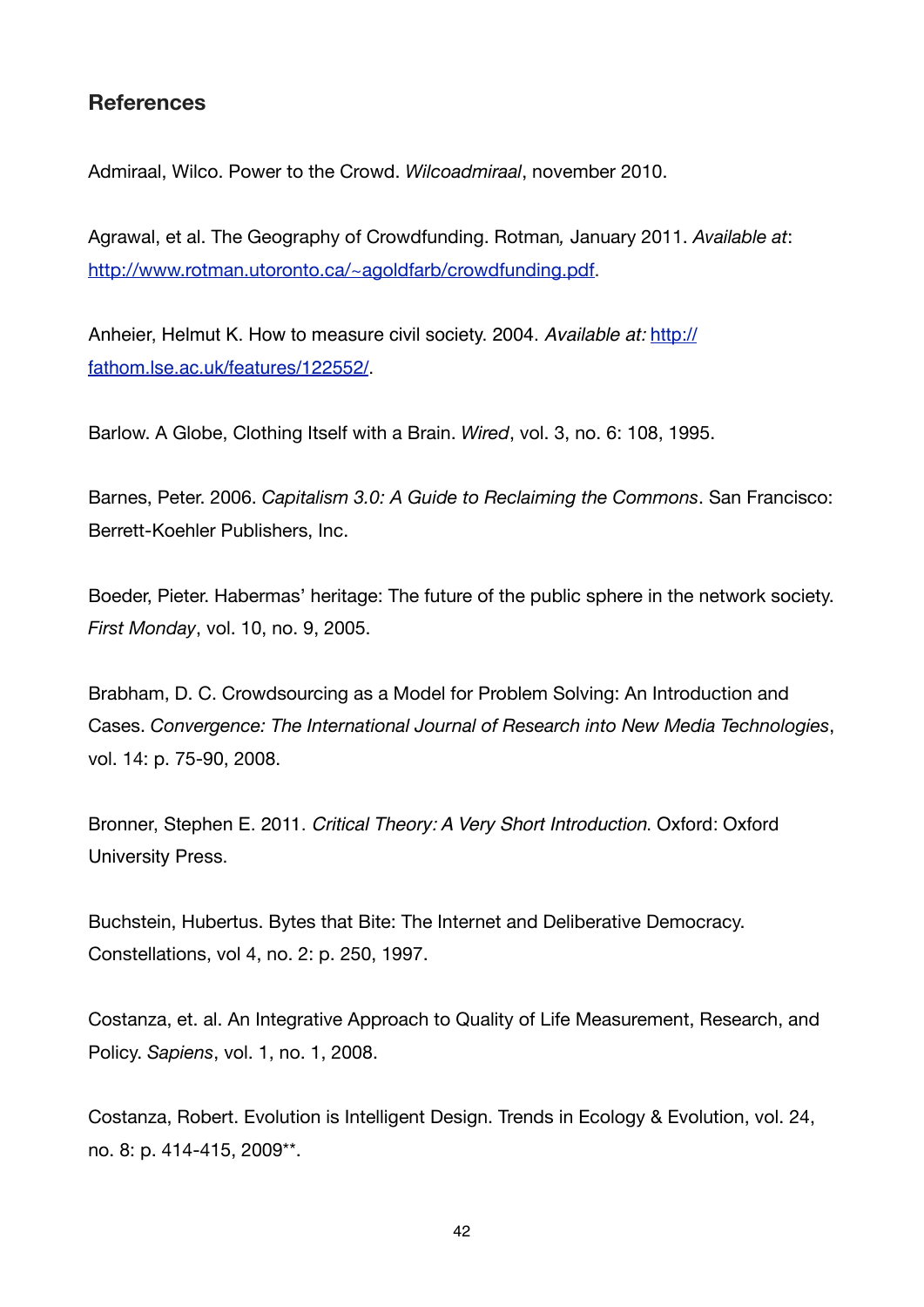# **References**

Admiraal, Wilco. Power to the Crowd. *Wilcoadmiraal*, november 2010.

Agrawal, et al. The Geography of Crowdfunding. Rotman*,* January 2011. *Available at*: <http://www.rotman.utoronto.ca/~agoldfarb/crowdfunding.pdf>.

Anheier, Helmut K. How to measure civil society. 2004. *Available at:* [http://](http://fathom.lse.ac.uk/features/122552/) [fathom.lse.ac.uk/features/122552/.](http://fathom.lse.ac.uk/features/122552/)

Barlow. A Globe, Clothing Itself with a Brain. *Wired*, vol. 3, no. 6: 108, 1995.

Barnes, Peter. 2006. *Capitalism 3.0: A Guide to Reclaiming the Commons*. San Francisco: Berrett-Koehler Publishers, Inc.

Boeder, Pieter. Habermas' heritage: The future of the public sphere in the network society. *First Monday*, vol. 10, no. 9, 2005.

Brabham, D. C. Crowdsourcing as a Model for Problem Solving: An Introduction and Cases. *Convergence: The International Journal of Research into New Media Technologies*, vol. 14: p. 75-90, 2008.

Bronner, Stephen E. 2011. *Critical Theory: A Very Short Introduction*. Oxford: Oxford University Press.

Buchstein, Hubertus. Bytes that Bite: The Internet and Deliberative Democracy. Constellations, vol 4, no. 2: p. 250, 1997.

Costanza, et. al. An Integrative Approach to Quality of Life Measurement, Research, and Policy. *Sapiens*, vol. 1, no. 1, 2008.

Costanza, Robert. Evolution is Intelligent Design. Trends in Ecology & Evolution, vol. 24, no. 8: p. 414-415, 2009\*\*.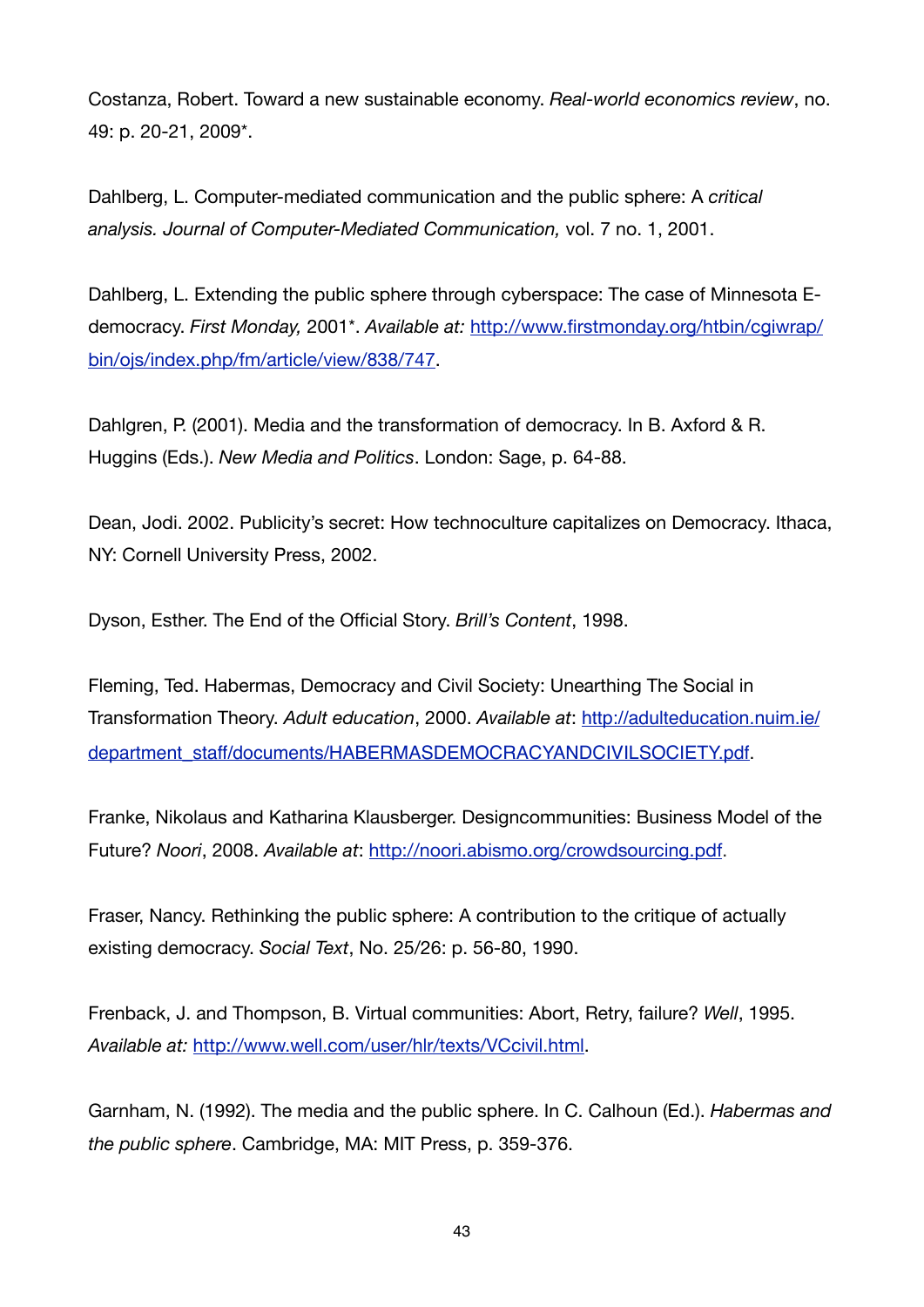Costanza, Robert. Toward a new sustainable economy. *Real-world economics review*, no. 49: p. 20-21, 2009\*.

Dahlberg, L. Computer-mediated communication and the public sphere: A *critical analysis. Journal of Computer-Mediated Communication,* vol. 7 no. 1, 2001.

Dahlberg, L. Extending the public sphere through cyberspace: The case of Minnesota Edemocracy. *First Monday,* 2001\*. *Available at:* [http://www.firstmonday.org/htbin/cgiwrap/](http://www.firstmonday.org/htbin/cgiwrap/bin/ojs/index.php/fm/article/view/838/747) [bin/ojs/index.php/fm/article/view/838/747.](http://www.firstmonday.org/htbin/cgiwrap/bin/ojs/index.php/fm/article/view/838/747)

Dahlgren, P. (2001). Media and the transformation of democracy. In B. Axford & R. Huggins (Eds.). *New Media and Politics*. London: Sage, p. 64-88.

Dean, Jodi. 2002. Publicity's secret: How technoculture capitalizes on Democracy. Ithaca, NY: Cornell University Press, 2002.

Dyson, Esther. The End of the Official Story. *Brill's Content*, 1998.

Fleming, Ted. Habermas, Democracy and Civil Society: Unearthing The Social in Transformation Theory. *Adult education*, 2000. *Available at*: [http://adulteducation.nuim.ie/](http://adulteducation.nuim.ie/department_staff/documents/HABERMASDEMOCRACYANDCIVILSOCIETY.pdf) [department\\_staff/documents/HABERMASDEMOCRACYANDCIVILSOCIETY.pdf](http://adulteducation.nuim.ie/department_staff/documents/HABERMASDEMOCRACYANDCIVILSOCIETY.pdf).

Franke, Nikolaus and Katharina Klausberger. Designcommunities: Business Model of the Future? *Noori*, 2008. *Available at*: <http://noori.abismo.org/crowdsourcing.pdf>.

Fraser, Nancy. Rethinking the public sphere: A contribution to the critique of actually existing democracy. *Social Text*, No. 25/26: p. 56-80, 1990.

Frenback, J. and Thompson, B. Virtual communities: Abort, Retry, failure? *Well*, 1995. *Available at:* [http://www.well.com/user/hlr/texts/VCcivil.html.](http://www.well.com/user/hlr/texts/VCcivil.html)

Garnham, N. (1992). The media and the public sphere. In C. Calhoun (Ed.). *Habermas and the public sphere*. Cambridge, MA: MIT Press, p. 359-376.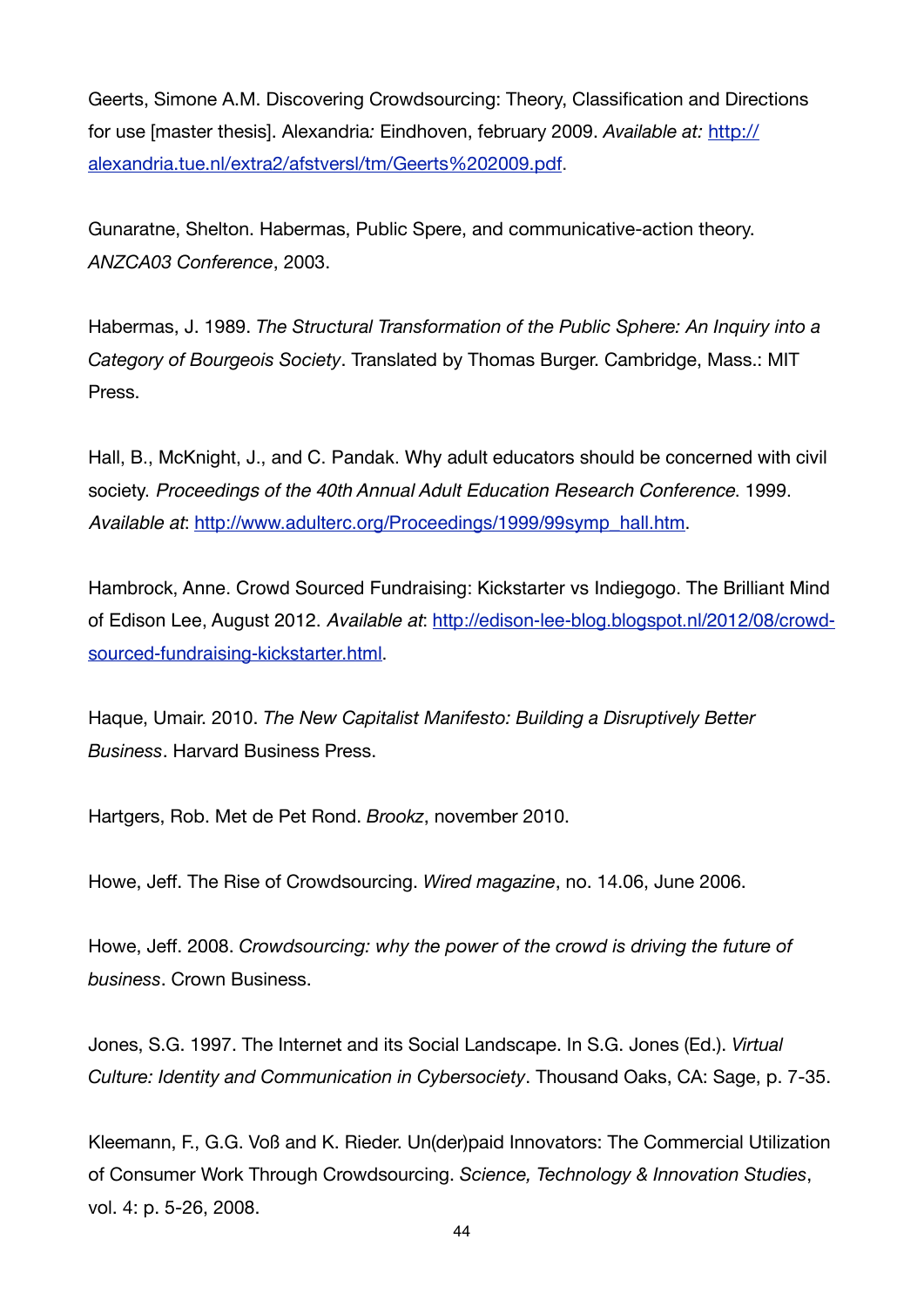Geerts, Simone A.M. Discovering Crowdsourcing: Theory, Classification and Directions for use [master thesis]. Alexandria*:* Eindhoven, february 2009. *Available at:* [http://](http://alexandria.tue.nl/extra2/afstversl/tm/Geerts%202009.pdf) [alexandria.tue.nl/extra2/afstversl/tm/Geerts%202009.pdf](http://alexandria.tue.nl/extra2/afstversl/tm/Geerts%202009.pdf).

Gunaratne, Shelton. Habermas, Public Spere, and communicative-action theory. *ANZCA03 Conference*, 2003.

Habermas, J. 1989. *The Structural Transformation of the Public Sphere: An Inquiry into a Category of Bourgeois Society*. Translated by Thomas Burger. Cambridge, Mass.: MIT Press.

Hall, B., McKnight, J., and C. Pandak. Why adult educators should be concerned with civil society. *Proceedings of the 40th Annual Adult Education Research Conference*. 1999. *Available at*: [http://www.adulterc.org/Proceedings/1999/99symp\\_hall.htm.](http://www.adulterc.org/Proceedings/1999/99symp_hall.htm)

Hambrock, Anne. Crowd Sourced Fundraising: Kickstarter vs Indiegogo. The Brilliant Mind of Edison Lee, August 2012. *Available at*: [http://edison-lee-blog.blogspot.nl/2012/08/crowd](http://edison-lee-blog.blogspot.nl/2012/08/crowd-sourced-fundraising-kickstarter.html)[sourced-fundraising-kickstarter.html](http://edison-lee-blog.blogspot.nl/2012/08/crowd-sourced-fundraising-kickstarter.html).

Haque, Umair. 2010. *The New Capitalist Manifesto: Building a Disruptively Better Business*. Harvard Business Press.

Hartgers, Rob. Met de Pet Rond. *Brookz*, november 2010.

Howe, Jeff. The Rise of Crowdsourcing. *Wired magazine*, no. 14.06, June 2006.

Howe, Jeff. 2008. *Crowdsourcing: why the power of the crowd is driving the future of business*. Crown Business.

Jones, S.G. 1997. The Internet and its Social Landscape. In S.G. Jones (Ed.). *Virtual Culture: Identity and Communication in Cybersociety*. Thousand Oaks, CA: Sage, p. 7-35.

Kleemann, F., G.G. Voß and K. Rieder. Un(der)paid Innovators: The Commercial Utilization of Consumer Work Through Crowdsourcing. *Science, Technology & Innovation Studies*, vol. 4: p. 5-26, 2008.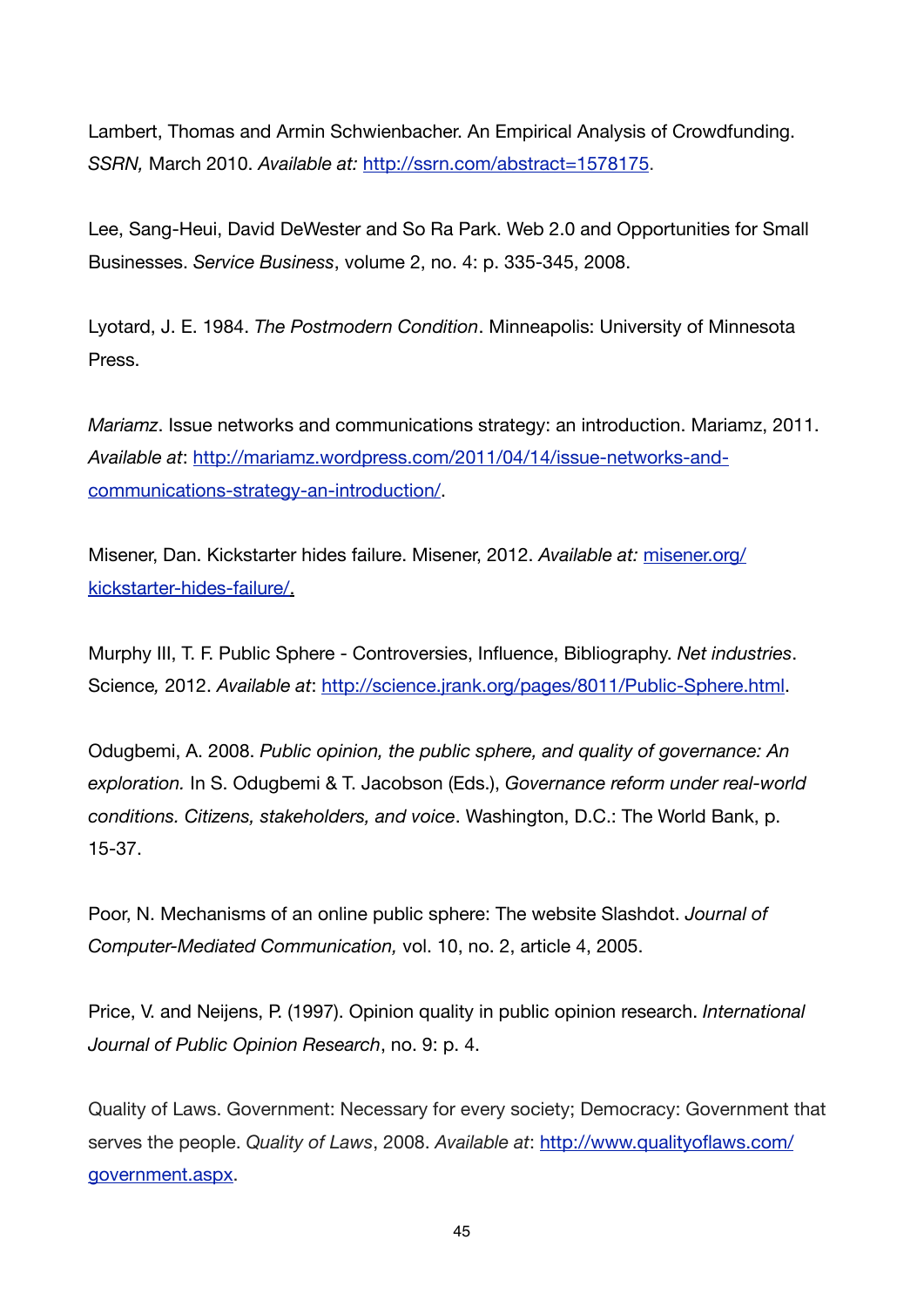Lambert, Thomas and Armin Schwienbacher. An Empirical Analysis of Crowdfunding. *SSRN,* March 2010. *Available at:* <http://ssrn.com/abstract=1578175>.

Lee, Sang-Heui, David DeWester and So Ra Park. Web 2.0 and Opportunities for Small Businesses. *Service Business*, volume 2, no. 4: p. 335-345, 2008.

Lyotard, J. E. 1984. *The Postmodern Condition*. Minneapolis: University of Minnesota Press.

*Mariamz*. Issue networks and communications strategy: an introduction. Mariamz, 2011. *Available at*: [http://mariamz.wordpress.com/2011/04/14/issue-networks-and](http://mariamz.wordpress.com/2011/04/14/issue-networks-and-communications-strategy-an-introduction/)[communications-strategy-an-introduction/](http://mariamz.wordpress.com/2011/04/14/issue-networks-and-communications-strategy-an-introduction/).

Misener, Dan. Kickstarter hides failure. Misener, 2012. *Available at:* [misener.org/](http://misener.org/kickstarter-hides-failure/) [kickstarter-hides-failure/.](http://misener.org/kickstarter-hides-failure/)

Murphy III, T. F. Public Sphere - Controversies, Influence, Bibliography. *Net industries*. Science*,* 2012. *Available at*: [http://science.jrank.org/pages/8011/Public-Sphere.html.](http://science.jrank.org/pages/8011/Public-Sphere.html)

Odugbemi, A. 2008. *Public opinion, the public sphere, and quality of governance: An exploration.* In S. Odugbemi & T. Jacobson (Eds.), *Governance reform under real-world conditions. Citizens, stakeholders, and voice*. Washington, D.C.: The World Bank, p. 15-37.

Poor, N. Mechanisms of an online public sphere: The website Slashdot. *Journal of Computer-Mediated Communication,* vol. 10, no. 2, article 4, 2005.

Price, V. and Neijens, P. (1997). Opinion quality in public opinion research. *International Journal of Public Opinion Research*, no. 9: p. 4.

Quality of Laws. Government: Necessary for every society; Democracy: Government that serves the people. *Quality of Laws*, 2008. *Available at*: [http://www.qualityoflaws.com/](http://www.qualityoflaws.com/government.aspx) [government.aspx](http://www.qualityoflaws.com/government.aspx).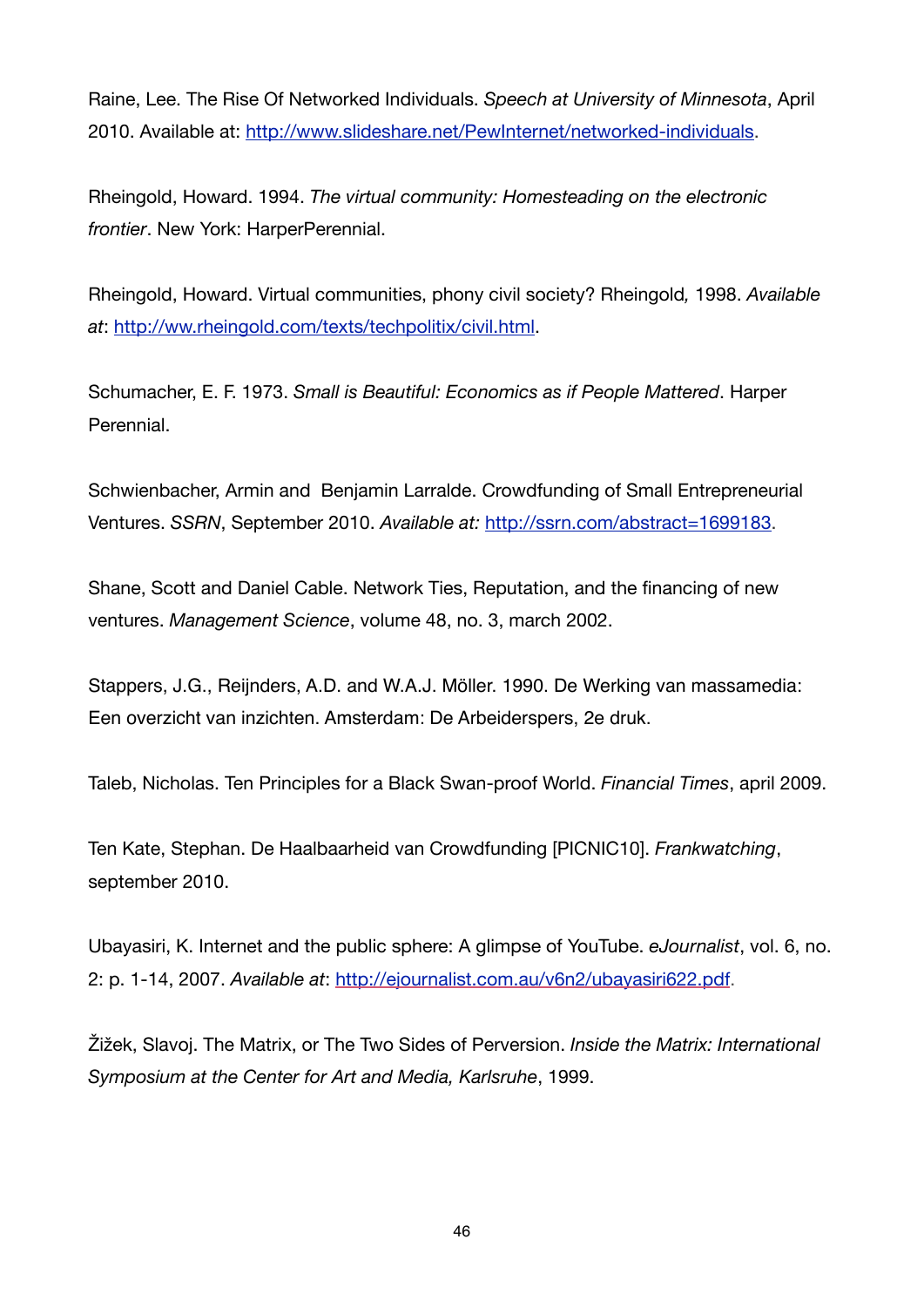Raine, Lee. The Rise Of Networked Individuals. *Speech at University of Minnesota*, April 2010. Available at: [http://www.slideshare.net/PewInternet/networked-individuals.](http://www.slideshare.net/PewInternet/networked-individuals)

Rheingold, Howard. 1994. *The virtual community: Homesteading on the electronic frontier*. New York: HarperPerennial.

Rheingold, Howard. Virtual communities, phony civil society? Rheingold*,* 1998. *Available at*: [http://ww.rheingold.com/texts/techpolitix/civil.html.](http://ww.rheingold.com/texts/techpolitix/civil.html)

Schumacher, E. F. 1973. *Small is Beautiful: Economics as if People Mattered*. Harper Perennial.

Schwienbacher, Armin and Benjamin Larralde. Crowdfunding of Small Entrepreneurial Ventures. *SSRN*, September 2010. *Available at:* <http://ssrn.com/abstract=1699183>.

Shane, Scott and Daniel Cable. Network Ties, Reputation, and the financing of new ventures. *Management Science*, volume 48, no. 3, march 2002.

Stappers, J.G., Reijnders, A.D. and W.A.J. Möller. 1990. De Werking van massamedia: Een overzicht van inzichten. Amsterdam: De Arbeiderspers, 2e druk.

Taleb, Nicholas. Ten Principles for a Black Swan-proof World. *Financial Times*, april 2009.

Ten Kate, Stephan. De Haalbaarheid van Crowdfunding [PICNIC10]. *Frankwatching*, september 2010.

Ubayasiri, K. Internet and the public sphere: A glimpse of YouTube. *eJournalist*, vol. 6, no. 2: p. 1-14, 2007. *Available at*: [http://ejournalist.com.au/v6n2/ubayasiri622.pdf.](http://ejournalist.com.au/v6n2/ubayasiri622.pdf)

Žižek, Slavoj. The Matrix, or The Two Sides of Perversion. *Inside the Matrix: International Symposium at the Center for Art and Media, Karlsruhe*, 1999.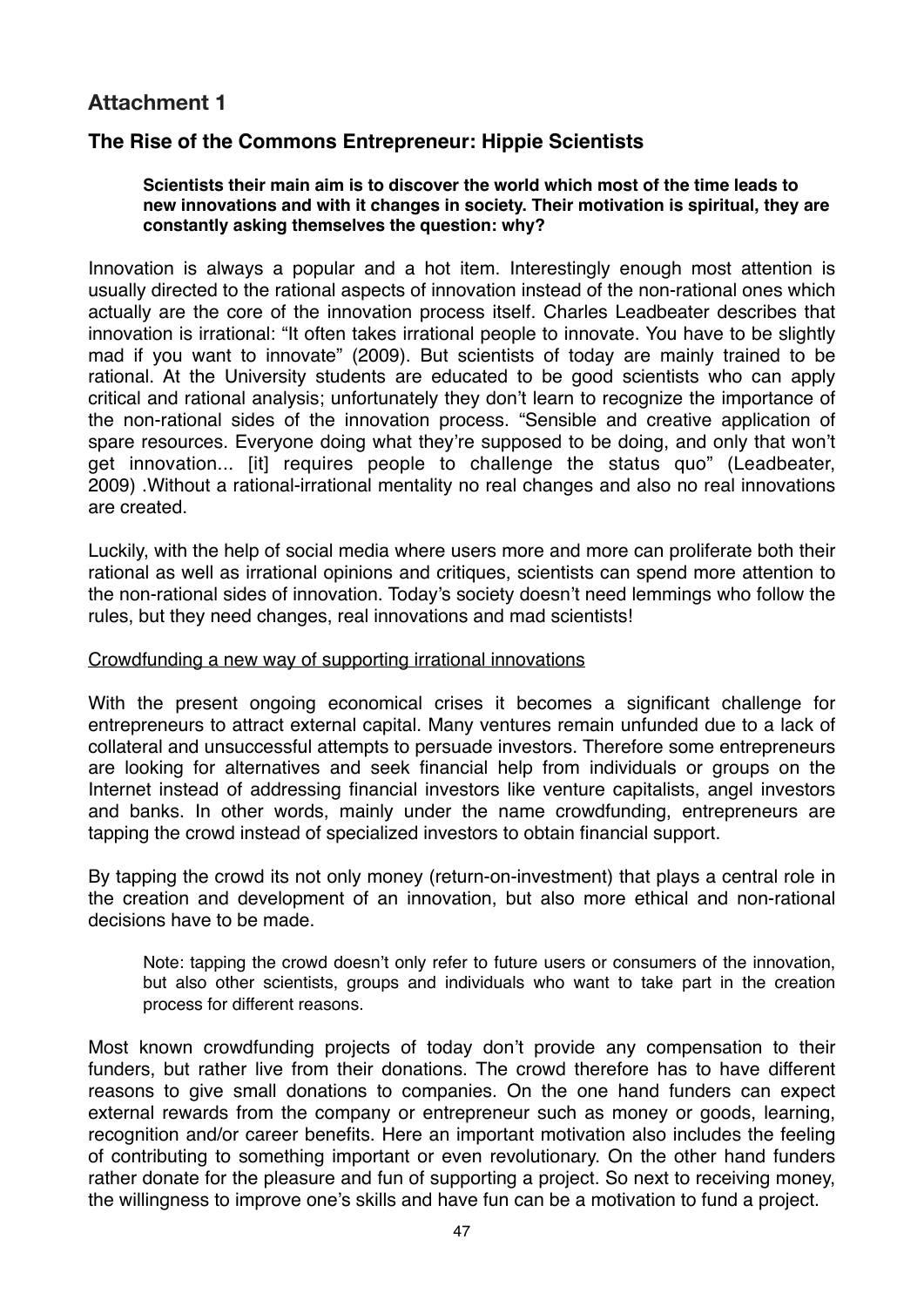# **Attachment 1**

# **The Rise of the Commons Entrepreneur: Hippie Scientists**

#### **Scientists their main aim is to discover the world which most of the time leads to new innovations and with it changes in society. Their motivation is spiritual, they are constantly asking themselves the question: why?**

Innovation is always a popular and a hot item. Interestingly enough most attention is usually directed to the rational aspects of innovation instead of the non-rational ones which actually are the core of the innovation process itself. Charles Leadbeater describes that innovation is irrational: "It often takes irrational people to innovate. You have to be slightly mad if you want to innovate" (2009). But scientists of today are mainly trained to be rational. At the University students are educated to be good scientists who can apply critical and rational analysis; unfortunately they don't learn to recognize the importance of the non-rational sides of the innovation process. "Sensible and creative application of spare resources. Everyone doing what they're supposed to be doing, and only that won't get innovation... [it] requires people to challenge the status quo" (Leadbeater, 2009) .Without a rational-irrational mentality no real changes and also no real innovations are created.

Luckily, with the help of social media where users more and more can proliferate both their rational as well as irrational opinions and critiques, scientists can spend more attention to the non-rational sides of innovation. Today's society doesn't need lemmings who follow the rules, but they need changes, real innovations and mad scientists!

#### Crowdfunding a new way of supporting irrational innovations

With the present ongoing economical crises it becomes a significant challenge for entrepreneurs to attract external capital. Many ventures remain unfunded due to a lack of collateral and unsuccessful attempts to persuade investors. Therefore some entrepreneurs are looking for alternatives and seek financial help from individuals or groups on the Internet instead of addressing financial investors like venture capitalists, angel investors and banks. In other words, mainly under the name crowdfunding, entrepreneurs are tapping the crowd instead of specialized investors to obtain financial support.

By tapping the crowd its not only money (return-on-investment) that plays a central role in the creation and development of an innovation, but also more ethical and non-rational decisions have to be made.

Note: tapping the crowd doesn't only refer to future users or consumers of the innovation, but also other scientists, groups and individuals who want to take part in the creation process for different reasons.

Most known crowdfunding projects of today don't provide any compensation to their funders, but rather live from their donations. The crowd therefore has to have different reasons to give small donations to companies. On the one hand funders can expect external rewards from the company or entrepreneur such as money or goods, learning, recognition and/or career benefits. Here an important motivation also includes the feeling of contributing to something important or even revolutionary. On the other hand funders rather donate for the pleasure and fun of supporting a project. So next to receiving money, the willingness to improve one's skills and have fun can be a motivation to fund a project.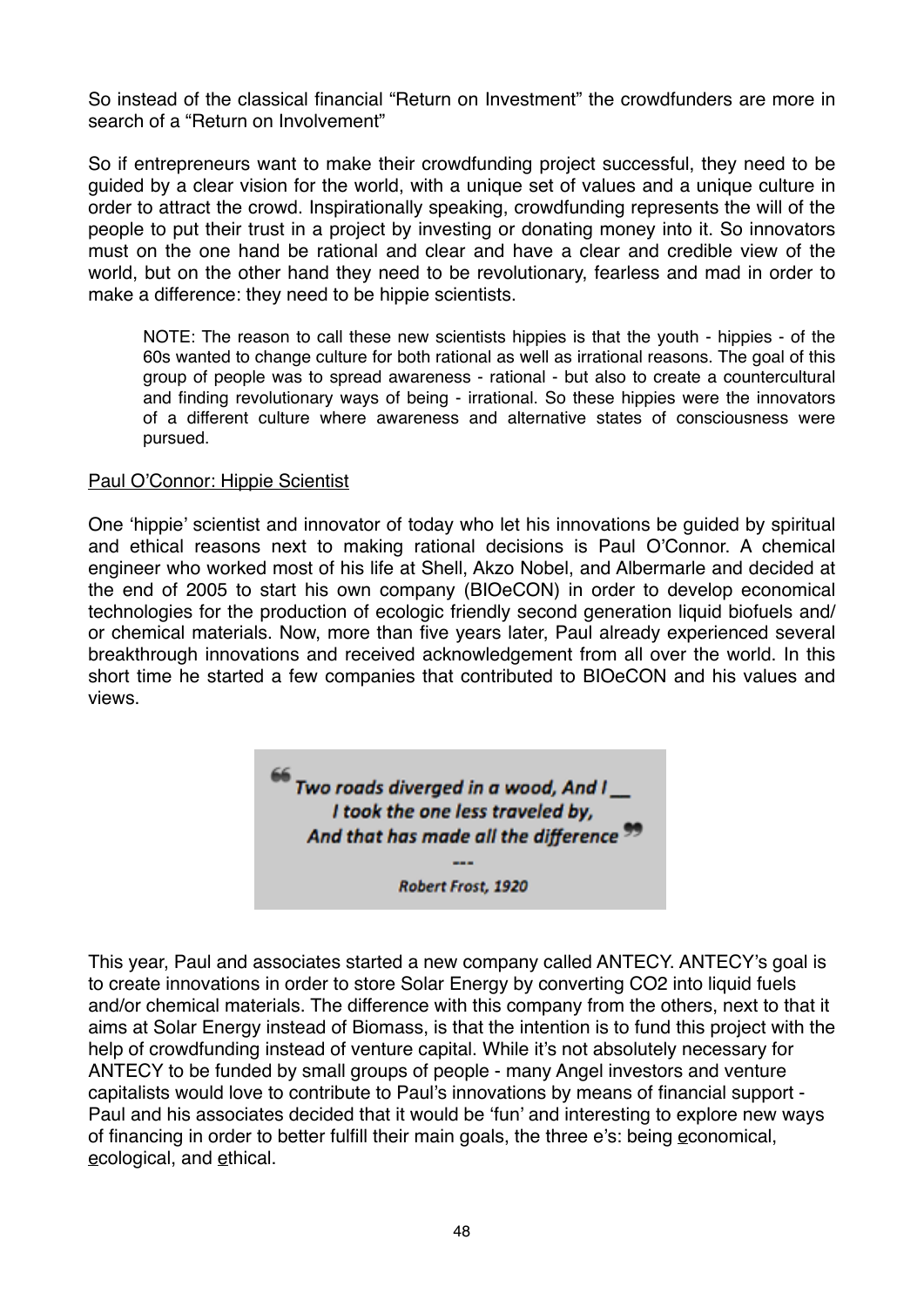So instead of the classical financial "Return on Investment" the crowdfunders are more in search of a "Return on Involvement"

So if entrepreneurs want to make their crowdfunding project successful, they need to be guided by a clear vision for the world, with a unique set of values and a unique culture in order to attract the crowd. Inspirationally speaking, crowdfunding represents the will of the people to put their trust in a project by investing or donating money into it. So innovators must on the one hand be rational and clear and have a clear and credible view of the world, but on the other hand they need to be revolutionary, fearless and mad in order to make a difference: they need to be hippie scientists.

NOTE: The reason to call these new scientists hippies is that the youth - hippies - of the 60s wanted to change culture for both rational as well as irrational reasons. The goal of this group of people was to spread awareness - rational - but also to create a countercultural and finding revolutionary ways of being - irrational. So these hippies were the innovators of a different culture where awareness and alternative states of consciousness were pursued.

# Paul O'Connor: Hippie Scientist

One 'hippie' scientist and innovator of today who let his innovations be guided by spiritual and ethical reasons next to making rational decisions is Paul O'Connor. A chemical engineer who worked most of his life at Shell, Akzo Nobel, and Albermarle and decided at the end of 2005 to start his own company (BIOeCON) in order to develop economical technologies for the production of ecologic friendly second generation liquid biofuels and/ or chemical materials. Now, more than five years later, Paul already experienced several breakthrough innovations and received acknowledgement from all over the world. In this short time he started a few companies that contributed to BIOeCON and his values and views.

> <sup>66</sup> Two roads diverged in a wood, And I I took the one less traveled by, And that has made all the difference

> > Robert Frost, 1920

This year, Paul and associates started a new company called ANTECY. ANTECY's goal is to create innovations in order to store Solar Energy by converting CO2 into liquid fuels and/or chemical materials. The difference with this company from the others, next to that it aims at Solar Energy instead of Biomass, is that the intention is to fund this project with the help of crowdfunding instead of venture capital. While it's not absolutely necessary for ANTECY to be funded by small groups of people - many Angel investors and venture capitalists would love to contribute to Paul's innovations by means of financial support - Paul and his associates decided that it would be 'fun' and interesting to explore new ways of financing in order to better fulfill their main goals, the three e's: being economical, ecological, and ethical.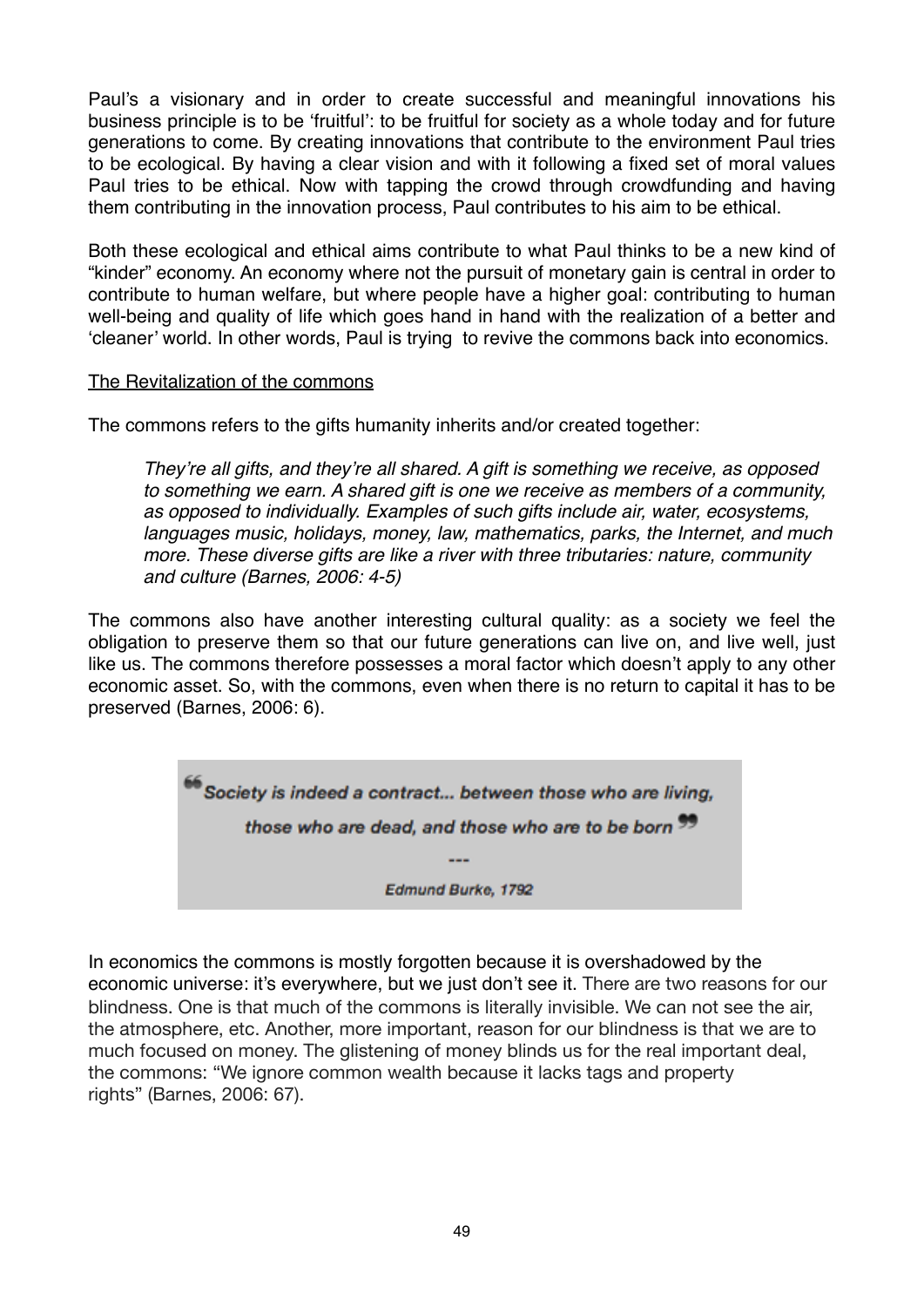Paul's a visionary and in order to create successful and meaningful innovations his business principle is to be 'fruitful': to be fruitful for society as a whole today and for future generations to come. By creating innovations that contribute to the environment Paul tries to be ecological. By having a clear vision and with it following a fixed set of moral values Paul tries to be ethical. Now with tapping the crowd through crowdfunding and having them contributing in the innovation process, Paul contributes to his aim to be ethical.

Both these ecological and ethical aims contribute to what Paul thinks to be a new kind of "kinder" economy. An economy where not the pursuit of monetary gain is central in order to contribute to human welfare, but where people have a higher goal: contributing to human well-being and quality of life which goes hand in hand with the realization of a better and 'cleaner' world. In other words, Paul is trying to revive the commons back into economics.

# The Revitalization of the commons

The commons refers to the gifts humanity inherits and/or created together:

*They're all gifts, and they're all shared. A gift is something we receive, as opposed to something we earn. A shared gift is one we receive as members of a community, as opposed to individually. Examples of such gifts include air, water, ecosystems, languages music, holidays, money, law, mathematics, parks, the Internet, and much more. These diverse gifts are like a river with three tributaries: nature, community and culture (Barnes, 2006: 4-5)*

The commons also have another interesting cultural quality: as a society we feel the obligation to preserve them so that our future generations can live on, and live well, just like us. The commons therefore possesses a moral factor which doesn't apply to any other economic asset. So, with the commons, even when there is no return to capital it has to be preserved (Barnes, 2006: 6).



In economics the commons is mostly forgotten because it is overshadowed by the economic universe: it's everywhere, but we just don't see it. There are two reasons for our blindness. One is that much of the commons is literally invisible. We can not see the air, the atmosphere, etc. Another, more important, reason for our blindness is that we are to much focused on money. The glistening of money blinds us for the real important deal, the commons: "We ignore common wealth because it lacks tags and property rights" (Barnes, 2006: 67).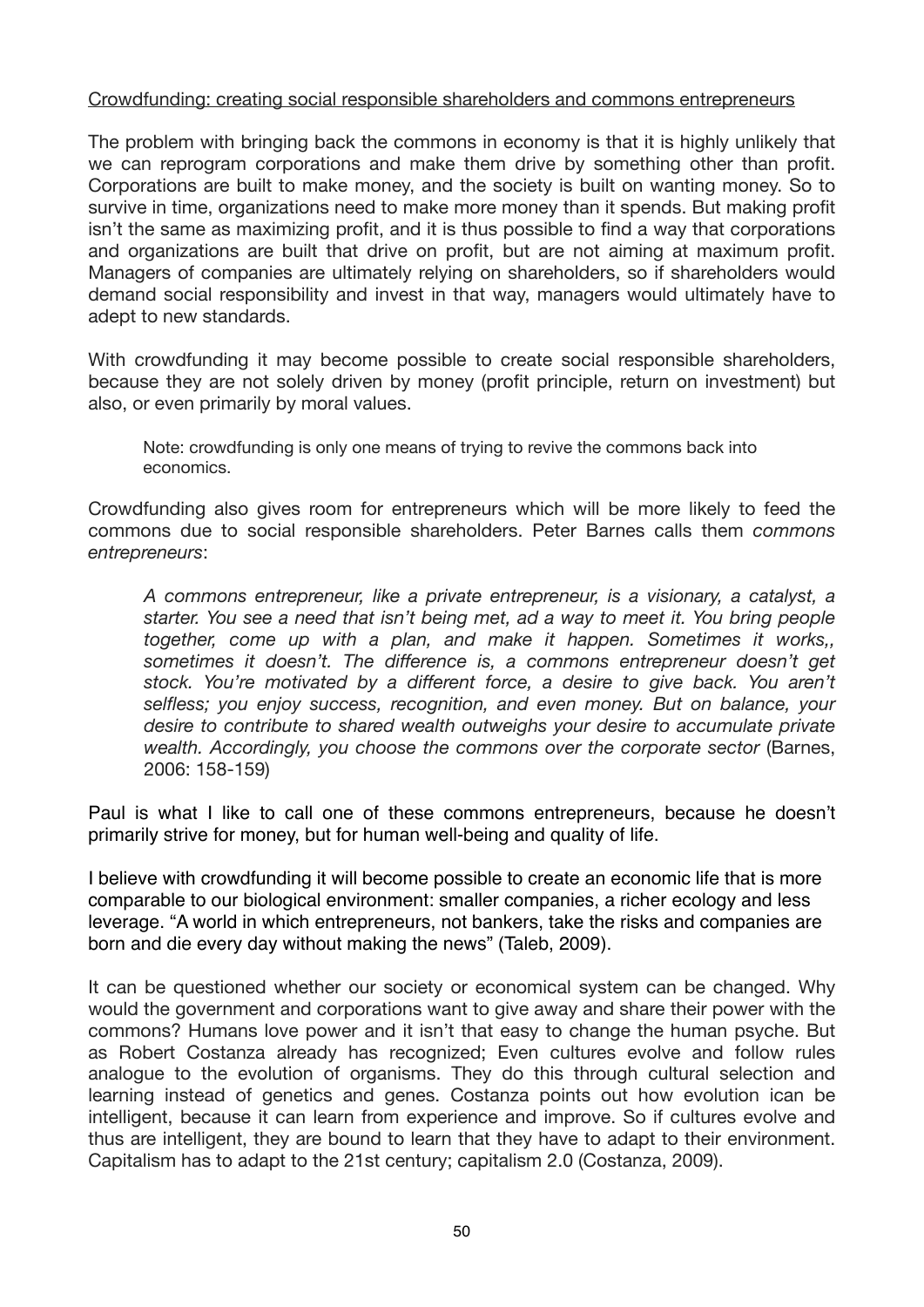# Crowdfunding: creating social responsible shareholders and commons entrepreneurs

The problem with bringing back the commons in economy is that it is highly unlikely that we can reprogram corporations and make them drive by something other than profit. Corporations are built to make money, and the society is built on wanting money. So to survive in time, organizations need to make more money than it spends. But making profit isn't the same as maximizing profit, and it is thus possible to find a way that corporations and organizations are built that drive on profit, but are not aiming at maximum profit. Managers of companies are ultimately relying on shareholders, so if shareholders would demand social responsibility and invest in that way, managers would ultimately have to adept to new standards.

With crowdfunding it may become possible to create social responsible shareholders, because they are not solely driven by money (profit principle, return on investment) but also, or even primarily by moral values.

Note: crowdfunding is only one means of trying to revive the commons back into economics.

Crowdfunding also gives room for entrepreneurs which will be more likely to feed the commons due to social responsible shareholders. Peter Barnes calls them *commons entrepreneurs*:

*A commons entrepreneur, like a private entrepreneur, is a visionary, a catalyst, a starter. You see a need that isn't being met, ad a way to meet it. You bring people together, come up with a plan, and make it happen. Sometimes it works,, sometimes it doesn't. The difference is, a commons entrepreneur doesn't get stock. You're motivated by a different force, a desire to give back. You aren't selfless; you enjoy success, recognition, and even money. But on balance, your desire to contribute to shared wealth outweighs your desire to accumulate private*  wealth. Accordingly, you choose the commons over the corporate sector (Barnes, 2006: 158-159)

Paul is what I like to call one of these commons entrepreneurs, because he doesn't primarily strive for money, but for human well-being and quality of life.

I believe with crowdfunding it will become possible to create an economic life that is more comparable to our biological environment: smaller companies, a richer ecology and less leverage. "A world in which entrepreneurs, not bankers, take the risks and companies are born and die every day without making the news" (Taleb, 2009).

It can be questioned whether our society or economical system can be changed. Why would the government and corporations want to give away and share their power with the commons? Humans love power and it isn't that easy to change the human psyche. But as Robert Costanza already has recognized; Even cultures evolve and follow rules analogue to the evolution of organisms. They do this through cultural selection and learning instead of genetics and genes. Costanza points out how evolution ican be intelligent, because it can learn from experience and improve. So if cultures evolve and thus are intelligent, they are bound to learn that they have to adapt to their environment. Capitalism has to adapt to the 21st century; capitalism 2.0 (Costanza, 2009).